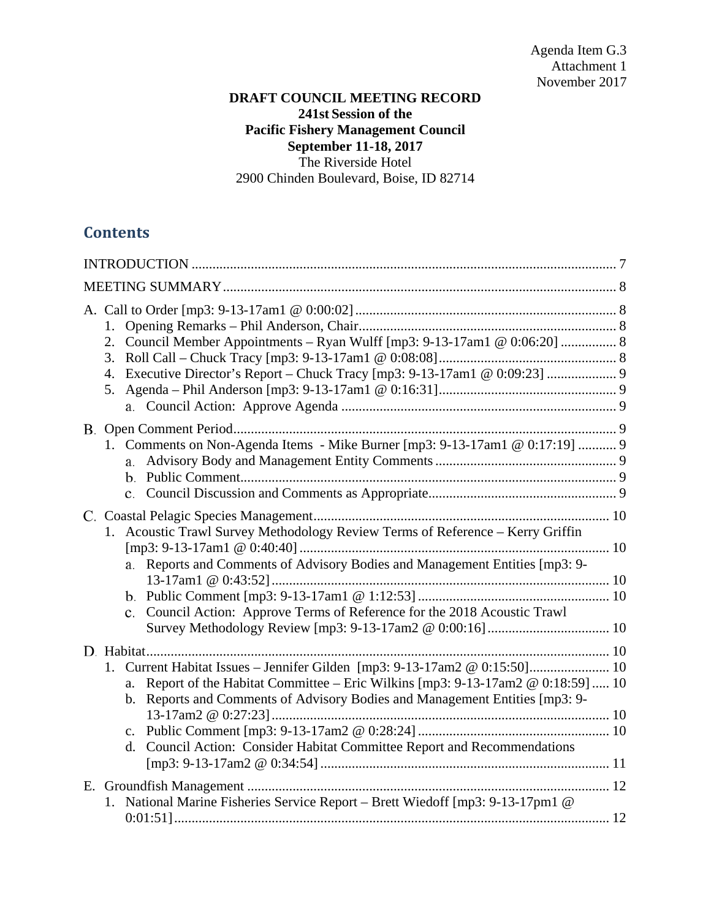## **DRAFT COUNCIL MEETING RECORD 241st Session of the Pacific Fishery Management Council September 11-18, 2017** The Riverside Hotel 2900 Chinden Boulevard, Boise, ID 82714

## **Contents**

| 2. Council Member Appointments - Ryan Wulff [mp3: 9-13-17am1 @ 0:06:20]  8<br>4. Executive Director's Report - Chuck Tracy [mp3: 9-13-17am1 @ 0:09:23]  9                                                                                                                                                               |  |
|-------------------------------------------------------------------------------------------------------------------------------------------------------------------------------------------------------------------------------------------------------------------------------------------------------------------------|--|
| 1. Comments on Non-Agenda Items - Mike Burner [mp3: 9-13-17am1 @ 0:17:19]  9                                                                                                                                                                                                                                            |  |
| 1. Acoustic Trawl Survey Methodology Review Terms of Reference - Kerry Griffin<br>a. Reports and Comments of Advisory Bodies and Management Entities [mp3: 9-<br>c. Council Action: Approve Terms of Reference for the 2018 Acoustic Trawl                                                                              |  |
| 1. Current Habitat Issues - Jennifer Gilden [mp3: 9-13-17am2 @ 0:15:50] 10<br>Report of the Habitat Committee – Eric Wilkins [mp3: 9-13-17am2 @ 0:18:59]  10<br>b. Reports and Comments of Advisory Bodies and Management Entities [mp3: 9-<br>d. Council Action: Consider Habitat Committee Report and Recommendations |  |
| 1. National Marine Fisheries Service Report - Brett Wiedoff [mp3: 9-13-17pm1 @                                                                                                                                                                                                                                          |  |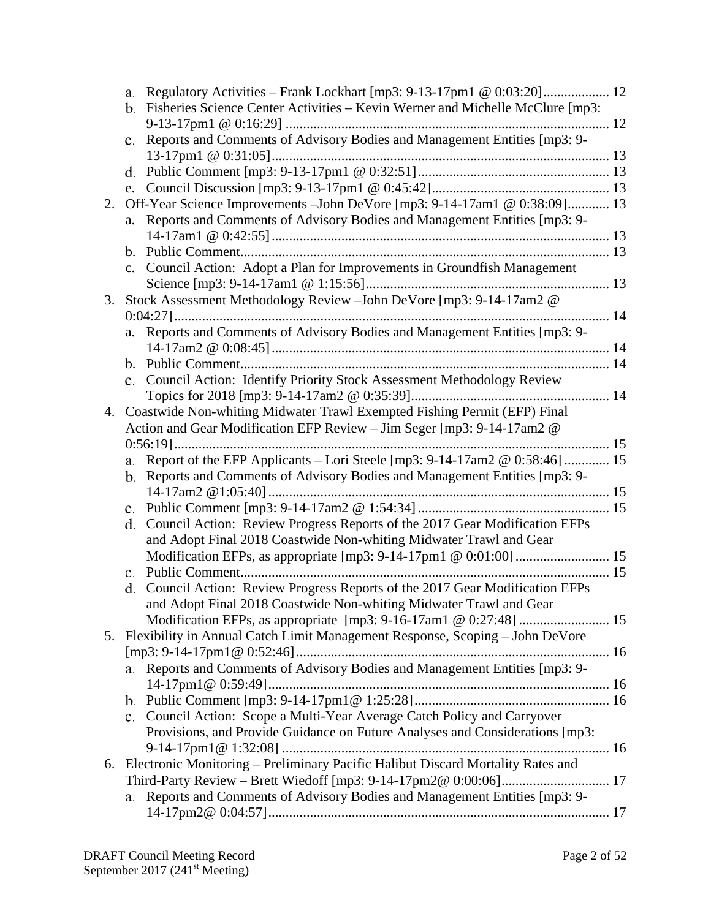|    | b. Fisheries Science Center Activities – Kevin Werner and Michelle McClure [mp3:           |  |
|----|--------------------------------------------------------------------------------------------|--|
|    |                                                                                            |  |
|    | Reports and Comments of Advisory Bodies and Management Entities [mp3: 9-<br>$\mathbf{c}$ . |  |
|    |                                                                                            |  |
|    |                                                                                            |  |
|    |                                                                                            |  |
| 2. | Off-Year Science Improvements - John DeVore [mp3: 9-14-17am1 @ 0:38:09] 13                 |  |
|    | Reports and Comments of Advisory Bodies and Management Entities [mp3: 9-<br>a.             |  |
|    |                                                                                            |  |
|    |                                                                                            |  |
|    | Council Action: Adopt a Plan for Improvements in Groundfish Management<br>$\mathbf{c}$ .   |  |
|    |                                                                                            |  |
| 3. | Stock Assessment Methodology Review - John DeVore [mp3: 9-14-17am2 @                       |  |
|    |                                                                                            |  |
|    | a. Reports and Comments of Advisory Bodies and Management Entities [mp3: 9-                |  |
|    |                                                                                            |  |
|    |                                                                                            |  |
|    | c. Council Action: Identify Priority Stock Assessment Methodology Review                   |  |
|    |                                                                                            |  |
| 4. | Coastwide Non-whiting Midwater Trawl Exempted Fishing Permit (EFP) Final                   |  |
|    | Action and Gear Modification EFP Review - Jim Seger [mp3: 9-14-17am2 @                     |  |
|    |                                                                                            |  |
|    | Report of the EFP Applicants - Lori Steele [mp3: 9-14-17am2 @ 0:58:46]  15<br>а.           |  |
|    | b. Reports and Comments of Advisory Bodies and Management Entities [mp3: 9-                |  |
|    |                                                                                            |  |
|    |                                                                                            |  |
|    | Council Action: Review Progress Reports of the 2017 Gear Modification EFPs<br>d.           |  |
|    | and Adopt Final 2018 Coastwide Non-whiting Midwater Trawl and Gear                         |  |
|    |                                                                                            |  |
|    | $\mathbf{c}$ .                                                                             |  |
|    | Council Action: Review Progress Reports of the 2017 Gear Modification EFPs<br>d.           |  |
|    | and Adopt Final 2018 Coastwide Non-whiting Midwater Trawl and Gear                         |  |
|    |                                                                                            |  |
| 5. | Flexibility in Annual Catch Limit Management Response, Scoping - John DeVore               |  |
|    |                                                                                            |  |
|    | Reports and Comments of Advisory Bodies and Management Entities [mp3: 9-<br>a.             |  |
|    |                                                                                            |  |
|    |                                                                                            |  |
|    | c. Council Action: Scope a Multi-Year Average Catch Policy and Carryover                   |  |
|    | Provisions, and Provide Guidance on Future Analyses and Considerations [mp3:               |  |
|    |                                                                                            |  |
| 6. | Electronic Monitoring - Preliminary Pacific Halibut Discard Mortality Rates and            |  |
|    |                                                                                            |  |
|    | Reports and Comments of Advisory Bodies and Management Entities [mp3: 9-<br>a.             |  |
|    |                                                                                            |  |
|    |                                                                                            |  |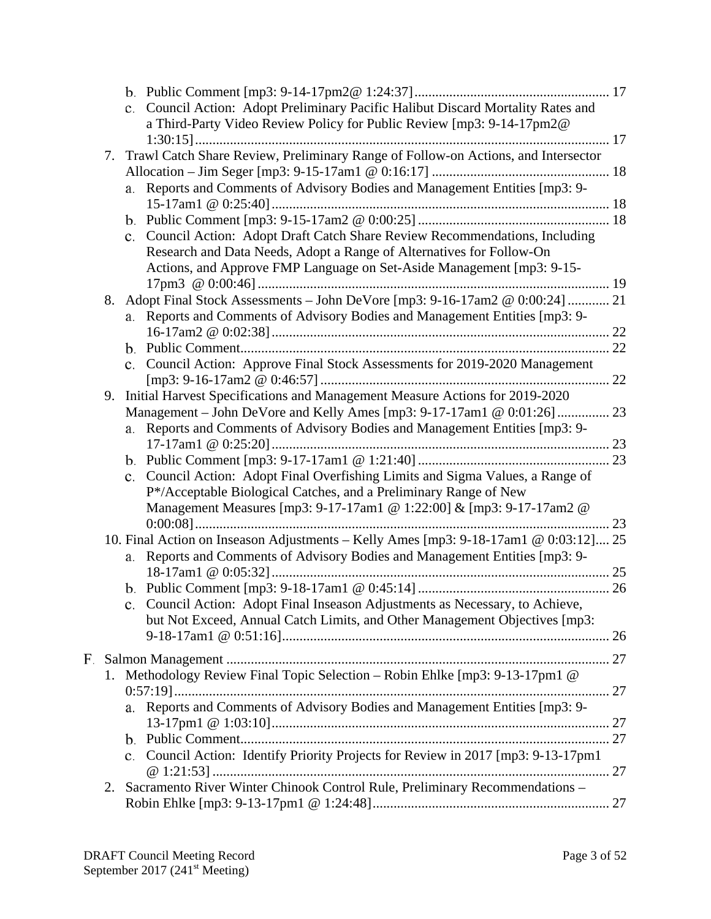|    | c. Council Action: Adopt Preliminary Pacific Halibut Discard Mortality Rates and     |  |
|----|--------------------------------------------------------------------------------------|--|
|    | a Third-Party Video Review Policy for Public Review [mp3: 9-14-17pm2@                |  |
|    |                                                                                      |  |
| 7. | Trawl Catch Share Review, Preliminary Range of Follow-on Actions, and Intersector    |  |
|    |                                                                                      |  |
|    | a. Reports and Comments of Advisory Bodies and Management Entities [mp3: 9-          |  |
|    |                                                                                      |  |
|    |                                                                                      |  |
|    | c. Council Action: Adopt Draft Catch Share Review Recommendations, Including         |  |
|    | Research and Data Needs, Adopt a Range of Alternatives for Follow-On                 |  |
|    | Actions, and Approve FMP Language on Set-Aside Management [mp3: 9-15-                |  |
|    |                                                                                      |  |
|    | 8. Adopt Final Stock Assessments - John DeVore [mp3: 9-16-17am2 @ 0:00:24]  21       |  |
|    | a. Reports and Comments of Advisory Bodies and Management Entities [mp3: 9-          |  |
|    |                                                                                      |  |
|    |                                                                                      |  |
|    | c. Council Action: Approve Final Stock Assessments for 2019-2020 Management          |  |
|    |                                                                                      |  |
| 9. | Initial Harvest Specifications and Management Measure Actions for 2019-2020          |  |
|    | Management – John DeVore and Kelly Ames [mp3: 9-17-17am1 @ 0:01:26] 23               |  |
|    | a. Reports and Comments of Advisory Bodies and Management Entities [mp3: 9-          |  |
|    |                                                                                      |  |
|    |                                                                                      |  |
|    | c. Council Action: Adopt Final Overfishing Limits and Sigma Values, a Range of       |  |
|    | P*/Acceptable Biological Catches, and a Preliminary Range of New                     |  |
|    | Management Measures [mp3: 9-17-17am1 @ 1:22:00] & [mp3: 9-17-17am2 @                 |  |
|    |                                                                                      |  |
|    | 10. Final Action on Inseason Adjustments - Kelly Ames [mp3: 9-18-17am1 @ 0:03:12] 25 |  |
|    | a. Reports and Comments of Advisory Bodies and Management Entities [mp3: 9-          |  |
|    |                                                                                      |  |
|    |                                                                                      |  |
|    | Council Action: Adopt Final Inseason Adjustments as Necessary, to Achieve,           |  |
|    | but Not Exceed, Annual Catch Limits, and Other Management Objectives [mp3:           |  |
|    |                                                                                      |  |
|    |                                                                                      |  |
|    | 1. Methodology Review Final Topic Selection - Robin Ehlke [mp3: 9-13-17pm1 @         |  |
|    |                                                                                      |  |
|    | a. Reports and Comments of Advisory Bodies and Management Entities [mp3: 9-          |  |
|    |                                                                                      |  |
|    |                                                                                      |  |
|    | c. Council Action: Identify Priority Projects for Review in 2017 [mp3: 9-13-17pm1    |  |
|    |                                                                                      |  |
| 2. | Sacramento River Winter Chinook Control Rule, Preliminary Recommendations -          |  |
|    |                                                                                      |  |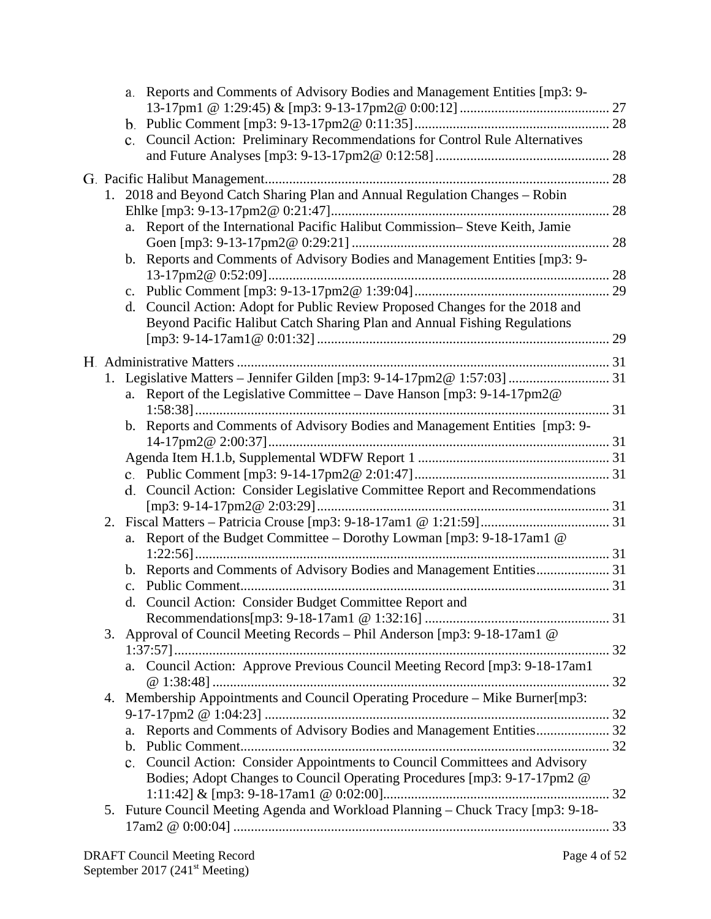|    | a. Reports and Comments of Advisory Bodies and Management Entities [mp3: 9-      |    |
|----|----------------------------------------------------------------------------------|----|
|    |                                                                                  |    |
|    | c. Council Action: Preliminary Recommendations for Control Rule Alternatives     | 28 |
|    |                                                                                  |    |
|    | 1. 2018 and Beyond Catch Sharing Plan and Annual Regulation Changes - Robin      |    |
|    |                                                                                  | 28 |
|    | Report of the International Pacific Halibut Commission-Steve Keith, Jamie<br>a.  | 28 |
|    | b. Reports and Comments of Advisory Bodies and Management Entities [mp3: 9-      |    |
|    |                                                                                  |    |
|    |                                                                                  |    |
|    | d. Council Action: Adopt for Public Review Proposed Changes for the 2018 and     |    |
|    | Beyond Pacific Halibut Catch Sharing Plan and Annual Fishing Regulations         |    |
|    |                                                                                  |    |
|    |                                                                                  |    |
|    | 1. Legislative Matters - Jennifer Gilden [mp3: 9-14-17pm2@ 1:57:03]  31          |    |
|    | a. Report of the Legislative Committee - Dave Hanson [mp3: 9-14-17pm2@           |    |
|    |                                                                                  |    |
|    | b. Reports and Comments of Advisory Bodies and Management Entities [mp3: 9-      |    |
|    |                                                                                  |    |
|    |                                                                                  |    |
|    | d. Council Action: Consider Legislative Committee Report and Recommendations     |    |
|    |                                                                                  |    |
| 2. |                                                                                  |    |
|    | Report of the Budget Committee – Dorothy Lowman [mp3: 9-18-17am1 @<br>a.         |    |
|    |                                                                                  |    |
|    |                                                                                  |    |
|    | $\mathbf{c}$ .                                                                   |    |
|    | d. Council Action: Consider Budget Committee Report and                          |    |
|    |                                                                                  |    |
|    | 3. Approval of Council Meeting Records - Phil Anderson [mp3: 9-18-17am1 @        |    |
|    | a. Council Action: Approve Previous Council Meeting Record [mp3: 9-18-17am1      |    |
|    |                                                                                  |    |
|    | 4. Membership Appointments and Council Operating Procedure – Mike Burner[mp3:    |    |
|    |                                                                                  |    |
|    | Reports and Comments of Advisory Bodies and Management Entities 32<br>a.         |    |
|    | $\mathbf{b}$ .                                                                   |    |
|    | c. Council Action: Consider Appointments to Council Committees and Advisory      |    |
|    | Bodies; Adopt Changes to Council Operating Procedures [mp3: 9-17-17pm2 @         |    |
|    |                                                                                  |    |
|    | 5. Future Council Meeting Agenda and Workload Planning – Chuck Tracy [mp3: 9-18- |    |
|    |                                                                                  |    |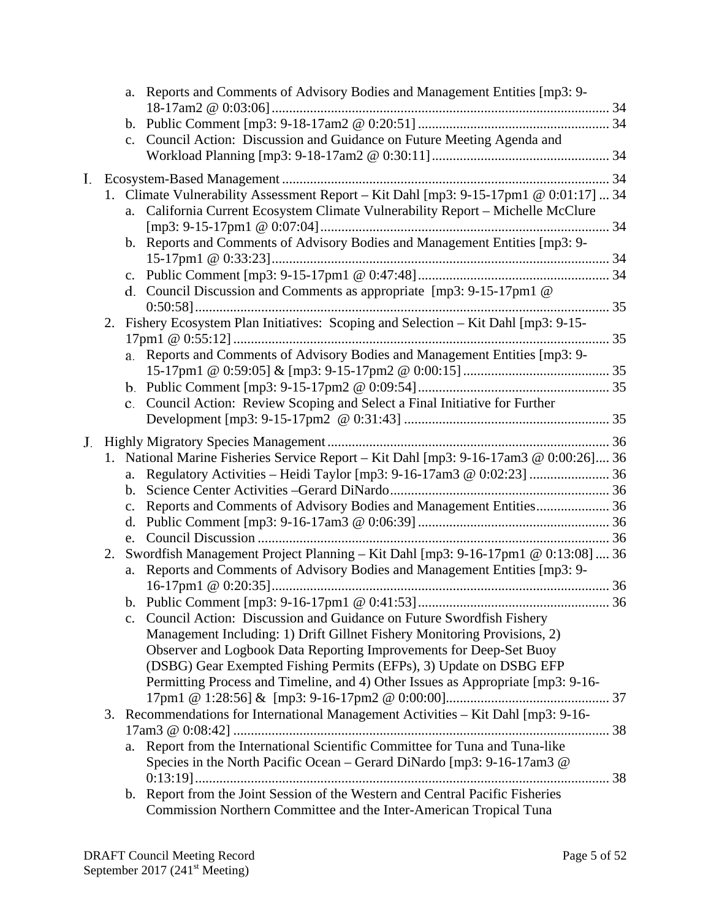|    |    |    | a. Reports and Comments of Advisory Bodies and Management Entities [mp3: 9-           |  |
|----|----|----|---------------------------------------------------------------------------------------|--|
|    |    |    |                                                                                       |  |
|    |    |    | c. Council Action: Discussion and Guidance on Future Meeting Agenda and               |  |
|    |    |    |                                                                                       |  |
| Ι. |    |    |                                                                                       |  |
|    |    |    | 1. Climate Vulnerability Assessment Report - Kit Dahl [mp3: 9-15-17pm1 @ 0:01:17]  34 |  |
|    |    |    | a. California Current Ecosystem Climate Vulnerability Report - Michelle McClure       |  |
|    |    |    |                                                                                       |  |
|    |    |    | b. Reports and Comments of Advisory Bodies and Management Entities [mp3: 9-           |  |
|    |    |    |                                                                                       |  |
|    |    |    |                                                                                       |  |
|    |    |    | d. Council Discussion and Comments as appropriate $[mp3: 9-15-17pm1 \&$               |  |
|    |    |    |                                                                                       |  |
|    | 2. |    | Fishery Ecosystem Plan Initiatives: Scoping and Selection - Kit Dahl [mp3: 9-15-      |  |
|    |    |    | a. Reports and Comments of Advisory Bodies and Management Entities [mp3: 9-           |  |
|    |    |    |                                                                                       |  |
|    |    |    |                                                                                       |  |
|    |    |    | c. Council Action: Review Scoping and Select a Final Initiative for Further           |  |
|    |    |    |                                                                                       |  |
| J. |    |    |                                                                                       |  |
|    |    |    | 1. National Marine Fisheries Service Report - Kit Dahl [mp3: 9-16-17am3 @ 0:00:26] 36 |  |
|    |    |    |                                                                                       |  |
|    |    |    |                                                                                       |  |
|    |    |    |                                                                                       |  |
|    |    |    |                                                                                       |  |
|    |    | e. |                                                                                       |  |
|    | 2. |    | Swordfish Management Project Planning - Kit Dahl [mp3: 9-16-17pm1 @ 0:13:08]  36      |  |
|    |    |    | a. Reports and Comments of Advisory Bodies and Management Entities [mp3: 9-           |  |
|    |    |    |                                                                                       |  |
|    |    |    | c. Council Action: Discussion and Guidance on Future Swordfish Fishery                |  |
|    |    |    | Management Including: 1) Drift Gillnet Fishery Monitoring Provisions, 2)              |  |
|    |    |    | Observer and Logbook Data Reporting Improvements for Deep-Set Buoy                    |  |
|    |    |    | (DSBG) Gear Exempted Fishing Permits (EFPs), 3) Update on DSBG EFP                    |  |
|    |    |    | Permitting Process and Timeline, and 4) Other Issues as Appropriate [mp3: 9-16-       |  |
|    |    |    |                                                                                       |  |
|    |    |    | 3. Recommendations for International Management Activities – Kit Dahl [mp3: 9-16-     |  |
|    |    |    |                                                                                       |  |
|    |    |    | a. Report from the International Scientific Committee for Tuna and Tuna-like          |  |
|    |    |    | Species in the North Pacific Ocean – Gerard DiNardo [mp3: 9-16-17am3 @                |  |
|    |    |    | b. Report from the Joint Session of the Western and Central Pacific Fisheries         |  |
|    |    |    | Commission Northern Committee and the Inter-American Tropical Tuna                    |  |
|    |    |    |                                                                                       |  |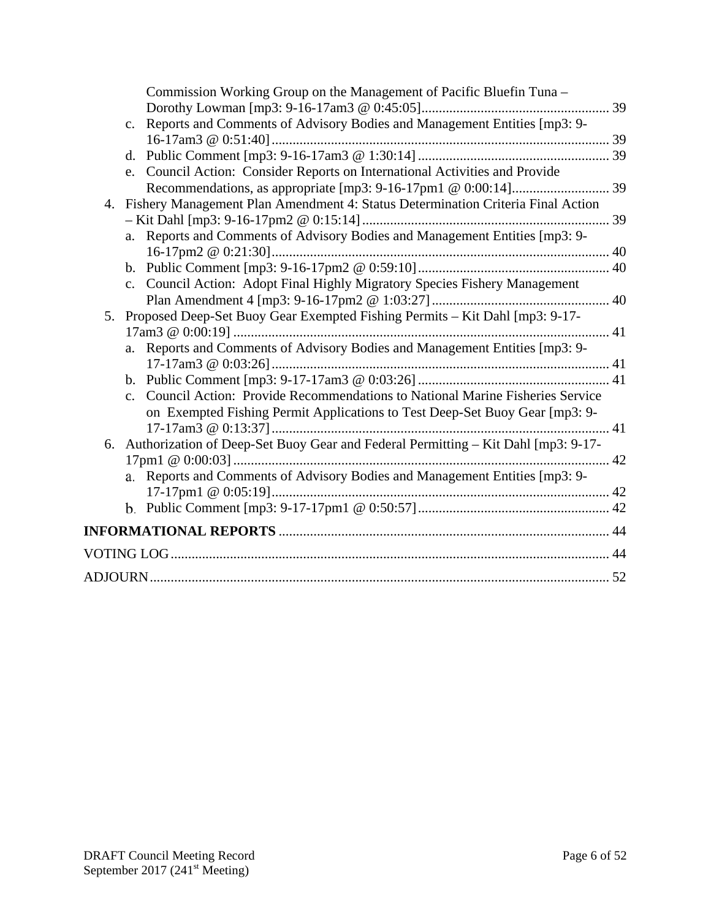|    | Commission Working Group on the Management of Pacific Bluefin Tuna –                           |  |
|----|------------------------------------------------------------------------------------------------|--|
|    |                                                                                                |  |
|    | Reports and Comments of Advisory Bodies and Management Entities [mp3: 9-<br>$\mathbf{c}$ .     |  |
|    |                                                                                                |  |
|    |                                                                                                |  |
|    | e. Council Action: Consider Reports on International Activities and Provide                    |  |
|    |                                                                                                |  |
| 4. | Fishery Management Plan Amendment 4: Status Determination Criteria Final Action                |  |
|    |                                                                                                |  |
|    | a. Reports and Comments of Advisory Bodies and Management Entities [mp3: 9-                    |  |
|    |                                                                                                |  |
|    |                                                                                                |  |
|    | c. Council Action: Adopt Final Highly Migratory Species Fishery Management                     |  |
|    |                                                                                                |  |
| 5. | Proposed Deep-Set Buoy Gear Exempted Fishing Permits - Kit Dahl [mp3: 9-17-                    |  |
|    |                                                                                                |  |
|    | Reports and Comments of Advisory Bodies and Management Entities [mp3: 9-<br>a.                 |  |
|    |                                                                                                |  |
|    |                                                                                                |  |
|    | Council Action: Provide Recommendations to National Marine Fisheries Service<br>$\mathbf{c}$ . |  |
|    | on Exempted Fishing Permit Applications to Test Deep-Set Buoy Gear [mp3: 9-                    |  |
|    |                                                                                                |  |
| 6. | Authorization of Deep-Set Buoy Gear and Federal Permitting - Kit Dahl [mp3: 9-17-              |  |
|    |                                                                                                |  |
|    | a. Reports and Comments of Advisory Bodies and Management Entities [mp3: 9-                    |  |
|    |                                                                                                |  |
|    |                                                                                                |  |
|    |                                                                                                |  |
|    |                                                                                                |  |
|    |                                                                                                |  |
|    |                                                                                                |  |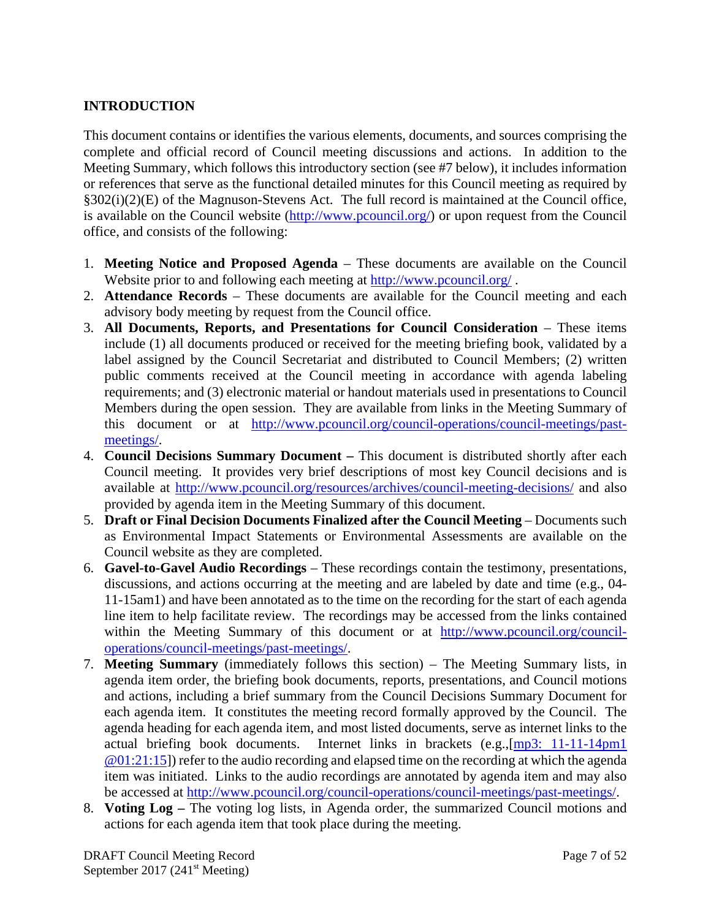## <span id="page-6-0"></span>**INTRODUCTION**

This document contains or identifies the various elements, documents, and sources comprising the complete and official record of Council meeting discussions and actions. In addition to the Meeting Summary, which follows this introductory section (see #7 below), it includes information or references that serve as the functional detailed minutes for this Council meeting as required by §302(i)(2)(E) of the Magnuson-Stevens Act. The full record is maintained at the Council office, is available on the Council website [\(http://www.pcouncil.org/\)](http://www.pcouncil.org/) or upon request from the Council office, and consists of the following:

- 1. **Meeting Notice and Proposed Agenda** These documents are available on the Council Website prior to and following each meeting at<http://www.pcouncil.org/>.
- 2. **Attendance Records** These documents are available for the Council meeting and each advisory body meeting by request from the Council office.
- 3. **All Documents, Reports, and Presentations for Council Consideration** These items include (1) all documents produced or received for the meeting briefing book, validated by a label assigned by the Council Secretariat and distributed to Council Members; (2) written public comments received at the Council meeting in accordance with agenda labeling requirements; and (3) electronic material or handout materials used in presentations to Council Members during the open session. They are available from links in the Meeting Summary of this document or at [http://www.pcouncil.org/council-operations/council-meetings/past](http://www.pcouncil.org/council-operations/council-meetings/past-meetings/)[meetings/.](http://www.pcouncil.org/council-operations/council-meetings/past-meetings/)
- 4. **Council Decisions Summary Document –** This document is distributed shortly after each Council meeting. It provides very brief descriptions of most key Council decisions and is available at<http://www.pcouncil.org/resources/archives/council-meeting-decisions/> and also provided by agenda item in the Meeting Summary of this document.
- 5. **Draft or Final Decision Documents Finalized after the Council Meeting** Documents such as Environmental Impact Statements or Environmental Assessments are available on the Council website as they are completed.
- 6. **Gavel-to-Gavel Audio Recordings** These recordings contain the testimony, presentations, discussions, and actions occurring at the meeting and are labeled by date and time (e.g., 04- 11-15am1) and have been annotated as to the time on the recording for the start of each agenda line item to help facilitate review. The recordings may be accessed from the links contained within the Meeting Summary of this document or at [http://www.pcouncil.org/council](http://www.pcouncil.org/council-operations/council-meetings/past-meetings/)[operations/council-meetings/past-meetings/.](http://www.pcouncil.org/council-operations/council-meetings/past-meetings/)
- 7. **Meeting Summary** (immediately follows this section) The Meeting Summary lists, in agenda item order, the briefing book documents, reports, presentations, and Council motions and actions, including a brief summary from the Council Decisions Summary Document for each agenda item. It constitutes the meeting record formally approved by the Council. The agenda heading for each agenda item, and most listed documents, serve as internet links to the actual briefing book documents. Internet links in brackets (e.g.,[\[mp3: 11-11-14pm1](ftp://ftp.pcouncil.org/pub/R1411_November_2014_Recordings/11-14-14pm1Copy.mp3) @01:21:15]) refer to the audio recording and elapsed time on the recording at which the agenda item was initiated. Links to the audio recordings are annotated by agenda item and may also be accessed at [http://www.pcouncil.org/council-operations/council-meetings/past-meetings/.](http://www.pcouncil.org/council-operations/council-meetings/past-meetings/)
- 8. **Voting Log –** The voting log lists, in Agenda order, the summarized Council motions and actions for each agenda item that took place during the meeting.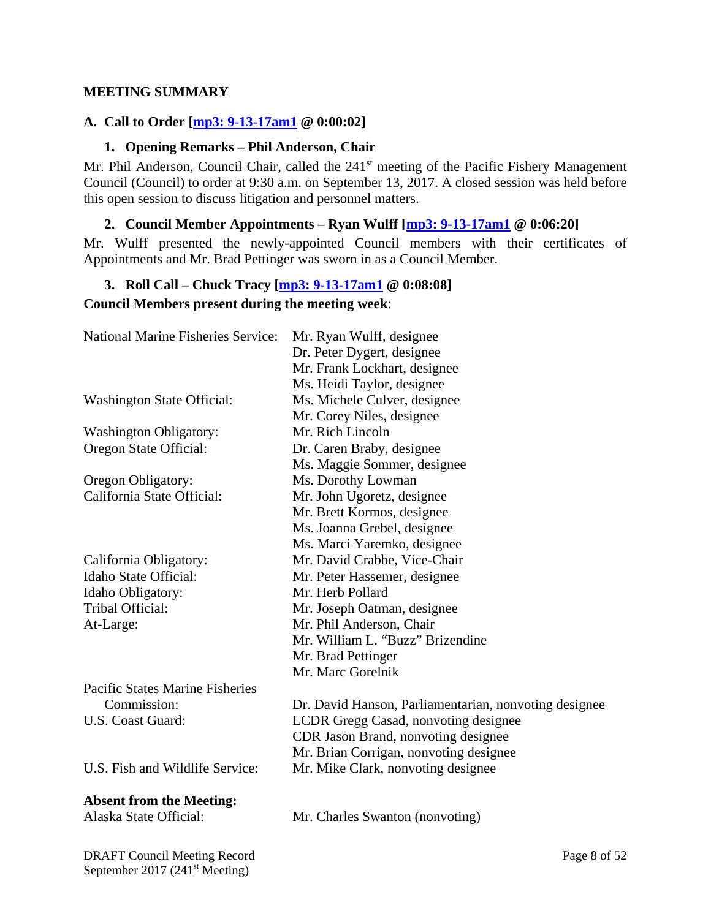#### <span id="page-7-0"></span>**MEETING SUMMARY**

#### <span id="page-7-1"></span>**A. Call to Order [\[mp3: 9-13-17am1](ftp://ftp.pcouncil.org/pub/R1709_September_2017_Recordings/9-13-17am1Copy.mp3) @ 0:00:02]**

#### <span id="page-7-2"></span>**1. Opening Remarks – Phil Anderson, Chair**

Mr. Phil Anderson, Council Chair, called the 241<sup>st</sup> meeting of the Pacific Fishery Management Council (Council) to order at 9:30 a.m. on September 13, 2017. A closed session was held before this open session to discuss litigation and personnel matters.

#### <span id="page-7-3"></span>**2. Council Member Appointments – Ryan Wulff [\[mp3: 9-13-17am1](ftp://ftp.pcouncil.org/pub/R1709_September_2017_Recordings/9-13-17am1Copy.mp3) @ 0:06:20]**

Mr. Wulff presented the newly-appointed Council members with their certificates of Appointments and Mr. Brad Pettinger was sworn in as a Council Member.

# <span id="page-7-4"></span>**3. Roll Call – Chuck Tracy [\[mp3: 9-13-17am1](ftp://ftp.pcouncil.org/pub/R1709_September_2017_Recordings/9-13-17am1Copy.mp3) @ 0:08:08]**

## **Council Members present during the meeting week**:

| <b>National Marine Fisheries Service:</b> | Mr. Ryan Wulff, designee                              |
|-------------------------------------------|-------------------------------------------------------|
|                                           | Dr. Peter Dygert, designee                            |
|                                           | Mr. Frank Lockhart, designee                          |
|                                           | Ms. Heidi Taylor, designee                            |
| <b>Washington State Official:</b>         | Ms. Michele Culver, designee                          |
|                                           | Mr. Corey Niles, designee                             |
| <b>Washington Obligatory:</b>             | Mr. Rich Lincoln                                      |
| Oregon State Official:                    | Dr. Caren Braby, designee                             |
|                                           | Ms. Maggie Sommer, designee                           |
| Oregon Obligatory:                        | Ms. Dorothy Lowman                                    |
| California State Official:                | Mr. John Ugoretz, designee                            |
|                                           | Mr. Brett Kormos, designee                            |
|                                           | Ms. Joanna Grebel, designee                           |
|                                           | Ms. Marci Yaremko, designee                           |
| California Obligatory:                    | Mr. David Crabbe, Vice-Chair                          |
| Idaho State Official:                     | Mr. Peter Hassemer, designee                          |
| Idaho Obligatory:                         | Mr. Herb Pollard                                      |
| Tribal Official:                          | Mr. Joseph Oatman, designee                           |
| At-Large:                                 | Mr. Phil Anderson, Chair                              |
|                                           | Mr. William L. "Buzz" Brizendine                      |
|                                           | Mr. Brad Pettinger                                    |
|                                           | Mr. Marc Gorelnik                                     |
| <b>Pacific States Marine Fisheries</b>    |                                                       |
| Commission:                               | Dr. David Hanson, Parliamentarian, nonvoting designee |
| U.S. Coast Guard:                         | LCDR Gregg Casad, nonvoting designee                  |
|                                           | CDR Jason Brand, nonvoting designee                   |
|                                           | Mr. Brian Corrigan, nonvoting designee                |
| U.S. Fish and Wildlife Service:           | Mr. Mike Clark, nonvoting designee                    |
| <b>Absent from the Meeting:</b>           |                                                       |

Alaska State Official: Mr. Charles Swanton (nonvoting)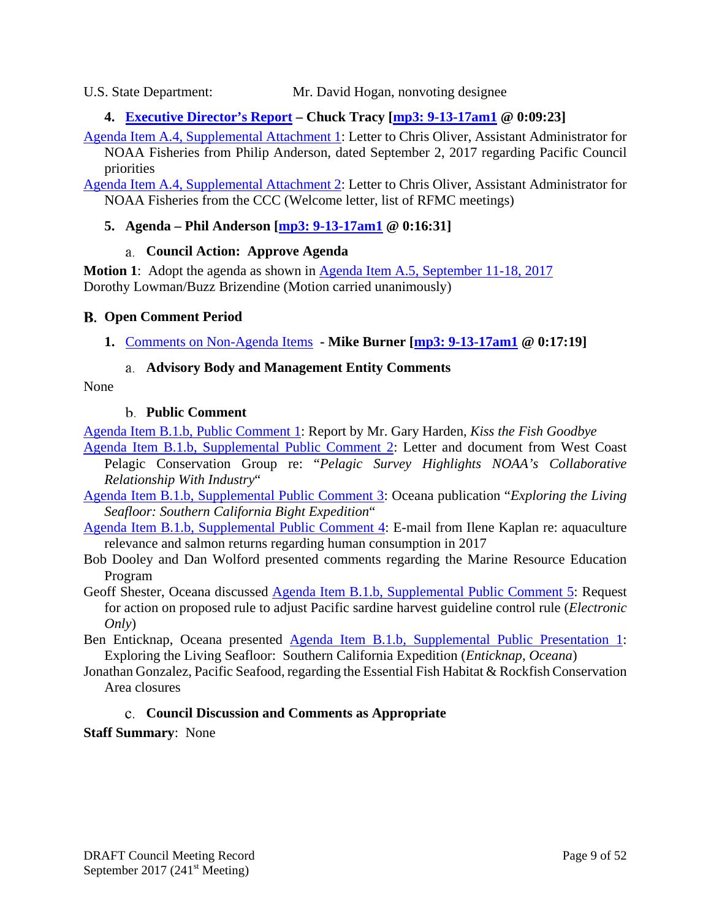U.S. State Department: Mr. David Hogan, nonvoting designee

## <span id="page-8-0"></span>**4. [Executive Director's Report](http://www.pcouncil.org/wp-content/uploads/2017/08/A4__SitSum_EDsRpt_SEPT2017BB.pdf) – Chuck Tracy [\[mp3: 9-13-17am1](ftp://ftp.pcouncil.org/pub/R1709_September_2017_Recordings/9-13-17am1Copy.mp3) @ 0:09:23]**

[Agenda Item A.4, Supplemental Attachment 1:](http://www.pcouncil.org/wp-content/uploads/2017/09/A4_Sup_Att1_PFMC_LetterToOliver_SEPT2017BB.pdf) Letter to Chris Oliver, Assistant Administrator for

NOAA Fisheries from Philip Anderson, dated September 2, 2017 regarding Pacific Council priorities

[Agenda Item A.4, Supplemental Attachment 2:](http://www.pcouncil.org/wp-content/uploads/2017/09/A4_Sup_Att2_CCC_to_Oliver_SEPT2017BB.pdf) Letter to Chris Oliver, Assistant Administrator for NOAA Fisheries from the CCC (Welcome letter, list of RFMC meetings)

## <span id="page-8-1"></span>**5. Agenda – Phil Anderson [\[mp3: 9-13-17am1](ftp://ftp.pcouncil.org/pub/R1709_September_2017_Recordings/9-13-17am1Copy.mp3) @ 0:16:31]**

## **Council Action: Approve Agenda**

<span id="page-8-2"></span>**Motion 1**: Adopt the agenda as shown in [Agenda Item A.5, September 11-18, 2017](http://www.pcouncil.org/wp-content/uploads/2017/08/A5__Agenda_SEPT2017BB.pdf) Dorothy Lowman/Buzz Brizendine (Motion carried unanimously)

## <span id="page-8-3"></span>**Open Comment Period**

<span id="page-8-4"></span>**1.** [Comments on Non-Agenda Items](http://www.pcouncil.org/wp-content/uploads/2017/08/B1__SitSum_SEPT2017BB.pdf) **- Mike Burner [\[mp3: 9-13-17am1](ftp://ftp.pcouncil.org/pub/R1709_September_2017_Recordings/9-13-17am1Copy.mp3) @ 0:17:19]**

## **Advisory Body and Management Entity Comments**

<span id="page-8-6"></span><span id="page-8-5"></span>None

#### **Public Comment**

[Agenda Item B.1.b, Public Comment 1:](http://www.pcouncil.org/wp-content/uploads/2017/08/B1b_PC1_Kiss-the-Fish-Goodbye_SEPT2017BB.pdf) Report by Mr. Gary Harden, *Kiss the Fish Goodbye*

[Agenda Item B.1.b, Supplemental Public Comment 2:](http://www.pcouncil.org/wp-content/uploads/2017/09/B1b_Sup_PC_2_WCPCG_SEPT2017BB.pdf) Letter and document from West Coast Pelagic Conservation Group re: "*Pelagic Survey Highlights NOAA's Collaborative Relationship With Industry*"

[Agenda Item B.1.b, Supplemental Public Comment 3:](http://www.pcouncil.org/wp-content/uploads/2017/09/B1b_Sup_PC_3_Oceana_Revised_SEPT2017BB.pdf) Oceana publication "*Exploring the Living Seafloor: Southern California Bight Expedition*"

[Agenda Item B.1.b, Supplemental Public Comment 4:](http://www.pcouncil.org/wp-content/uploads/2017/09/B1b_Sup_PC_4_SalmonMgmt_Kaplan_SEPT2017BB.pdf) E-mail from Ilene Kaplan re: aquaculture relevance and salmon returns regarding human consumption in 2017

Bob Dooley and Dan Wolford presented comments regarding the Marine Resource Education Program

Geoff Shester, Oceana discussed [Agenda Item B.1.b, Supplemental Public Comment 5:](http://www.pcouncil.org/wp-content/uploads/2017/09/B1b_Sup_PC_5_Oceana_sardineHCR_SEPT2017BB.pdf) Request for action on proposed rule to adjust Pacific sardine harvest guideline control rule (*Electronic Only*)

Ben Enticknap, Oceana presented [Agenda Item B.1.b, Supplemental Public Presentation 1:](http://www.pcouncil.org/wp-content/uploads/2017/09/B1b_Sup_Pub_Prestn1_Enticknap_SEPT2017BB.pdf) Exploring the Living Seafloor: Southern California Expedition (*Enticknap, Oceana*)

<span id="page-8-7"></span>Jonathan Gonzalez, Pacific Seafood, regarding the Essential Fish Habitat & Rockfish Conservation Area closures

#### **Council Discussion and Comments as Appropriate**

**Staff Summary**: None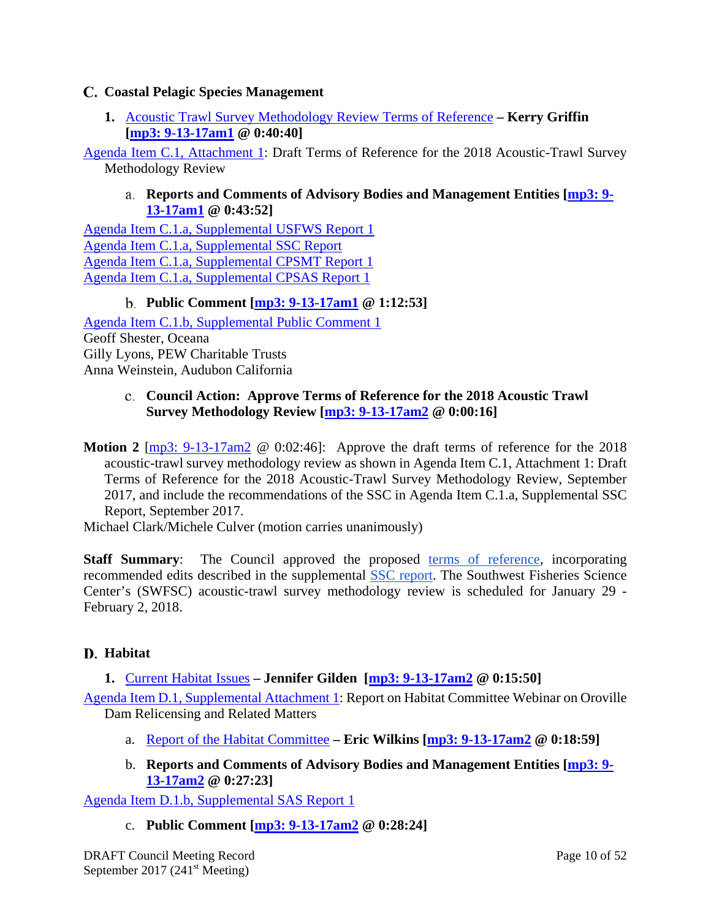## <span id="page-9-0"></span>**Coastal Pelagic Species Management**

<span id="page-9-1"></span>**1.** [Acoustic Trawl Survey Methodology Review Terms of Reference](http://www.pcouncil.org/wp-content/uploads/2017/08/C1__SitSum_Acoustic_Trawl_SurveyToR_SEPT2017BB.pdf) **– Kerry Griffin [\[mp3: 9-13-17am1](ftp://ftp.pcouncil.org/pub/R1709_September_2017_Recordings/9-13-17am1Copy.mp3) @ 0:40:40]**

<span id="page-9-2"></span>[Agenda Item C.1, Attachment 1:](http://www.pcouncil.org/wp-content/uploads/2017/08/C1_Att1_Methodology_ToR_SEPT2017BB.pdf) Draft Terms of Reference for the 2018 Acoustic-Trawl Survey Methodology Review

## **Reports and Comments of Advisory Bodies and Management Entities [\[mp3: 9-](ftp://ftp.pcouncil.org/pub/R1709_September_2017_Recordings/9-13-17am1Copy.mp3) [13-17am1](ftp://ftp.pcouncil.org/pub/R1709_September_2017_Recordings/9-13-17am1Copy.mp3) @ 0:43:52]**

[Agenda Item C.1.a, Supplemental USFWS Report 1](http://www.pcouncil.org/wp-content/uploads/2017/09/C1a_Sup_USFWS_Rpt1_SEPT2017BB.pdf) [Agenda Item C.1.a, Supplemental SSC Report](http://www.pcouncil.org/wp-content/uploads/2017/09/C1a_Sup_SSC_Rpt1_ToR_SEPT2017BB.pdf) [Agenda Item C.1.a, Supplemental CPSMT Report 1](http://www.pcouncil.org/wp-content/uploads/2017/09/C1a_Sup_CPSMT_Rpt1_SEPT2017BB.pdf) [Agenda Item C.1.a, Supplemental CPSAS Report 1](http://www.pcouncil.org/wp-content/uploads/2017/09/C1a_Sup_CPSAS_Rpt1_SEPT2017BB.pdf)

## **Public Comment [\[mp3: 9-13-17am1](ftp://ftp.pcouncil.org/pub/R1709_September_2017_Recordings/9-13-17am1Copy.mp3) @ 1:12:53]**

<span id="page-9-3"></span>[Agenda Item C.1.b, Supplemental Public Comment 1](http://www.pcouncil.org/wp-content/uploads/2017/09/C1b_Sup_PubCom_1_SEPT2017BB.pdf) Geoff Shester, Oceana Gilly Lyons, PEW Charitable Trusts Anna Weinstein, Audubon California

## <span id="page-9-4"></span>**Council Action: Approve Terms of Reference for the 2018 Acoustic Trawl Survey Methodology Review [\[mp3: 9-13-17am2](ftp://ftp.pcouncil.org/pub/R1709_September_2017_Recordings/9-13-17am2Copy.mp3) @ 0:00:16]**

**Motion 2** [\[mp3: 9-13-17am2](ftp://ftp.pcouncil.org/pub/R1709_September_2017_Recordings/9-13-17am2Copy.mp3) @ 0:02:46]: Approve the draft terms of reference for the 2018 acoustic-trawl survey methodology review as shown in Agenda Item C.1, Attachment 1: Draft Terms of Reference for the 2018 Acoustic-Trawl Survey Methodology Review, September 2017, and include the recommendations of the SSC in Agenda Item C.1.a, Supplemental SSC Report, September 2017.

Michael Clark/Michele Culver (motion carries unanimously)

**Staff Summary:** The Council approved the proposed [terms of reference,](http://www.pcouncil.org/wp-content/uploads/2017/08/C1_Att1_Methodology_ToR_SEPT2017BB.pdf) incorporating recommended edits described in the supplemental [SSC report.](http://www.pcouncil.org/wp-content/uploads/2017/09/C1a_Sup_SSC_Rpt1_ToR_SEPT2017BB.pdf) The Southwest Fisheries Science Center's (SWFSC) acoustic-trawl survey methodology review is scheduled for January 29 - February 2, 2018.

## <span id="page-9-5"></span>**Habitat**

<span id="page-9-6"></span>**1.** [Current Habitat Issues](http://www.pcouncil.org/wp-content/uploads/2017/08/D1__SitSum_Current_Habitat_Issues_SEPT2017BB.pdf) **– Jennifer Gilden [\[mp3: 9-13-17am2](ftp://ftp.pcouncil.org/pub/R1709_September_2017_Recordings/9-13-17am2Copy.mp3) @ 0:15:50]**

[Agenda Item D.1, Supplemental Attachment 1:](http://www.pcouncil.org/wp-content/uploads/2017/09/D1_Sup_Att1_HC_OrovilleDam_SEPT2017BB.pdf) Report on Habitat Committee Webinar on Oroville Dam Relicensing and Related Matters

- <span id="page-9-7"></span>a. [Report of the Habitat Committee](http://www.pcouncil.org/wp-content/uploads/2017/09/D1a_Sup_HC_Rpt1_SEPT2017BB.pdf) **– Eric Wilkins [\[mp3: 9-13-17am2](ftp://ftp.pcouncil.org/pub/R1709_September_2017_Recordings/9-13-17am2Copy.mp3) @ 0:18:59]**
- b. **Reports and Comments of Advisory Bodies and Management Entities [\[mp3: 9-](ftp://ftp.pcouncil.org/pub/R1709_September_2017_Recordings/9-13-17am2Copy.mp3) [13-17am2](ftp://ftp.pcouncil.org/pub/R1709_September_2017_Recordings/9-13-17am2Copy.mp3) @ 0:27:23]**

<span id="page-9-9"></span><span id="page-9-8"></span>[Agenda Item D.1.b, Supplemental SAS Report 1](http://www.pcouncil.org/wp-content/uploads/2017/09/D1b_Sup_SAS_Rpt1_Oroville_SEPT2017BB.pdf)

c. **Public Comment [\[mp3: 9-13-17am2](ftp://ftp.pcouncil.org/pub/R1709_September_2017_Recordings/9-13-17am2Copy.mp3) @ 0:28:24]**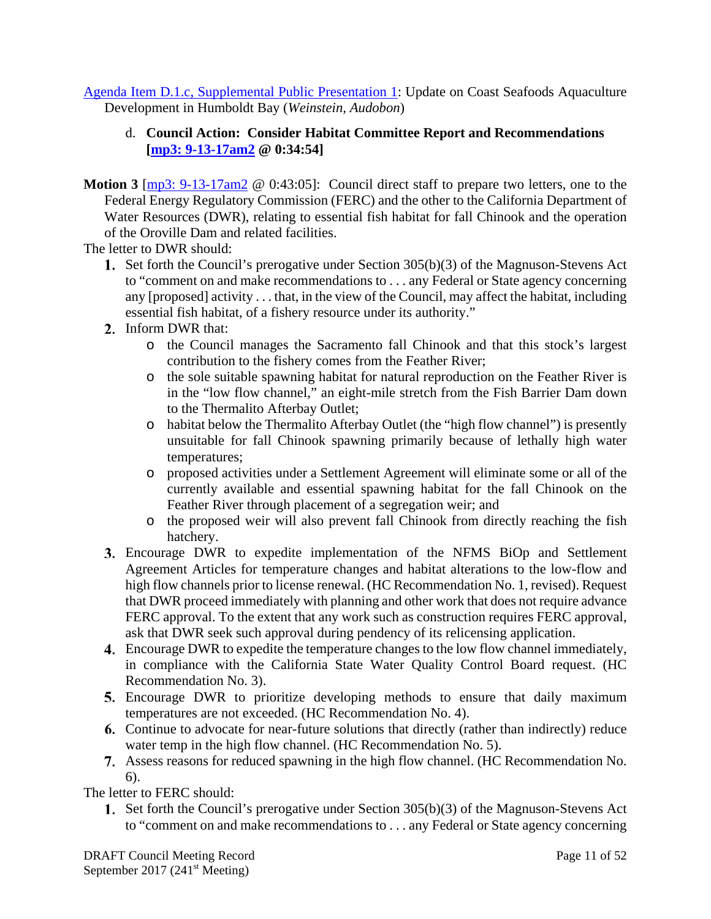<span id="page-10-0"></span>[Agenda Item D.1.c, Supplemental Public Presentation 1:](http://www.pcouncil.org/wp-content/uploads/2017/09/D1c_Sup_Pub_Prestn1_Weinstein_SEPT2017BB.pdf) Update on Coast Seafoods Aquaculture Development in Humboldt Bay (*Weinstein, Audobon*)

## d. **Council Action: Consider Habitat Committee Report and Recommendations [\[mp3: 9-13-17am2](ftp://ftp.pcouncil.org/pub/R1709_September_2017_Recordings/9-13-17am2Copy.mp3) @ 0:34:54]**

**Motion 3** [\[mp3: 9-13-17am2](ftp://ftp.pcouncil.org/pub/R1709_September_2017_Recordings/9-13-17am2Copy.mp3) @ 0:43:05]: Council direct staff to prepare two letters, one to the Federal Energy Regulatory Commission (FERC) and the other to the California Department of Water Resources (DWR), relating to essential fish habitat for fall Chinook and the operation of the Oroville Dam and related facilities.

The letter to DWR should:

- 1. Set forth the Council's prerogative under Section 305(b)(3) of the Magnuson-Stevens Act to "comment on and make recommendations to . . . any Federal or State agency concerning any [proposed] activity . . . that, in the view of the Council, may affect the habitat, including essential fish habitat, of a fishery resource under its authority."
- 2. Inform DWR that:
	- o the Council manages the Sacramento fall Chinook and that this stock's largest contribution to the fishery comes from the Feather River;
	- o the sole suitable spawning habitat for natural reproduction on the Feather River is in the "low flow channel," an eight-mile stretch from the Fish Barrier Dam down to the Thermalito Afterbay Outlet;
	- o habitat below the Thermalito Afterbay Outlet (the "high flow channel") is presently unsuitable for fall Chinook spawning primarily because of lethally high water temperatures;
	- o proposed activities under a Settlement Agreement will eliminate some or all of the currently available and essential spawning habitat for the fall Chinook on the Feather River through placement of a segregation weir; and
	- o the proposed weir will also prevent fall Chinook from directly reaching the fish hatchery.
- Encourage DWR to expedite implementation of the NFMS BiOp and Settlement Agreement Articles for temperature changes and habitat alterations to the low-flow and high flow channels prior to license renewal. (HC Recommendation No. 1, revised). Request that DWR proceed immediately with planning and other work that does not require advance FERC approval. To the extent that any work such as construction requires FERC approval, ask that DWR seek such approval during pendency of its relicensing application.
- 4. Encourage DWR to expedite the temperature changes to the low flow channel immediately, in compliance with the California State Water Quality Control Board request. (HC Recommendation No. 3).
- 5. Encourage DWR to prioritize developing methods to ensure that daily maximum temperatures are not exceeded. (HC Recommendation No. 4).
- 6. Continue to advocate for near-future solutions that directly (rather than indirectly) reduce water temp in the high flow channel. (HC Recommendation No. 5).
- Assess reasons for reduced spawning in the high flow channel. (HC Recommendation No. 6).

The letter to FERC should:

**1.** Set forth the Council's prerogative under Section  $305(b)(3)$  of the Magnuson-Stevens Act to "comment on and make recommendations to . . . any Federal or State agency concerning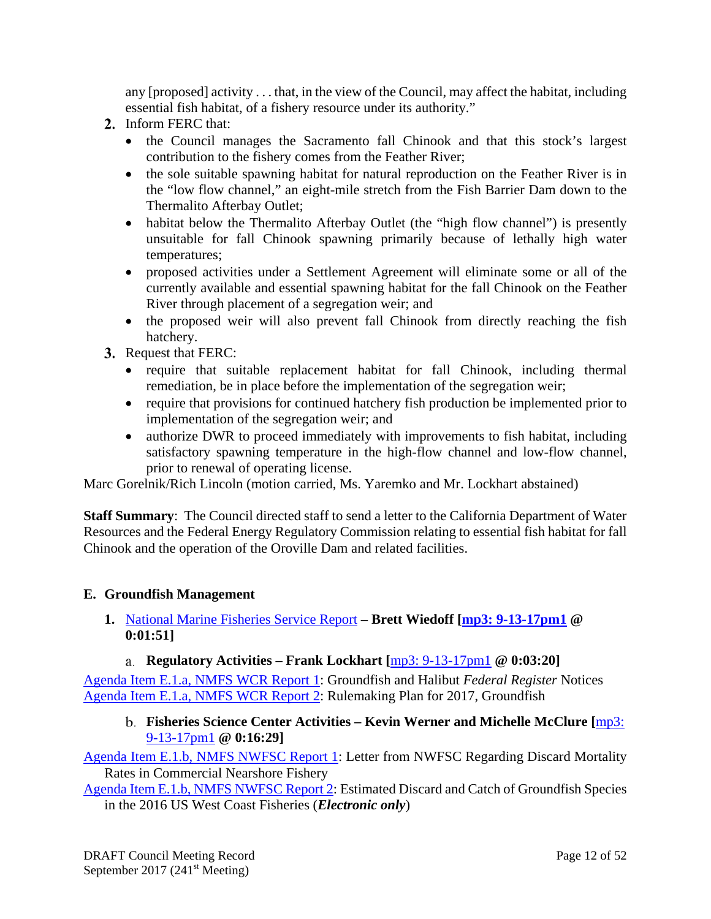any [proposed] activity . . . that, in the view of the Council, may affect the habitat, including essential fish habitat, of a fishery resource under its authority."

- 2. Inform FERC that:
	- the Council manages the Sacramento fall Chinook and that this stock's largest contribution to the fishery comes from the Feather River;
	- the sole suitable spawning habitat for natural reproduction on the Feather River is in the "low flow channel," an eight-mile stretch from the Fish Barrier Dam down to the Thermalito Afterbay Outlet;
	- habitat below the Thermalito Afterbay Outlet (the "high flow channel") is presently unsuitable for fall Chinook spawning primarily because of lethally high water temperatures;
	- proposed activities under a Settlement Agreement will eliminate some or all of the currently available and essential spawning habitat for the fall Chinook on the Feather River through placement of a segregation weir; and
	- the proposed weir will also prevent fall Chinook from directly reaching the fish hatchery.
- 3. Request that FERC:
	- require that suitable replacement habitat for fall Chinook, including thermal remediation, be in place before the implementation of the segregation weir;
	- require that provisions for continued hatchery fish production be implemented prior to implementation of the segregation weir; and
	- authorize DWR to proceed immediately with improvements to fish habitat, including satisfactory spawning temperature in the high-flow channel and low-flow channel, prior to renewal of operating license.

Marc Gorelnik/Rich Lincoln (motion carried, Ms. Yaremko and Mr. Lockhart abstained)

**Staff Summary**: The Council directed staff to send a letter to the California Department of Water Resources and the Federal Energy Regulatory Commission relating to essential fish habitat for fall Chinook and the operation of the Oroville Dam and related facilities.

## <span id="page-11-0"></span>**E. Groundfish Management**

<span id="page-11-1"></span>**1.** [National Marine Fisheries Service Report](http://www.pcouncil.org/wp-content/uploads/2017/08/E1__SitSum_NMFS_Rpt_SEPT2017BB.pdf) **– Brett Wiedoff [\[mp3: 9-13-17pm1](ftp://ftp.pcouncil.org/pub/R1709_September_2017_Recordings/9-13-17pm1Copy.mp3) @ 0:01:51]**

## **Regulatory Activities – Frank Lockhart [**[mp3: 9-13-17pm1](ftp://ftp.pcouncil.org/pub/R1709_September_2017_Recordings/9-13-17pm1Copy.mp3) **@ 0:03:20]**

<span id="page-11-3"></span><span id="page-11-2"></span>[Agenda Item E.1.a, NMFS WCR Report 1:](http://www.pcouncil.org/wp-content/uploads/2017/08/E1a_NMFS_WCR_Rpt_1_Groundfish_and_Halibut_Notices_SEPT2017BB.pdf) Groundfish and Halibut *Federal Register* Notices [Agenda Item E.1.a, NMFS WCR Report 2:](http://www.pcouncil.org/wp-content/uploads/2017/08/E1a_NMFS_WCR_Rpt_2-NMFS_Rulemaking_Plan_and_Major_Activities_SEPT2017BB.pdf) Rulemaking Plan for 2017, Groundfish

## **Fisheries Science Center Activities – Kevin Werner and Michelle McClure [**[mp3:](ftp://ftp.pcouncil.org/pub/R1709_September_2017_Recordings/9-13-17pm1Copy.mp3)  [9-13-17pm1](ftp://ftp.pcouncil.org/pub/R1709_September_2017_Recordings/9-13-17pm1Copy.mp3) **@ 0:16:29]**

[Agenda Item E.1.b, NMFS NWFSC Report 1:](http://www.pcouncil.org/wp-content/uploads/2017/08/E1b_NMFS_NWFSC_Rpt_1_discard_mortality_rates_NWFSC_Ltr_Revised_SEPT2017BB.pdf) Letter from NWFSC Regarding Discard Mortality Rates in Commercial Nearshore Fishery

[Agenda Item E.1.b, NMFS NWFSC Report 2:](http://www.pcouncil.org/wp-content/uploads/2017/08/E1b_NMFS_NWFSC_Rpt_2_E-Only_Groundfish_Mortality_2016_SEPT2017BB.pdf) Estimated Discard and Catch of Groundfish Species in the 2016 US West Coast Fisheries (*Electronic only*)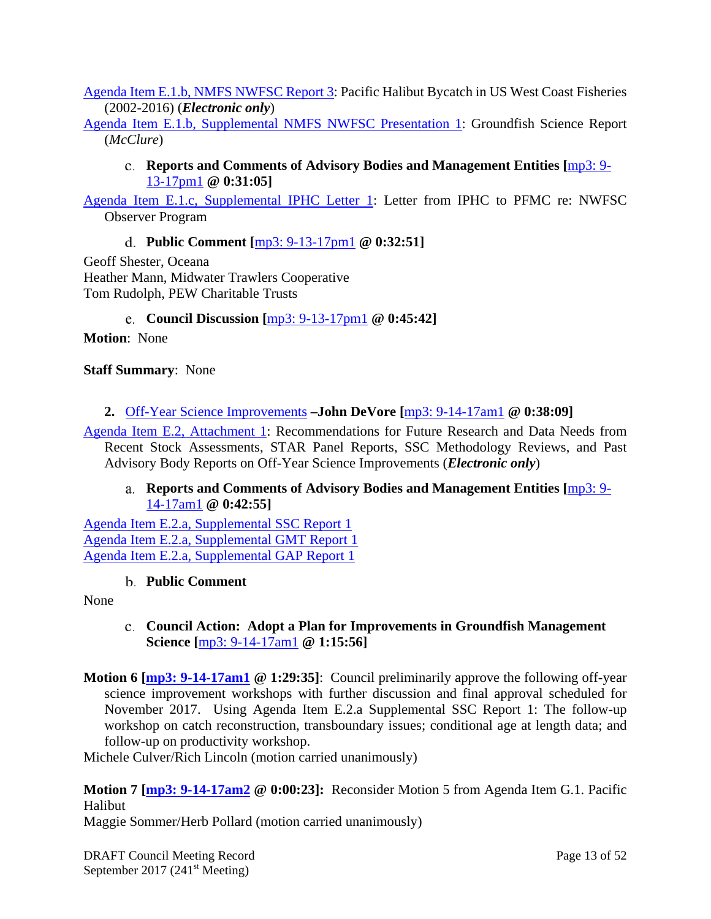[Agenda Item E.1.b, NMFS NWFSC Report 3:](http://www.pcouncil.org/wp-content/uploads/2017/08/E1b_NMFS_NWFSC_Rpt_3_E-Only_Pacific_halibut_Bycatch_Rpt_2002_2016_SEPT2017BB.pdf) Pacific Halibut Bycatch in US West Coast Fisheries (2002-2016) (*Electronic only*)

<span id="page-12-0"></span>[Agenda Item E.1.b, Supplemental NMFS NWFSC Presentation 1:](http://www.pcouncil.org/wp-content/uploads/2017/09/E1b_Sup_NMFS_NWFSC_Prestn1_McClure_SEPT2017BB.pdf) Groundfish Science Report (*McClure*)

## **Reports and Comments of Advisory Bodies and Management Entities [**[mp3: 9-](ftp://ftp.pcouncil.org/pub/R1709_September_2017_Recordings/9-13-17pm1Copy.mp3) [13-17pm1](ftp://ftp.pcouncil.org/pub/R1709_September_2017_Recordings/9-13-17pm1Copy.mp3) **@ 0:31:05]**

<span id="page-12-1"></span>Agenda Item [E.1.c, Supplemental IPHC Letter 1:](http://www.pcouncil.org/wp-content/uploads/2017/09/E1c_Sup_IPHC_Letter1_SEPT2017BB.pdf) Letter from IPHC to PFMC re: NWFSC Observer Program

## **Public Comment [**[mp3: 9-13-17pm1](ftp://ftp.pcouncil.org/pub/R1709_September_2017_Recordings/9-13-17pm1Copy.mp3) **@ 0:32:51]**

Geoff Shester, Oceana Heather Mann, Midwater Trawlers Cooperative Tom Rudolph, PEW Charitable Trusts

**Council Discussion [**[mp3: 9-13-17pm1](ftp://ftp.pcouncil.org/pub/R1709_September_2017_Recordings/9-13-17pm1Copy.mp3) **@ 0:45:42]**

<span id="page-12-2"></span>**Motion**: None

## **Staff Summary**: None

## <span id="page-12-3"></span>**2.** [Off-Year Science Improvements](http://www.pcouncil.org/wp-content/uploads/2017/08/E2__SitSum_OffYearScience_SEPT2017BB.pdf) **–John DeVore [**[mp3: 9-14-17am1](ftp://ftp.pcouncil.org/pub/R1709_September_2017_Recordings/9-14-17am1Copy.mp3) **@ 0:38:09]**

[Agenda Item E.2, Attachment 1:](http://www.pcouncil.org/wp-content/uploads/2017/08/E2_Att1_E-Only_ResearchDataNeeds_OffYearScience_SEPT2017BB.pdf) Recommendations for Future Research and Data Needs from Recent Stock Assessments, STAR Panel Reports, SSC Methodology Reviews, and Past Advisory Body Reports on Off-Year Science Improvements (*Electronic only*)

## <span id="page-12-4"></span>**Reports and Comments of Advisory Bodies and Management Entities [**[mp3: 9-](ftp://ftp.pcouncil.org/pub/R1709_September_2017_Recordings/9-14-17am1Copy.mp3) [14-17am1](ftp://ftp.pcouncil.org/pub/R1709_September_2017_Recordings/9-14-17am1Copy.mp3) **@ 0:42:55]**

[Agenda Item E.2.a, Supplemental SSC Report 1](http://www.pcouncil.org/wp-content/uploads/2017/09/E2a_Sup_SSC_Rpt1_SEPT2017BB.pdf) [Agenda Item E.2.a, Supplemental GMT Report 1](http://www.pcouncil.org/wp-content/uploads/2017/09/E2a_Sup_GMT_Rpt1_OffYearScience_SEPT2017BB.pdf) [Agenda Item E.2.a, Supplemental GAP Report 1](http://www.pcouncil.org/wp-content/uploads/2017/09/E2a_Sup_GAP_Rpt1_OffYearScience_SEPT2017BB.pdf)

#### **Public Comment**

<span id="page-12-6"></span><span id="page-12-5"></span>None

## **Council Action: Adopt a Plan for Improvements in Groundfish Management Science [**[mp3: 9-14-17am1](ftp://ftp.pcouncil.org/pub/R1709_September_2017_Recordings/9-14-17am1Copy.mp3) **@ 1:15:56]**

**Motion 6 [\[mp3: 9-14-17am1](ftp://ftp.pcouncil.org/pub/R1709_September_2017_Recordings/9-14-17am1Copy.mp3) @ 1:29:35]**: Council preliminarily approve the following off-year science improvement workshops with further discussion and final approval scheduled for November 2017. Using Agenda Item E.2.a Supplemental SSC Report 1: The follow-up workshop on catch reconstruction, transboundary issues; conditional age at length data; and follow-up on productivity workshop.

Michele Culver/Rich Lincoln (motion carried unanimously)

**Motion 7 [\[mp3: 9-14-17am2](ftp://ftp.pcouncil.org/pub/R1709_September_2017_Recordings/9-14-17am2Copy.mp3) @ 0:00:23]:** Reconsider Motion 5 from Agenda Item G.1. Pacific Halibut

Maggie Sommer/Herb Pollard (motion carried unanimously)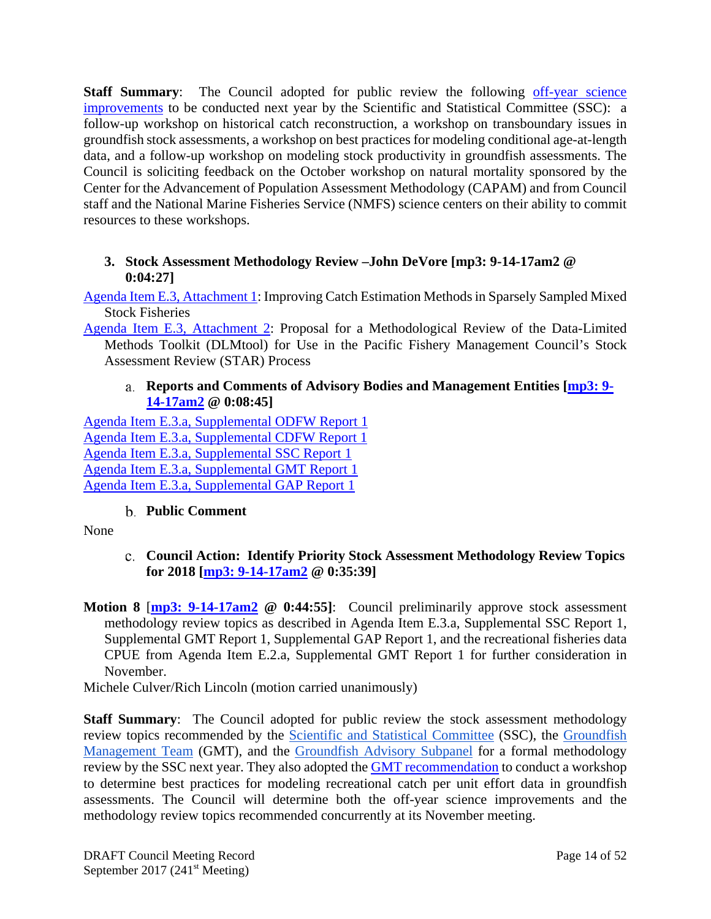**Staff Summary:** The Council adopted for public review the following off-year science [improvements](http://www.pcouncil.org/wp-content/uploads/2017/09/E2a_Sup_SSC_Rpt1_SEPT2017BB.pdf) to be conducted next year by the Scientific and Statistical Committee (SSC): a follow-up workshop on historical catch reconstruction, a workshop on transboundary issues in groundfish stock assessments, a workshop on best practices for modeling conditional age-at-length data, and a follow-up workshop on modeling stock productivity in groundfish assessments. The Council is soliciting feedback on the October workshop on natural mortality sponsored by the Center for the Advancement of Population Assessment Methodology (CAPAM) and from Council staff and the National Marine Fisheries Service (NMFS) science centers on their ability to commit resources to these workshops.

## <span id="page-13-0"></span>**3. [Stock Assessment Methodology Review](http://www.pcouncil.org/wp-content/uploads/2017/08/E3__SitSum_AssessmentMethodologyRvw_SEPT2017BB.pdf) –John DeVore [\[mp3: 9-14-17am2](ftp://ftp.pcouncil.org/pub/R1709_September_2017_Recordings/9-14-17am2Copy.mp3) @ 0:04:27]**

[Agenda Item E.3, Attachment 1:](http://www.pcouncil.org/wp-content/uploads/2017/08/E3_Att1_ImprovingCatchEst_SEPT2017BB.pdf) Improving Catch Estimation Methods in Sparsely Sampled Mixed Stock Fisheries

[Agenda Item E.3, Attachment 2:](http://www.pcouncil.org/wp-content/uploads/2017/08/E3_Att2_PFMC_Methodological_Review_DLMtool_Proposal_SEPT2017BB.pdf) Proposal for a Methodological Review of the Data-Limited Methods Toolkit (DLMtool) for Use in the Pacific Fishery Management Council's Stock Assessment Review (STAR) Process

## <span id="page-13-1"></span>**Reports and Comments of Advisory Bodies and Management Entities [\[mp3: 9-](ftp://ftp.pcouncil.org/pub/R1709_September_2017_Recordings/9-14-17am2Copy.mp3) [14-17am2](ftp://ftp.pcouncil.org/pub/R1709_September_2017_Recordings/9-14-17am2Copy.mp3) @ 0:08:45]**

[Agenda Item E.3.a, Supplemental ODFW Report 1](http://www.pcouncil.org/wp-content/uploads/2017/09/E3a_Sup_ODFW_Rpt1_SEPT2017BB.pdf) [Agenda Item E.3.a, Supplemental CDFW Report 1](http://www.pcouncil.org/wp-content/uploads/2017/09/E3a_Sup_CDFW_Rpt1_SEPT2017BB.pdf) [Agenda Item E.3.a, Supplemental SSC Report 1](http://www.pcouncil.org/wp-content/uploads/2017/09/E3a_Sup_SSC_Rpt1_SEPT2017BB.pdf) [Agenda Item E.3.a, Supplemental GMT Report 1](http://www.pcouncil.org/wp-content/uploads/2017/09/E3a_Sup_GMT_Rpt1_SEPT2017BB.pdf) [Agenda Item E.3.a, Supplemental GAP Report 1](http://www.pcouncil.org/wp-content/uploads/2017/09/E3a_Sup_GAP_Rpt1_SEPT2017BB.pdf)

## **Public Comment**

<span id="page-13-3"></span><span id="page-13-2"></span>None

## **Council Action: Identify Priority Stock Assessment Methodology Review Topics for 2018 [\[mp3: 9-14-17am2](ftp://ftp.pcouncil.org/pub/R1709_September_2017_Recordings/9-14-17am2Copy.mp3) @ 0:35:39]**

**Motion 8** [**[mp3: 9-14-17am2](ftp://ftp.pcouncil.org/pub/R1709_September_2017_Recordings/9-14-17am2Copy.mp3) @ 0:44:55]**: Council preliminarily approve stock assessment methodology review topics as described in Agenda Item E.3.a, Supplemental SSC Report 1, Supplemental GMT Report 1, Supplemental GAP Report 1, and the recreational fisheries data CPUE from Agenda Item E.2.a, Supplemental GMT Report 1 for further consideration in November.

Michele Culver/Rich Lincoln (motion carried unanimously)

**Staff Summary**: The Council adopted for public review the stock assessment methodology review topics recommended by the [Scientific and Statistical Committee](http://www.pcouncil.org/wp-content/uploads/2017/09/E3a_Sup_SSC_Rpt1_SEPT2017BB.pdf) (SSC), the [Groundfish](http://www.pcouncil.org/wp-content/uploads/2017/09/E3a_Sup_GMT_Rpt1_SEPT2017BB.pdf)  [Management Team](http://www.pcouncil.org/wp-content/uploads/2017/09/E3a_Sup_GMT_Rpt1_SEPT2017BB.pdf) (GMT), and the [Groundfish Advisory Subpanel](http://www.pcouncil.org/wp-content/uploads/2017/09/E3a_Sup_GAP_Rpt1_SEPT2017BB.pdf) for a formal methodology review by the SSC next year. They also adopted th[e GMT recommendation](http://www.pcouncil.org/wp-content/uploads/2017/09/E2a_Sup_GMT_Rpt1_OffYearScience_SEPT2017BB.pdf) to conduct a workshop to determine best practices for modeling recreational catch per unit effort data in groundfish assessments. The Council will determine both the off-year science improvements and the methodology review topics recommended concurrently at its November meeting.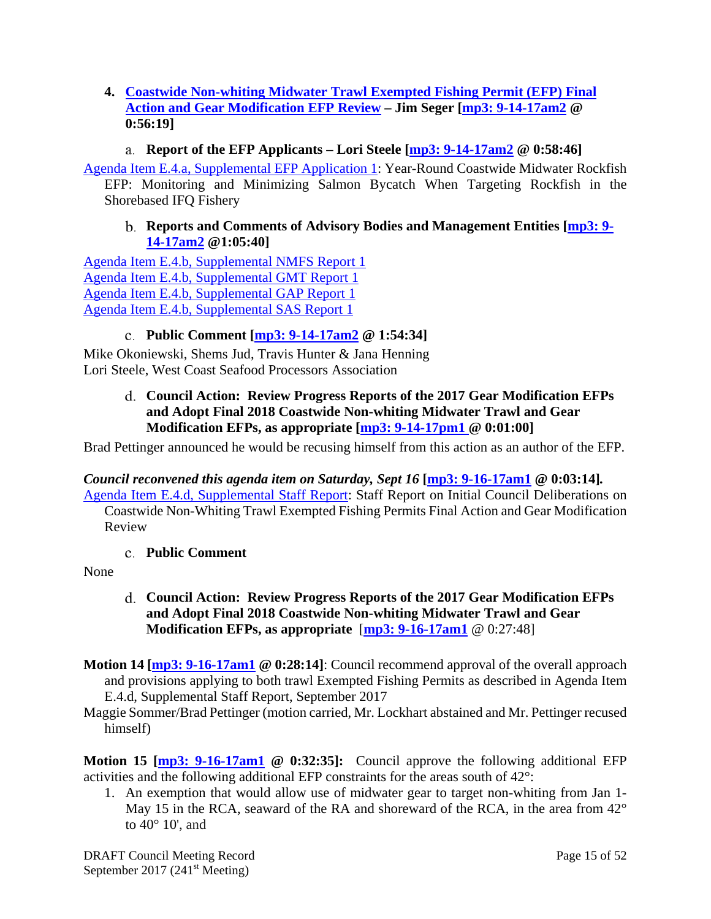<span id="page-14-0"></span>**4. [Coastwide Non-whiting Midwater Trawl Exempted Fishing Permit \(EFP\) Final](http://www.pcouncil.org/wp-content/uploads/2017/08/E4__SitSum_EFPs_SEPT2017BB.pdf)  [Action and Gear Modification EFP Review](http://www.pcouncil.org/wp-content/uploads/2017/08/E4__SitSum_EFPs_SEPT2017BB.pdf) – Jim Seger [\[mp3: 9-14-17am2](ftp://ftp.pcouncil.org/pub/R1709_September_2017_Recordings/9-14-17am2Copy.mp3) @ 0:56:19]**

## **Report of the EFP Applicants – Lori Steele [\[mp3: 9-14-17am2](ftp://ftp.pcouncil.org/pub/R1709_September_2017_Recordings/9-14-17am2Copy.mp3) @ 0:58:46]**

<span id="page-14-1"></span>[Agenda Item E.4.a, Supplemental EFP Application 1:](http://www.pcouncil.org/wp-content/uploads/2017/09/E4a_Sup_EFP_App1_SEPT2017BB.pdf) Year-Round Coastwide Midwater Rockfish EFP: Monitoring and Minimizing Salmon Bycatch When Targeting Rockfish in the Shorebased IFQ Fishery

## <span id="page-14-2"></span>**Reports and Comments of Advisory Bodies and Management Entities [\[mp3: 9-](ftp://ftp.pcouncil.org/pub/R1709_September_2017_Recordings/9-14-17am2Copy.mp3) [14-17am2](ftp://ftp.pcouncil.org/pub/R1709_September_2017_Recordings/9-14-17am2Copy.mp3) @1:05:40]**

[Agenda Item E.4.b, Supplemental NMFS Report 1](http://www.pcouncil.org/wp-content/uploads/2017/09/E4b_Sup_NMFS_Rpt1_SEPT2017BB.pdf) [Agenda Item E.4.b, Supplemental GMT Report 1](http://www.pcouncil.org/wp-content/uploads/2017/09/E4b_Sup_GMT_Rpt1_SEPT2017BB.pdf) [Agenda Item E.4.b, Supplemental GAP Report 1](http://www.pcouncil.org/wp-content/uploads/2017/09/E4b_Sup_GAP_Rpt1_SEPT2017BB.pdf) [Agenda Item E.4.b, Supplemental SAS Report 1](http://www.pcouncil.org/wp-content/uploads/2017/09/E4b_Sup_SAS_Rpt1_SEPT2017BB.pdf)

## **Public Comment [\[mp3: 9-14-17am2](ftp://ftp.pcouncil.org/pub/R1709_September_2017_Recordings/9-14-17am2Copy.mp3) @ 1:54:34]**

<span id="page-14-4"></span><span id="page-14-3"></span>Mike Okoniewski, Shems Jud, Travis Hunter & Jana Henning Lori Steele, West Coast Seafood Processors Association

## **Council Action: Review Progress Reports of the 2017 Gear Modification EFPs and Adopt Final 2018 Coastwide Non-whiting Midwater Trawl and Gear Modification EFPs, as appropriate [\[mp3: 9-14-17pm1](ftp://ftp.pcouncil.org/pub/R1709_September_2017_Recordings/9-14-17pm1Copy.mp3) @ 0:01:00]**

Brad Pettinger announced he would be recusing himself from this action as an author of the EFP.

## *Council reconvened this agenda item on Saturday, Sept 16* **[\[mp3: 9-16-17am1](ftp://ftp.pcouncil.org/pub/R1709_September_2017_Recordings/9-16-17am1Copy.mp3) @ 0:03:14]***.*

[Agenda Item E.4.d, Supplemental Staff Report:](http://www.pcouncil.org/wp-content/uploads/2017/09/E4d_Sup_Staff_Rpt_EFP_Summary_Final_09152017v2_SEPT2017BB.pdf) Staff Report on Initial Council Deliberations on Coastwide Non-Whiting Trawl Exempted Fishing Permits Final Action and Gear Modification Review

**Public Comment**

<span id="page-14-6"></span><span id="page-14-5"></span>None

- **Council Action: Review Progress Reports of the 2017 Gear Modification EFPs and Adopt Final 2018 Coastwide Non-whiting Midwater Trawl and Gear Modification EFPs, as appropriate** [**[mp3: 9-16-17am1](ftp://ftp.pcouncil.org/pub/R1709_September_2017_Recordings/9-16-17am1Copy.mp3)** @ 0:27:48]
- **Motion 14 [\[mp3: 9-16-17am1](ftp://ftp.pcouncil.org/pub/R1709_September_2017_Recordings/9-16-17am1Copy.mp3) @ 0:28:14]**: Council recommend approval of the overall approach and provisions applying to both trawl Exempted Fishing Permits as described in Agenda Item E.4.d, Supplemental Staff Report, September 2017
- Maggie Sommer/Brad Pettinger (motion carried, Mr. Lockhart abstained and Mr. Pettinger recused himself)

**Motion 15 [\[mp3: 9-16-17am1](ftp://ftp.pcouncil.org/pub/R1709_September_2017_Recordings/9-16-17am1Copy.mp3) @ 0:32:35]:** Council approve the following additional EFP activities and the following additional EFP constraints for the areas south of 42°:

1. An exemption that would allow use of midwater gear to target non-whiting from Jan 1- May 15 in the RCA, seaward of the RA and shoreward of the RCA, in the area from 42<sup>°</sup> to 40° 10', and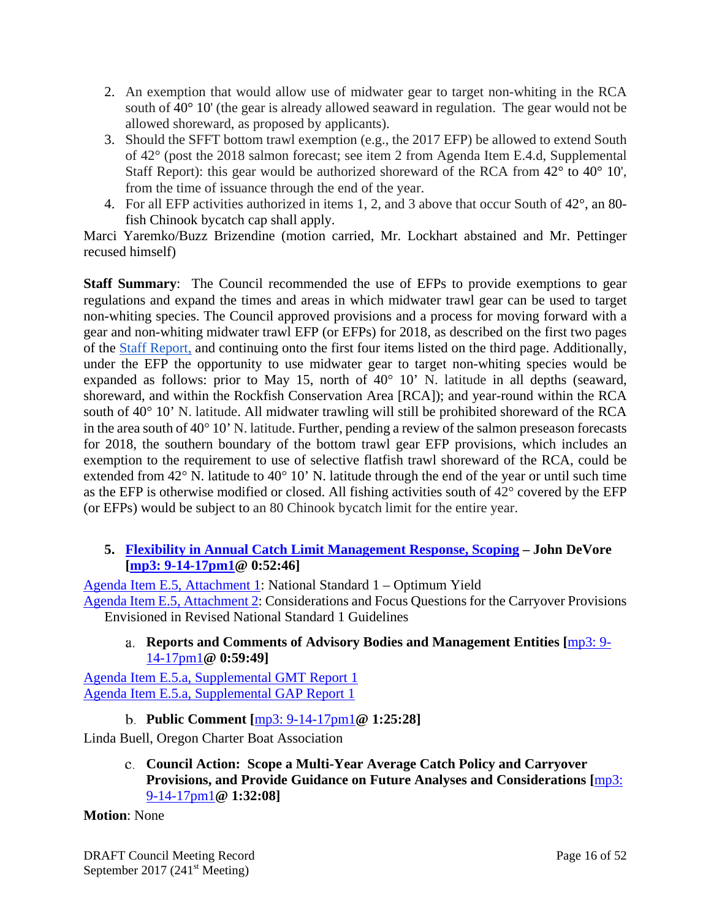- 2. An exemption that would allow use of midwater gear to target non-whiting in the RCA south of 40° 10' (the gear is already allowed seaward in regulation. The gear would not be allowed shoreward, as proposed by applicants).
- 3. Should the SFFT bottom trawl exemption (e.g., the 2017 EFP) be allowed to extend South of 42° (post the 2018 salmon forecast; see item 2 from Agenda Item E.4.d, Supplemental Staff Report): this gear would be authorized shoreward of the RCA from  $42^{\circ}$  to  $40^{\circ}$  10', from the time of issuance through the end of the year.
- 4. For all EFP activities authorized in items 1, 2, and 3 above that occur South of 42°, an 80 fish Chinook bycatch cap shall apply.

Marci Yaremko/Buzz Brizendine (motion carried, Mr. Lockhart abstained and Mr. Pettinger recused himself)

**Staff Summary:** The Council recommended the use of EFPs to provide exemptions to gear regulations and expand the times and areas in which midwater trawl gear can be used to target non-whiting species. The Council approved provisions and a process for moving forward with a gear and non-whiting midwater trawl EFP (or EFPs) for 2018, as described on the first two pages of the [Staff Report,](http://www.pcouncil.org/wp-content/uploads/2017/09/E4d_Sup_Staff_Rpt_EFP_Summary_Final_09152017v2_SEPT2017BB.pdf) and continuing onto the first four items listed on the third page. Additionally, under the EFP the opportunity to use midwater gear to target non-whiting species would be expanded as follows: prior to May 15, north of 40° 10' N. latitude in all depths (seaward, shoreward, and within the Rockfish Conservation Area [RCA]); and year-round within the RCA south of 40° 10' N. latitude. All midwater trawling will still be prohibited shoreward of the RCA in the area south of 40° 10' N. latitude. Further, pending a review of the salmon preseason forecasts for 2018, the southern boundary of the bottom trawl gear EFP provisions, which includes an exemption to the requirement to use of selective flatfish trawl shoreward of the RCA, could be extended from 42° N. latitude to 40° 10' N. latitude through the end of the year or until such time as the EFP is otherwise modified or closed. All fishing activities south of 42° covered by the EFP (or EFPs) would be subject to an 80 Chinook bycatch limit for the entire year.

## <span id="page-15-0"></span>**5. [Flexibility in Annual Catch Limit Management Response, Scoping](http://www.pcouncil.org/wp-content/uploads/2017/08/E5__SitSum_MultiYearCatchPolicies_SEPT2017BB.pdf) – John DeVore [\[mp3: 9-14-17pm1@](ftp://ftp.pcouncil.org/pub/R1709_September_2017_Recordings/9-14-17pm1Copy.mp3) 0:52:46]**

[Agenda Item E.5, Attachment 1:](http://www.pcouncil.org/wp-content/uploads/2017/08/E5_Att1_NS1_Guidelines_SEPT2017BB.pdf) National Standard 1 – Optimum Yield [Agenda Item E.5, Attachment 2:](http://www.pcouncil.org/wp-content/uploads/2017/08/E5_Att2_Considerations_for_Carryover_Provisions_SEPT2017BB.pdf) Considerations and Focus Questions for the Carryover Provisions Envisioned in Revised National Standard 1 Guidelines

## <span id="page-15-1"></span>**Reports and Comments of Advisory Bodies and Management Entities [**[mp3: 9-](ftp://ftp.pcouncil.org/pub/R1709_September_2017_Recordings/9-14-17pm1Copy.mp3) [14-17pm1](ftp://ftp.pcouncil.org/pub/R1709_September_2017_Recordings/9-14-17pm1Copy.mp3)**@ 0:59:49]**

[Agenda Item E.5.a, Supplemental GMT Report 1](http://www.pcouncil.org/wp-content/uploads/2017/09/E5a_Sup_GMT_Rpt1_SEPT2017BB.pdf) [Agenda Item E.5.a, Supplemental GAP Report 1](http://www.pcouncil.org/wp-content/uploads/2017/09/E5a_Sup_GAP_Rpt1_SEPT2017BB.pdf)

**Public Comment [**[mp3: 9-14-17pm1](ftp://ftp.pcouncil.org/pub/R1709_September_2017_Recordings/9-14-17pm1Copy.mp3)**@ 1:25:28]**

<span id="page-15-3"></span><span id="page-15-2"></span>Linda Buell, Oregon Charter Boat Association

**Council Action: Scope a Multi-Year Average Catch Policy and Carryover Provisions, and Provide Guidance on Future Analyses and Considerations [**[mp3:](ftp://ftp.pcouncil.org/pub/R1709_September_2017_Recordings/9-14-17pm1Copy.mp3)  [9-14-17pm1](ftp://ftp.pcouncil.org/pub/R1709_September_2017_Recordings/9-14-17pm1Copy.mp3)**@ 1:32:08]**

## **Motion**: None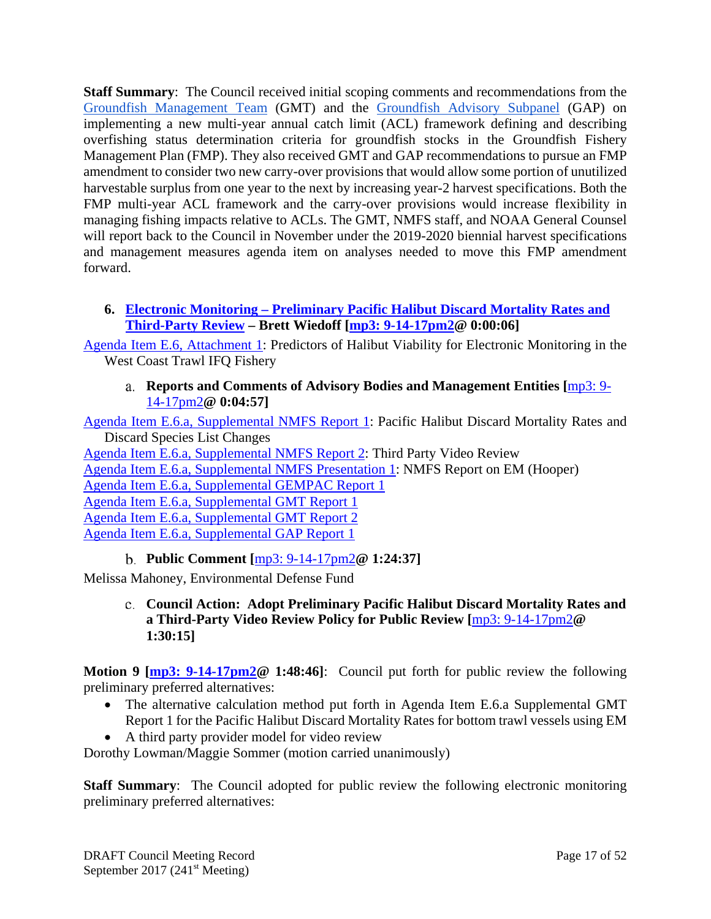**Staff Summary**: The Council received initial scoping comments and recommendations from the [Groundfish Management Team](http://www.pcouncil.org/wp-content/uploads/2017/09/E5a_Sup_GMT_Rpt1_SEPT2017BB.pdf) (GMT) and the [Groundfish Advisory Subpanel](http://www.pcouncil.org/wp-content/uploads/2017/09/E5a_Sup_GAP_Rpt1_SEPT2017BB.pdf) (GAP) on implementing a new multi-year annual catch limit (ACL) framework defining and describing overfishing status determination criteria for groundfish stocks in the Groundfish Fishery Management Plan (FMP). They also received GMT and GAP recommendations to pursue an FMP amendment to consider two new carry-over provisions that would allow some portion of unutilized harvestable surplus from one year to the next by increasing year-2 harvest specifications. Both the FMP multi-year ACL framework and the carry-over provisions would increase flexibility in managing fishing impacts relative to ACLs. The GMT, NMFS staff, and NOAA General Counsel will report back to the Council in November under the 2019-2020 biennial harvest specifications and management measures agenda item on analyses needed to move this FMP amendment forward.

## <span id="page-16-0"></span>**6. Electronic Monitoring – [Preliminary Pacific Halibut Discard Mortality Rates and](http://www.pcouncil.org/wp-content/uploads/2017/08/E6__SitSum_EM_SEPT2017BB.pdf)  [Third-Party Review](http://www.pcouncil.org/wp-content/uploads/2017/08/E6__SitSum_EM_SEPT2017BB.pdf) – Brett Wiedoff [\[mp3: 9-14-17pm2@](ftp://ftp.pcouncil.org/pub/R1709_September_2017_Recordings/9-14-17pm2Copy.mp3) 0:00:06]**

<span id="page-16-1"></span>[Agenda Item E.6, Attachment 1:](http://www.pcouncil.org/wp-content/uploads/2017/08/E6_Att1_PSMFC_Halibut_Viability_Rpt_SEPT2017BB.pdf) Predictors of Halibut Viability for Electronic Monitoring in the West Coast Trawl IFQ Fishery

**Reports and Comments of Advisory Bodies and Management Entities [**[mp3: 9-](ftp://ftp.pcouncil.org/pub/R1709_September_2017_Recordings/9-14-17pm2Copy.mp3) [14-17pm2](ftp://ftp.pcouncil.org/pub/R1709_September_2017_Recordings/9-14-17pm2Copy.mp3)**@ 0:04:57]**

[Agenda Item E.6.a, Supplemental NMFS Report 1:](http://www.pcouncil.org/wp-content/uploads/2017/09/E6a_Sup_NMFS_Rpt1_SEPT2017BB.pdf) Pacific Halibut Discard Mortality Rates and Discard Species List Changes

[Agenda Item E.6.a, Supplemental NMFS Report 2:](http://www.pcouncil.org/wp-content/uploads/2017/09/E6a_Sup_NMFS_Rpt2_3rdPartyRvw_SEPT2017BB.pdf) Third Party Video Review [Agenda Item E.6.a, Supplemental NMFS Presentation 1:](http://www.pcouncil.org/wp-content/uploads/2017/09/E6a_Sup_NMFS_Prestn1_EM_Hooper_SEPT2017BB.pdf) NMFS Report on EM (Hooper) [Agenda Item E.6.a, Supplemental GEMPAC Report 1](http://www.pcouncil.org/wp-content/uploads/2017/09/E6a_Sup_GEMPAC_Rpt1_SEPT2017BB.pdf) [Agenda Item E.6.a, Supplemental GMT Report 1](http://www.pcouncil.org/wp-content/uploads/2017/09/E6a_Sup_GMT_Rpt1_SEPT2017BB.pdf) [Agenda Item E.6.a, Supplemental GMT Report 2](http://www.pcouncil.org/wp-content/uploads/2017/09/E6a_Sup_GMT_Rpt2_SEPT2017BB.pdf) [Agenda Item E.6.a, Supplemental GAP Report 1](http://www.pcouncil.org/wp-content/uploads/2017/09/E6a_Sup_GAP_Rpt-1_EM_SEPT2017BB.pdf)

**Public Comment [**[mp3: 9-14-17pm2](ftp://ftp.pcouncil.org/pub/R1709_September_2017_Recordings/9-14-17pm2Copy.mp3)**@ 1:24:37]**

<span id="page-16-3"></span><span id="page-16-2"></span>Melissa Mahoney, Environmental Defense Fund

**Council Action: Adopt Preliminary Pacific Halibut Discard Mortality Rates and a Third-Party Video Review Policy for Public Review [**[mp3: 9-14-17pm2](ftp://ftp.pcouncil.org/pub/R1709_September_2017_Recordings/9-14-17pm2Copy.mp3)**@ 1:30:15]**

**Motion 9 [\[mp3: 9-14-17pm2@](ftp://ftp.pcouncil.org/pub/R1709_September_2017_Recordings/9-14-17pm2Copy.mp3) 1:48:46]**: Council put forth for public review the following preliminary preferred alternatives:

- The alternative calculation method put forth in Agenda Item E.6.a Supplemental GMT Report 1 for the Pacific Halibut Discard Mortality Rates for bottom trawl vessels using EM
- A third party provider model for video review

Dorothy Lowman/Maggie Sommer (motion carried unanimously)

**Staff Summary**: The Council adopted for public review the following electronic monitoring preliminary preferred alternatives: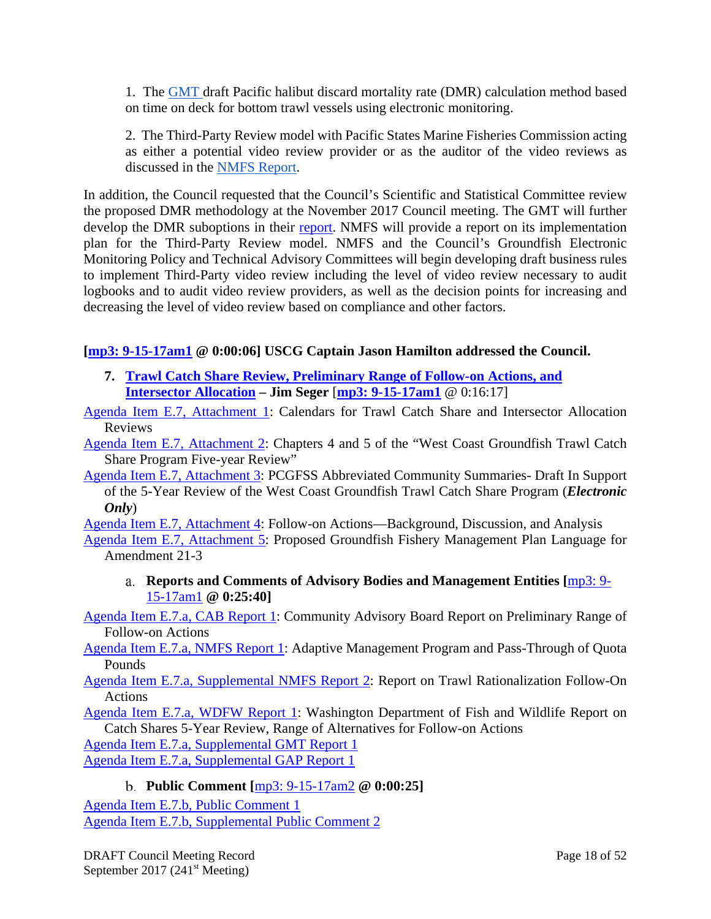1. The [GMT d](http://www.pcouncil.org/wp-content/uploads/2017/09/E6a_Sup_GMT_Rpt1_SEPT2017BB.pdf)raft Pacific halibut discard mortality rate (DMR) calculation method based on time on deck for bottom trawl vessels using electronic monitoring.

2. The Third-Party Review model with Pacific States Marine Fisheries Commission acting as either a potential video review provider or as the auditor of the video reviews as discussed in the [NMFS Report.](http://www.pcouncil.org/wp-content/uploads/2017/09/E6a_Sup_NMFS_Rpt2_3rdPartyRvw_SEPT2017BB.pdf)

In addition, the Council requested that the Council's Scientific and Statistical Committee review the proposed DMR methodology at the November 2017 Council meeting. The GMT will further develop the DMR suboptions in their [report.](http://www.pcouncil.org/wp-content/uploads/2017/09/E6a_Sup_GMT_Rpt1_SEPT2017BB.pdf) NMFS will provide a report on its implementation plan for the Third-Party Review model. NMFS and the Council's Groundfish Electronic Monitoring Policy and Technical Advisory Committees will begin developing draft business rules to implement Third-Party video review including the level of video review necessary to audit logbooks and to audit video review providers, as well as the decision points for increasing and decreasing the level of video review based on compliance and other factors.

## **[\[mp3: 9-15-17am1](ftp://ftp.pcouncil.org/pub/R1709_September_2017_Recordings/9-15-17am1Copy.mp3) @ 0:00:06] USCG Captain Jason Hamilton addressed the Council.**

<span id="page-17-0"></span>**7. [Trawl Catch Share Review, Preliminary Range of Follow-on Actions, and](http://www.pcouncil.org/wp-content/uploads/2017/08/E7__SitSum_CS_Rev_SEP2017BB.pdf)  [Intersector Allocation](http://www.pcouncil.org/wp-content/uploads/2017/08/E7__SitSum_CS_Rev_SEP2017BB.pdf) – Jim Seger** [**[mp3: 9-15-17am1](ftp://ftp.pcouncil.org/pub/R1709_September_2017_Recordings/9-15-17am1Copy.mp3)** @ 0:16:17]

[Agenda Item E.7, Attachment 1:](http://www.pcouncil.org/wp-content/uploads/2017/08/E7_Att1_ReviewCalendar_SEPT2017BB.pdf) Calendars for Trawl Catch Share and Intersector Allocation Reviews

[Agenda Item E.7, Attachment 2:](http://www.pcouncil.org/wp-content/uploads/2017/08/E7_Att2_Chapters4and5_SEPT2017BB.pdf) Chapters 4 and 5 of the "West Coast Groundfish Trawl Catch Share Program Five-year Review"

[Agenda Item E.7, Attachment 3:](http://www.pcouncil.org/wp-content/uploads/2017/08/E7_Att3_E-Only_CommunitiesDoc_Updated_Table_8.18.2017_SEPT2017BB.pdf) PCGFSS Abbreviated Community Summaries- Draft In Support of the 5-Year Review of the West Coast Groundfish Trawl Catch Share Program (*Electronic Only*)

[Agenda Item E.7, Attachment 4:](http://www.pcouncil.org/wp-content/uploads/2017/08/E7_Att4_Follow-on_Action_DiscussionDoc_SEPT2017BB.pdf) Follow-on Actions—Background, Discussion, and Analysis

<span id="page-17-1"></span>[Agenda Item E.7, Attachment 5:](http://www.pcouncil.org/wp-content/uploads/2017/08/E7_Att5_A21-3_SEPT2017BB.pdf) Proposed Groundfish Fishery Management Plan Language for Amendment 21-3

#### **Reports and Comments of Advisory Bodies and Management Entities [**[mp3: 9-](ftp://ftp.pcouncil.org/pub/R1709_September_2017_Recordings/9-15-17am1Copy.mp3) [15-17am1](ftp://ftp.pcouncil.org/pub/R1709_September_2017_Recordings/9-15-17am1Copy.mp3) **@ 0:25:40]**

[Agenda Item E.7.a, CAB Report 1:](http://www.pcouncil.org/wp-content/uploads/2017/08/E7a_CAB_Rpt1_SEPT2017BB.pdf) Community Advisory Board Report on Preliminary Range of Follow-on Actions

[Agenda Item E.7.a, NMFS Report 1:](http://www.pcouncil.org/wp-content/uploads/2017/08/E7a_NMFS_Rpt1_SEPT2017BB.pdf) Adaptive Management Program and Pass-Through of Quota Pounds

[Agenda Item E.7.a, Supplemental NMFS Report 2:](http://www.pcouncil.org/wp-content/uploads/2017/09/E7a_Sup_NMFS_Rpt2_SEPT2017BB.pdf) Report on Trawl Rationalization Follow-On Actions

[Agenda Item E.7.a, WDFW Report 1:](http://www.pcouncil.org/wp-content/uploads/2017/08/E7a_WDFW_Rpt1_SEPT2017BB.pdf) Washington Department of Fish and Wildlife Report on Catch Shares 5-Year Review, Range of Alternatives for Follow-on Actions

[Agenda Item E.7.a, Supplemental GMT Report 1](http://www.pcouncil.org/wp-content/uploads/2017/09/E7a_Sup_GMT_Rpt1_SEPT2017BB.pdf)

<span id="page-17-2"></span>[Agenda Item E.7.a, Supplemental GAP Report 1](http://www.pcouncil.org/wp-content/uploads/2017/09/E7a_Sup_GAP_Rpt1_SEPT2017BB.pdf)

## **Public Comment [**[mp3: 9-15-17am2](ftp://ftp.pcouncil.org/pub/R1709_September_2017_Recordings/9-15-17am2Copy.mp3) **@ 0:00:25]**

[Agenda Item E.7.b, Public Comment 1](http://www.pcouncil.org/wp-content/uploads/2017/08/E7b_PubCom1_SEPT2017BB.pdf) [Agenda Item E.7.b, Supplemental Public Comment 2](http://www.pcouncil.org/wp-content/uploads/2017/09/E7b_Sup_PubCom2_SEPT2017BB.pdf)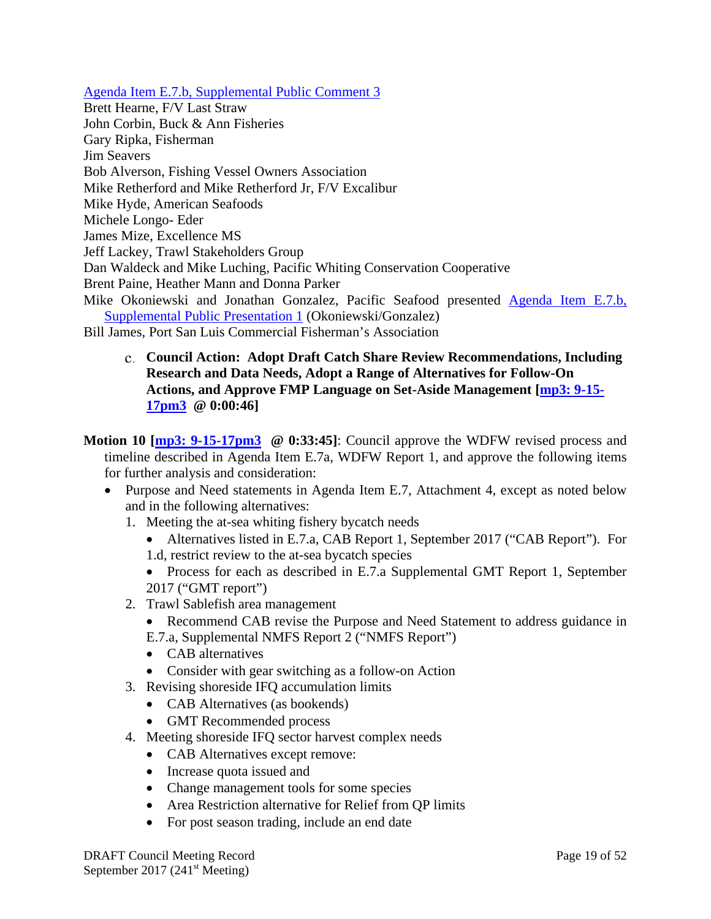[Agenda Item E.7.b, Supplemental Public Comment 3](http://www.pcouncil.org/wp-content/uploads/2017/09/E7b_Sup_PubCom3_SEPT2017BB.pdf)

Brett Hearne, F/V Last Straw John Corbin, Buck & Ann Fisheries Gary Ripka, Fisherman Jim Seavers Bob Alverson, Fishing Vessel Owners Association Mike Retherford and Mike Retherford Jr, F/V Excalibur Mike Hyde, American Seafoods Michele Longo- Eder James Mize, Excellence MS Jeff Lackey, Trawl Stakeholders Group Dan Waldeck and Mike Luching, Pacific Whiting Conservation Cooperative Brent Paine, Heather Mann and Donna Parker Mike Okoniewski and Jonathan Gonzalez, Pacific Seafood presented [Agenda Item E.7.b,](http://www.pcouncil.org/wp-content/uploads/2017/09/E7b_Sup_Pub_Prestn1_Okoniewski_Gonzales_SEPT2017BB.pdf)  [Supplemental Public Presentation 1](http://www.pcouncil.org/wp-content/uploads/2017/09/E7b_Sup_Pub_Prestn1_Okoniewski_Gonzales_SEPT2017BB.pdf) (Okoniewski/Gonzalez)

<span id="page-18-0"></span>Bill James, Port San Luis Commercial Fisherman's Association

**Council Action: Adopt Draft Catch Share Review Recommendations, Including Research and Data Needs, Adopt a Range of Alternatives for Follow-On Actions, and Approve FMP Language on Set-Aside Management [\[mp3: 9-15-](ftp://ftp.pcouncil.org/pub/R1709_September_2017_Recordings/9-15-17pm3Copy.mp3) [17pm3](ftp://ftp.pcouncil.org/pub/R1709_September_2017_Recordings/9-15-17pm3Copy.mp3) @ 0:00:46]**

**Motion 10 [\[mp3: 9-15-17pm3](ftp://ftp.pcouncil.org/pub/R1709_September_2017_Recordings/9-15-17pm3Copy.mp3) @ 0:33:45]**: Council approve the WDFW revised process and timeline described in Agenda Item E.7a, WDFW Report 1, and approve the following items for further analysis and consideration:

- Purpose and Need statements in Agenda Item E.7, Attachment 4, except as noted below and in the following alternatives:
	- 1. Meeting the at-sea whiting fishery bycatch needs
		- Alternatives listed in E.7.a, CAB Report 1, September 2017 ("CAB Report"). For
		- 1.d, restrict review to the at-sea bycatch species
		- Process for each as described in E.7.a Supplemental GMT Report 1, September 2017 ("GMT report")
	- 2. Trawl Sablefish area management
		- Recommend CAB revise the Purpose and Need Statement to address guidance in
		- E.7.a, Supplemental NMFS Report 2 ("NMFS Report")
		- CAB alternatives
		- Consider with gear switching as a follow-on Action
	- 3. Revising shoreside IFQ accumulation limits
		- CAB Alternatives (as bookends)
		- GMT Recommended process
	- 4. Meeting shoreside IFQ sector harvest complex needs
		- CAB Alternatives except remove:
		- Increase quota issued and
		- Change management tools for some species
		- Area Restriction alternative for Relief from QP limits
		- For post season trading, include an end date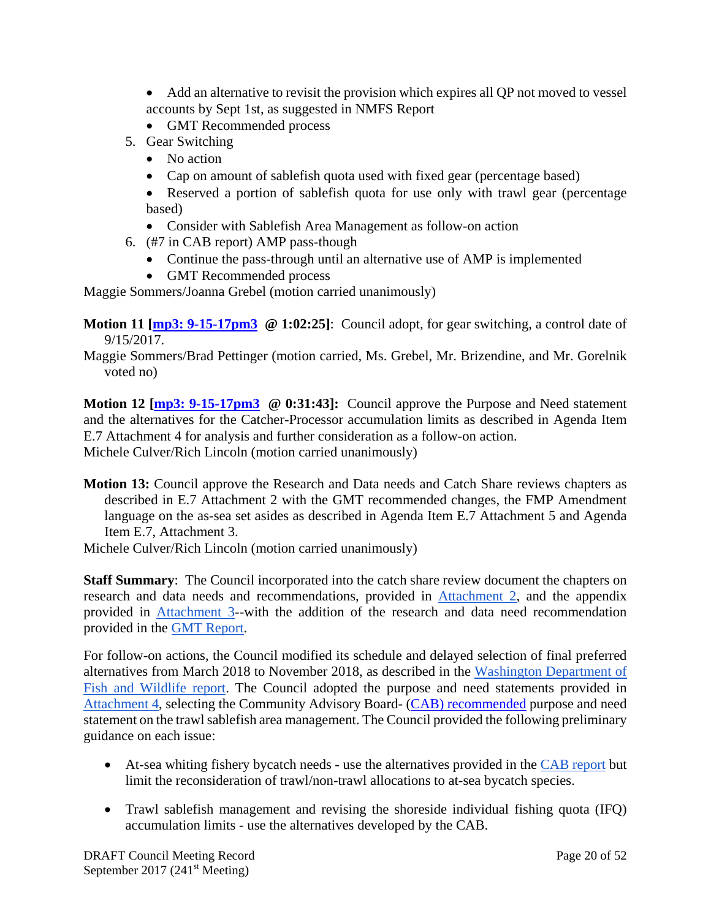- Add an alternative to revisit the provision which expires all QP not moved to vessel accounts by Sept 1st, as suggested in NMFS Report
- GMT Recommended process
- 5. Gear Switching
	- No action
	- Cap on amount of sablefish quota used with fixed gear (percentage based)
	- Reserved a portion of sablefish quota for use only with trawl gear (percentage based)
	- Consider with Sablefish Area Management as follow-on action
- 6. (#7 in CAB report) AMP pass-though
	- Continue the pass-through until an alternative use of AMP is implemented
	- GMT Recommended process

Maggie Sommers/Joanna Grebel (motion carried unanimously)

**Motion 11 [\[mp3: 9-15-17pm3](ftp://ftp.pcouncil.org/pub/R1709_September_2017_Recordings/9-15-17pm3Copy.mp3) @ 1:02:25]**: Council adopt, for gear switching, a control date of 9/15/2017.

Maggie Sommers/Brad Pettinger (motion carried, Ms. Grebel, Mr. Brizendine, and Mr. Gorelnik voted no)

**Motion 12 [\[mp3: 9-15-17pm3](ftp://ftp.pcouncil.org/pub/R1709_September_2017_Recordings/9-15-17pm3Copy.mp3) @ 0:31:43]:** Council approve the Purpose and Need statement and the alternatives for the Catcher-Processor accumulation limits as described in Agenda Item E.7 Attachment 4 for analysis and further consideration as a follow-on action. Michele Culver/Rich Lincoln (motion carried unanimously)

**Motion 13:** Council approve the Research and Data needs and Catch Share reviews chapters as described in E.7 Attachment 2 with the GMT recommended changes, the FMP Amendment language on the as-sea set asides as described in Agenda Item E.7 Attachment 5 and Agenda Item E.7, Attachment 3.

Michele Culver/Rich Lincoln (motion carried unanimously)

**Staff Summary**: The Council incorporated into the catch share review document the chapters on research and data needs and recommendations, provided in [Attachment 2,](http://www.pcouncil.org/wp-content/uploads/2017/08/E7_Att2_Chapters4and5_SEPT2017BB.pdf) and the appendix provided in [Attachment 3-](http://www.pcouncil.org/wp-content/uploads/2017/08/E7_Att3_E-Only_CommunitiesDoc_Updated_Table_8.18.2017_SEPT2017BB.pdf)-with the addition of the research and data need recommendation provided in the [GMT Report.](http://www.pcouncil.org/wp-content/uploads/2017/09/E7a_Sup_GMT_Rpt1_SEPT2017BB.pdf)

For follow-on actions, the Council modified its schedule and delayed selection of final preferred alternatives from March 2018 to November 2018, as described in the [Washington Department](http://www.pcouncil.org/wp-content/uploads/2017/08/E7a_WDFW_Rpt1_SEPT2017BB.pdf) of [Fish and Wildlife report.](http://www.pcouncil.org/wp-content/uploads/2017/08/E7a_WDFW_Rpt1_SEPT2017BB.pdf) The Council adopted the purpose and need statements provided in [Attachment 4,](http://www.pcouncil.org/wp-content/uploads/2017/08/E7_Att4_Follow-on_Action_DiscussionDoc_SEPT2017BB.pdf) selecting the Community Advisory Board- [\(CAB\) recommended](http://www.pcouncil.org/wp-content/uploads/2017/08/E7a_CAB_Rpt1_SEPT2017BB.pdf) purpose and need statement on the trawl sablefish area management. The Council provided the following preliminary guidance on each issue:

- At-sea whiting fishery bycatch needs use the alternatives provided in the [CAB report](http://www.pcouncil.org/wp-content/uploads/2017/08/E7a_CAB_Rpt1_SEPT2017BB.pdf) but limit the reconsideration of trawl/non-trawl allocations to at-sea bycatch species.
- Trawl sable fish management and revising the shoreside individual fishing quota (IFQ) accumulation limits - use the alternatives developed by the CAB.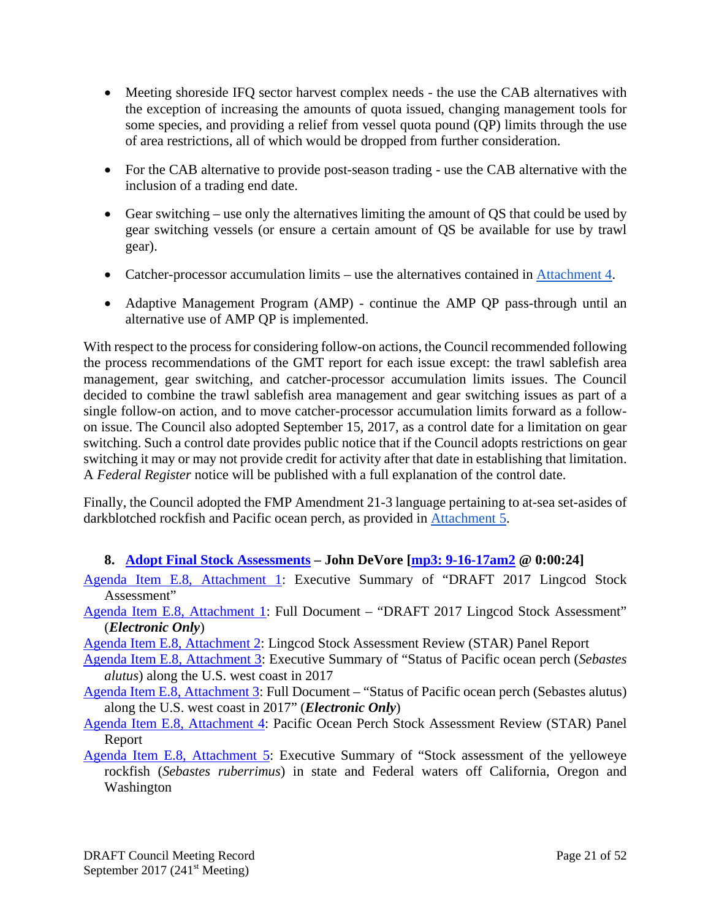- Meeting shoreside IFQ sector harvest complex needs the use the CAB alternatives with the exception of increasing the amounts of quota issued, changing management tools for some species, and providing a relief from vessel quota pound (QP) limits through the use of area restrictions, all of which would be dropped from further consideration.
- For the CAB alternative to provide post-season trading use the CAB alternative with the inclusion of a trading end date.
- Gear switching use only the alternatives limiting the amount of QS that could be used by gear switching vessels (or ensure a certain amount of QS be available for use by trawl gear).
- Catcher-processor accumulation limits use the alternatives contained in [Attachment 4.](http://www.pcouncil.org/wp-content/uploads/2017/08/E7_Att4_Follow-on_Action_DiscussionDoc_SEPT2017BB.pdf)
- Adaptive Management Program (AMP) continue the AMP QP pass-through until an alternative use of AMP QP is implemented.

With respect to the process for considering follow-on actions, the Council recommended following the process recommendations of the GMT report for each issue except: the trawl sablefish area management, gear switching, and catcher-processor accumulation limits issues. The Council decided to combine the trawl sablefish area management and gear switching issues as part of a single follow-on action, and to move catcher-processor accumulation limits forward as a followon issue. The Council also adopted September 15, 2017, as a control date for a limitation on gear switching. Such a control date provides public notice that if the Council adopts restrictions on gear switching it may or may not provide credit for activity after that date in establishing that limitation. A *Federal Register* notice will be published with a full explanation of the control date.

Finally, the Council adopted the FMP Amendment 21-3 language pertaining to at-sea set-asides of darkblotched rockfish and Pacific ocean perch, as provided in [Attachment 5.](http://www.pcouncil.org/wp-content/uploads/2017/08/E7_Att5_A21-3_SEPT2017BB.pdf)

## <span id="page-20-0"></span>**8. [Adopt Final Stock Assessments](http://www.pcouncil.org/wp-content/uploads/2017/08/E8__SitSum_Assessments_SEPT2017BB.pdf) – John DeVore [\[mp3: 9-16-17am2](ftp://ftp.pcouncil.org/pub/R1709_September_2017_Recordings/9-16-17am2Copy.mp3) @ 0:00:24]**

[Agenda Item E.8, Attachment 1:](http://www.pcouncil.org/wp-content/uploads/2017/08/E8_Att1_Lingcod_ExecSummary_SEPT2017BB.pdf) Executive Summary of "DRAFT 2017 Lingcod Stock Assessment"

- [Agenda Item E.8, Attachment 1:](http://www.pcouncil.org/wp-content/uploads/2017/08/E8_Att1_Lingcod_FullDoc_E-Only_SEPT2017BB.pdf) Full Document "DRAFT 2017 Lingcod Stock Assessment" (*Electronic Only*)
- [Agenda Item E.8, Attachment 2:](http://www.pcouncil.org/wp-content/uploads/2017/08/E8_Att2_Lingcod_STAR_Panel_Report-FINAL_SEPT2017BB.pdf) Lingcod Stock Assessment Review (STAR) Panel Report
- [Agenda Item E.8, Attachment 3:](http://www.pcouncil.org/wp-content/uploads/2017/08/E8_Att3_POP_ExecSummary_SEPT2017BB.pdf) Executive Summary of "Status of Pacific ocean perch (*Sebastes alutus*) along the U.S. west coast in 2017
- [Agenda Item E.8, Attachment 3:](http://www.pcouncil.org/wp-content/uploads/2017/08/E8_Att3_POP_FullDoc_E-Only_SEPT2017BB.pdf) Full Document "Status of Pacific ocean perch (Sebastes alutus) along the U.S. west coast in 2017" (*Electronic Only*)
- [Agenda Item E.8, Attachment 4:](http://www.pcouncil.org/wp-content/uploads/2017/08/E8_Att4_POP_STAR_Panel_Report-FINAL_SEPT2017BB.pdf) Pacific Ocean Perch Stock Assessment Review (STAR) Panel Report
- [Agenda Item E.8, Attachment 5:](http://www.pcouncil.org/wp-content/uploads/2017/08/E8_Att5_Yelloweye_ExecSummary_SEPT2017BB.pdf) Executive Summary of "Stock assessment of the yelloweye rockfish (*Sebastes ruberrimus*) in state and Federal waters off California, Oregon and Washington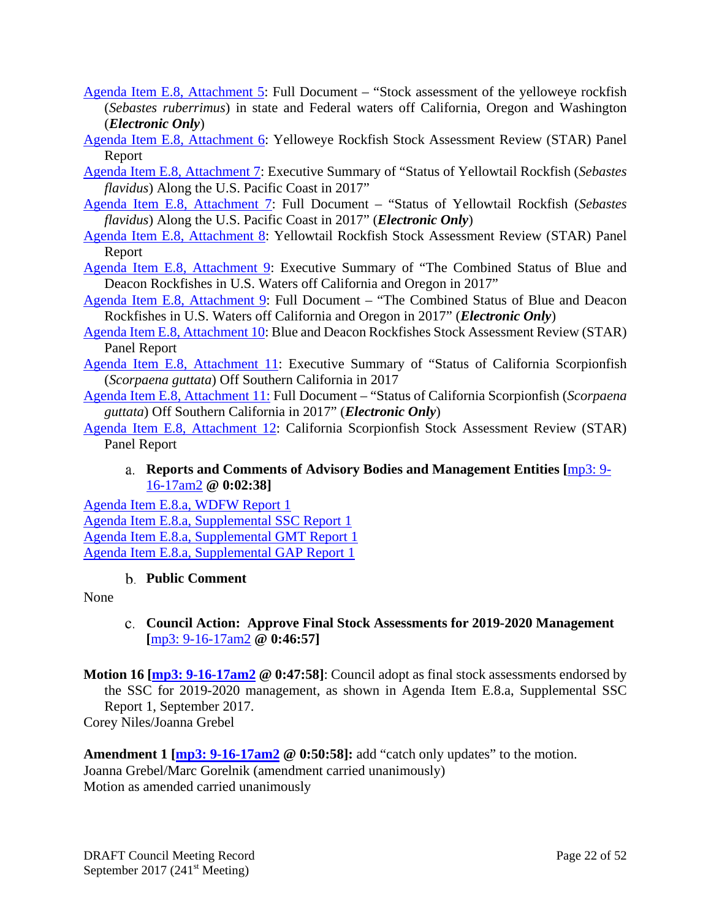- [Agenda Item E.8, Attachment 5:](http://www.pcouncil.org/wp-content/uploads/2017/08/E8_Att5_Yelloweye_FullDoc_E-Only_SEPT2017BB.pdf) Full Document "Stock assessment of the yelloweye rockfish (*Sebastes ruberrimus*) in state and Federal waters off California, Oregon and Washington (*Electronic Only*)
- [Agenda Item E.8, Attachment 6:](http://www.pcouncil.org/wp-content/uploads/2017/08/E8_Att6_YE_STAR_Panel_Report-FINAL_SEPT2017BB.pdf) Yelloweye Rockfish Stock Assessment Review (STAR) Panel Report
- [Agenda Item E.8, Attachment 7:](http://www.pcouncil.org/wp-content/uploads/2017/08/E8_Att7_Yellowtail_ExecSummary_SEPT2017BB.pdf) Executive Summary of "Status of Yellowtail Rockfish (*Sebastes flavidus*) Along the U.S. Pacific Coast in 2017"
- [Agenda Item E.8, Attachment 7:](http://www.pcouncil.org/wp-content/uploads/2017/08/E8_Att7_Yellowtail_FullDoc_E-Only_SEPT2017BB.pdf) Full Document "Status of Yellowtail Rockfish (*Sebastes flavidus*) Along the U.S. Pacific Coast in 2017" (*Electronic Only*)
- Agenda Item [E.8, Attachment 8:](http://www.pcouncil.org/wp-content/uploads/2017/08/E8_Att8_YT_STAR_Panel_Report_FINAL_SEPT2017BB.pdf) Yellowtail Rockfish Stock Assessment Review (STAR) Panel Report
- [Agenda Item E.8, Attachment 9:](http://www.pcouncil.org/wp-content/uploads/2017/08/E8_Att9_BlueDeacon_ExecSummary_SEPT2017BB.pdf) Executive Summary of "The Combined Status of Blue and Deacon Rockfishes in U.S. Waters off California and Oregon in 2017"
- [Agenda Item E.8, Attachment 9:](http://www.pcouncil.org/wp-content/uploads/2017/08/E8_Att9_BlueDeacon_FullDoc_E-Only_SEPT2017BB.pdf) Full Document "The Combined Status of Blue and Deacon Rockfishes in U.S. Waters off California and Oregon in 2017" (*Electronic Only*)
- [Agenda Item E.8, Attachment 10:](http://www.pcouncil.org/wp-content/uploads/2017/08/E8_Att10_BlueDeacon_STAR_Panel_Report-FINAL_SEPT2017BB.pdf) Blue and Deacon Rockfishes Stock Assessment Review (STAR) Panel Report
- [Agenda Item E.8, Attachment 11:](http://www.pcouncil.org/wp-content/uploads/2017/08/E8_Att11_CA_Scopionfish_ExecSummary_SEPT2017BB.pdf) Executive Summary of "Status of California Scorpionfish (*Scorpaena guttata*) Off Southern California in 2017
- [Agenda Item E.8, Attachment 11:](http://www.pcouncil.org/wp-content/uploads/2017/08/E8_Att11_CA_Scopionfish08182017_FullDoc_E-Only_SEPT2017BB.pdf) Full Document "Status of California Scorpionfish (*Scorpaena guttata*) Off Southern California in 2017" (*Electronic Only*)
- <span id="page-21-0"></span>[Agenda Item E.8, Attachment 12:](http://www.pcouncil.org/wp-content/uploads/2017/08/E8_Att12_Scorpionfish_STAR_Panel_Report-FINAL_SEPT2017BB.pdf) California Scorpionfish Stock Assessment Review (STAR) Panel Report

## **Reports and Comments of Advisory Bodies and Management Entities [**[mp3: 9-](ftp://ftp.pcouncil.org/pub/R1709_September_2017_Recordings/9-16-17am2Copy.mp3) [16-17am2](ftp://ftp.pcouncil.org/pub/R1709_September_2017_Recordings/9-16-17am2Copy.mp3) **@ 0:02:38]**

[Agenda Item E.8.a, WDFW Report 1](http://www.pcouncil.org/wp-content/uploads/2017/08/E8a_WDFW_Rpt1_SEPT2017BB.pdf) [Agenda Item E.8.a, Supplemental SSC Report 1](http://www.pcouncil.org/wp-content/uploads/2017/09/E8a_Sup_SSC_Rpt1_Stock_Assessments_SEPT2017BB.pdf) [Agenda Item E.8.a, Supplemental GMT Report 1](http://www.pcouncil.org/wp-content/uploads/2017/09/E8a_Sup_GMT_Rpt1_Stock_Assessments_SEPT2017BB.pdf) [Agenda Item E.8.a, Supplemental GAP](http://www.pcouncil.org/wp-content/uploads/2017/09/E8a_Sup_GAP_Rpt1_Stock_Assessments_SEPT2017BB.pdf) Report 1

## **Public Comment**

<span id="page-21-2"></span><span id="page-21-1"></span>None

## **Council Action: Approve Final Stock Assessments for 2019-2020 Management [**[mp3: 9-16-17am2](ftp://ftp.pcouncil.org/pub/R1709_September_2017_Recordings/9-16-17am2Copy.mp3) **@ 0:46:57]**

**Motion 16 [\[mp3: 9-16-17am2](ftp://ftp.pcouncil.org/pub/R1709_September_2017_Recordings/9-16-17am2Copy.mp3) @ 0:47:58]**: Council adopt as final stock assessments endorsed by the SSC for 2019-2020 management, as shown in Agenda Item E.8.a, Supplemental SSC Report 1, September 2017. Corey Niles/Joanna Grebel

**Amendment 1 [\[mp3: 9-16-17am2](ftp://ftp.pcouncil.org/pub/R1709_September_2017_Recordings/9-16-17am2Copy.mp3) @ 0:50:58]:** add "catch only updates" to the motion. Joanna Grebel/Marc Gorelnik (amendment carried unanimously) Motion as amended carried unanimously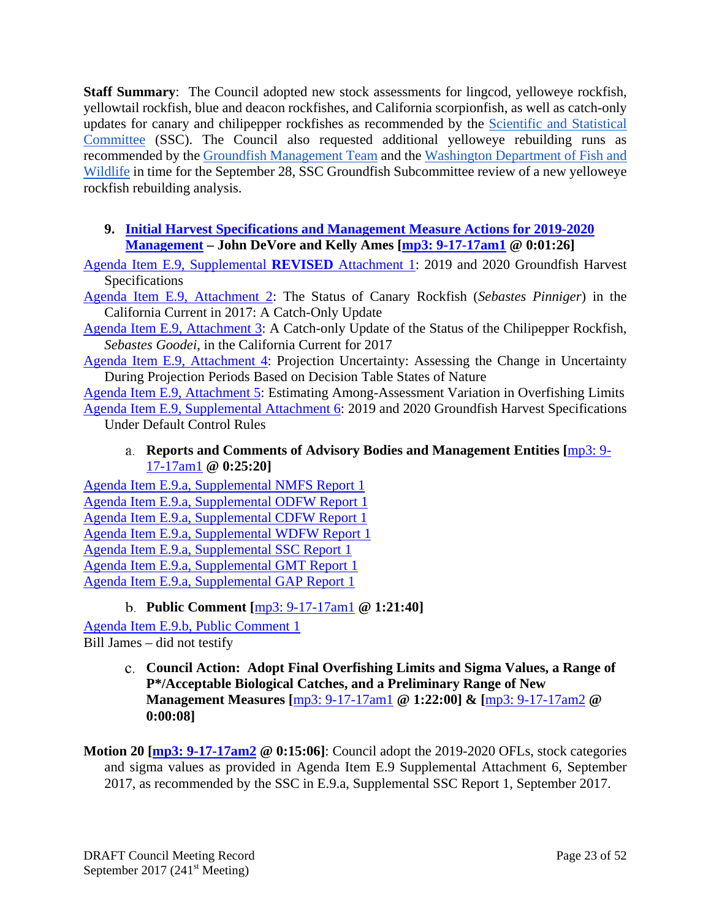**Staff Summary**: The Council adopted new stock assessments for lingcod, yelloweye rockfish, yellowtail rockfish, blue and deacon rockfishes, and California scorpionfish, as well as catch-only updates for canary and chilipepper rockfishes as recommended by the [Scientific and Statistical](http://www.pcouncil.org/wp-content/uploads/2017/09/E8a_Sup_SSC_Rpt1_Stock_Assessments_SEPT2017BB.pdf)  [Committee](http://www.pcouncil.org/wp-content/uploads/2017/09/E8a_Sup_SSC_Rpt1_Stock_Assessments_SEPT2017BB.pdf) (SSC). The Council also requested additional yelloweye rebuilding runs as recommended by the [Groundfish Management Team](http://www.pcouncil.org/wp-content/uploads/2017/09/E8a_Sup_GMT_Rpt1_Stock_Assessments_SEPT2017BB.pdf) and the Washington [Department of Fish and](http://www.pcouncil.org/wp-content/uploads/2017/08/E8a_WDFW_Rpt1_SEPT2017BB.pdf)  [Wildlife](http://www.pcouncil.org/wp-content/uploads/2017/08/E8a_WDFW_Rpt1_SEPT2017BB.pdf) in time for the September 28, SSC Groundfish Subcommittee review of a new yelloweye rockfish rebuilding analysis.

## <span id="page-22-0"></span>**9. [Initial Harvest Specifications and Management Measure Actions for 2019-2020](http://www.pcouncil.org/wp-content/uploads/2017/08/E9__SitSum_19-20_Spex_SEPT2017BB.pdf)  [Management](http://www.pcouncil.org/wp-content/uploads/2017/08/E9__SitSum_19-20_Spex_SEPT2017BB.pdf) – John DeVore and Kelly Ames [\[mp3: 9-17-17am1](ftp://ftp.pcouncil.org/pub/R1709_September_2017_Recordings/9-17-17am1Copy.mp3) @ 0:01:26]**

[Agenda Item E.9, Supplemental](http://www.pcouncil.org/wp-content/uploads/2017/09/E9_Sup_REVISED_Att1_2019-20HarvestSpex_SEPT2017BB.pdf) **REVISED** Attachment 1: 2019 and 2020 Groundfish Harvest Specifications

[Agenda Item E.9, Attachment 2:](http://www.pcouncil.org/wp-content/uploads/2017/08/E9_Att2_Canary_2017_081617_SEPT2017BB.pdf) The Status of Canary Rockfish (*Sebastes Pinniger*) in the California Current in 2017: A Catch-Only Update

[Agenda Item E.9, Attachment 3:](http://www.pcouncil.org/wp-content/uploads/2017/08/E9_Att3_CO_Update_Chili_SEPT2017BB.pdf) A Catch-only Update of the Status of the Chilipepper Rockfish, *Sebastes Goodei*, in the California Current for 2017

[Agenda Item E.9, Attachment 4:](http://www.pcouncil.org/wp-content/uploads/2017/08/E9_Att4_Wetzel_ProjectionUncertainty_Aug2017_SEPT2017BB.pdf) Projection Uncertainty: Assessing the Change in Uncertainty During Projection Periods Based on Decision Table States of Nature

[Agenda Item E.9, Attachment 5:](http://www.pcouncil.org/wp-content/uploads/2017/08/E9_Att5_Privitera-Johnson_EstOFL_SEPT2017BB.pdf) Estimating Among-Assessment Variation in Overfishing Limits [Agenda Item E.9, Supplemental Attachment 6:](http://www.pcouncil.org/wp-content/uploads/2017/09/E9_Sup_Att6_2019-20HarvestSpex_SEPT2017BB.pdf) 2019 and 2020 Groundfish Harvest Specifications Under Default Control Rules

## <span id="page-22-1"></span>**Reports and Comments of Advisory Bodies and Management Entities [**[mp3: 9-](ftp://ftp.pcouncil.org/pub/R1709_September_2017_Recordings/9-17-17am1Copy.mp3) [17-17am1](ftp://ftp.pcouncil.org/pub/R1709_September_2017_Recordings/9-17-17am1Copy.mp3) **@ 0:25:20]**

[Agenda Item E.9.a, Supplemental NMFS Report 1](http://www.pcouncil.org/wp-content/uploads/2017/09/E9a_Sup_NMFS_Rpt1_SEPT2017BB.pdf) [Agenda Item E.9.a, Supplemental ODFW Report 1](http://www.pcouncil.org/wp-content/uploads/2017/09/E9a_Sup_ODFW_Rpt1_SEPT2017BB.pdf) [Agenda Item E.9.a, Supplemental CDFW Report 1](http://www.pcouncil.org/wp-content/uploads/2017/09/E9a_Sup_CDFW_Rpt1_Spex_SEPT2017BB.pdf) [Agenda Item E.9.a, Supplemental WDFW Report 1](http://www.pcouncil.org/wp-content/uploads/2017/09/E9a_Sup_WDFW_Rpt1_SEPT2017BB.pdf) [Agenda Item E.9.a, Supplemental SSC Report 1](http://www.pcouncil.org/wp-content/uploads/2017/09/E9a_Sup_SSC_Rpt1_SEPT2017BB.pdf) [Agenda Item E.9.a, Supplemental GMT Report 1](http://www.pcouncil.org/wp-content/uploads/2017/09/E9a_Sup_GMT_Rpt1_SEPT2017BB.pdf) [Agenda Item E.9.a, Supplemental GAP Report 1](http://www.pcouncil.org/wp-content/uploads/2017/09/E9a_Sup_GAP_Rpt1_SEPT2017BB.pdf)

## **Public Comment [**[mp3: 9-17-17am1](ftp://ftp.pcouncil.org/pub/R1709_September_2017_Recordings/9-17-17am1Copy.mp3) **@ 1:21:40]**

<span id="page-22-3"></span><span id="page-22-2"></span>[Agenda Item E.9.b, Public Comment 1](http://www.pcouncil.org/wp-content/uploads/2017/08/E9_PubCom1_SEPT2017BB.pdf) Bill James – did not testify

## **Council Action: Adopt Final Overfishing Limits and Sigma Values, a Range of P\*/Acceptable Biological Catches, and a Preliminary Range of New Management Measures [**[mp3: 9-17-17am1](ftp://ftp.pcouncil.org/pub/R1709_September_2017_Recordings/9-17-17am1Copy.mp3) **@ 1:22:00] & [**[mp3: 9-17-17am2](ftp://ftp.pcouncil.org/pub/R1709_September_2017_Recordings/9-17-17am2Copy.mp3) **@ 0:00:08]**

**Motion 20 [\[mp3: 9-17-17am2](ftp://ftp.pcouncil.org/pub/R1709_September_2017_Recordings/9-17-17am2Copy.mp3) @ 0:15:06]**: Council adopt the 2019-2020 OFLs, stock categories and sigma values as provided in Agenda Item E.9 Supplemental Attachment 6, September 2017, as recommended by the SSC in E.9.a, Supplemental SSC Report 1, September 2017.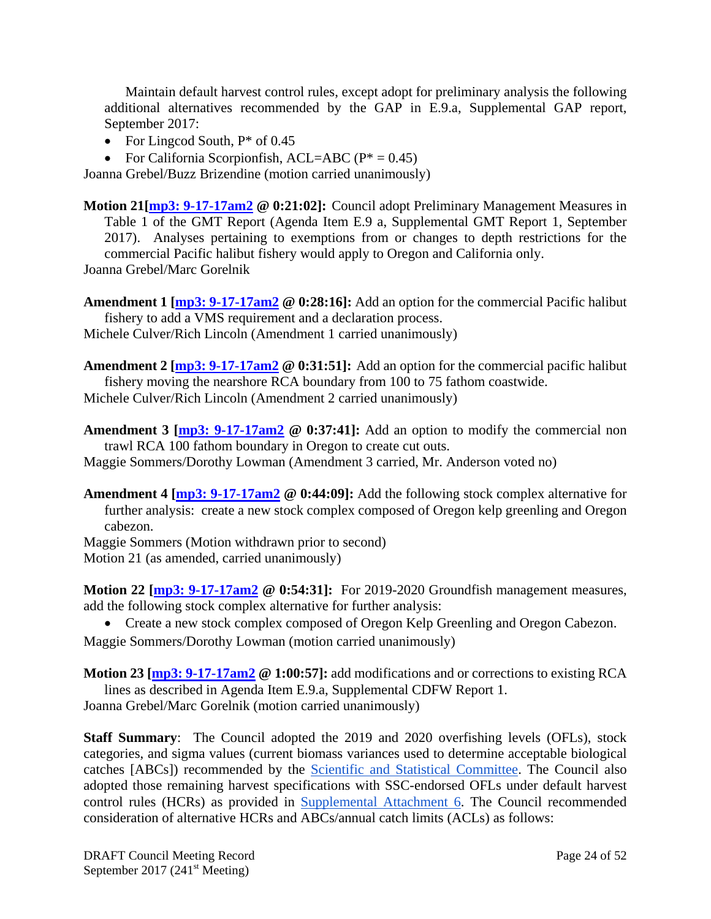Maintain default harvest control rules, except adopt for preliminary analysis the following additional alternatives recommended by the GAP in E.9.a, Supplemental GAP report, September 2017:

- For Lingcod South,  $P^*$  of 0.45
- For California Scorpionfish, ACL=ABC ( $P^* = 0.45$ )

Joanna Grebel/Buzz Brizendine (motion carried unanimously)

**Motion 21[\[mp3: 9-17-17am2](ftp://ftp.pcouncil.org/pub/R1709_September_2017_Recordings/9-17-17am2Copy.mp3) @ 0:21:02]:** Council adopt Preliminary Management Measures in Table 1 of the GMT Report (Agenda Item E.9 a, Supplemental GMT Report 1, September 2017). Analyses pertaining to exemptions from or changes to depth restrictions for the commercial Pacific halibut fishery would apply to Oregon and California only. Joanna Grebel/Marc Gorelnik

**Amendment 1 [\[mp3: 9-17-17am2](ftp://ftp.pcouncil.org/pub/R1709_September_2017_Recordings/9-17-17am2Copy.mp3) @ 0:28:16]:** Add an option for the commercial Pacific halibut fishery to add a VMS requirement and a declaration process.

Michele Culver/Rich Lincoln (Amendment 1 carried unanimously)

**Amendment 2 [\[mp3: 9-17-17am2](ftp://ftp.pcouncil.org/pub/R1709_September_2017_Recordings/9-17-17am2Copy.mp3) @ 0:31:51]:** Add an option for the commercial pacific halibut fishery moving the nearshore RCA boundary from 100 to 75 fathom coastwide. Michele Culver/Rich Lincoln (Amendment 2 carried unanimously)

**Amendment 3 [\[mp3: 9-17-17am2](ftp://ftp.pcouncil.org/pub/R1709_September_2017_Recordings/9-17-17am2Copy.mp3) @ 0:37:41]:** Add an option to modify the commercial non trawl RCA 100 fathom boundary in Oregon to create cut outs.

Maggie Sommers/Dorothy Lowman (Amendment 3 carried, Mr. Anderson voted no)

**Amendment 4 [\[mp3: 9-17-17am2](ftp://ftp.pcouncil.org/pub/R1709_September_2017_Recordings/9-17-17am2Copy.mp3) @ 0:44:09]:** Add the following stock complex alternative for further analysis: create a new stock complex composed of Oregon kelp greenling and Oregon cabezon.

Maggie Sommers (Motion withdrawn prior to second)

Motion 21 (as amended, carried unanimously)

**Motion 22 [\[mp3: 9-17-17am2](ftp://ftp.pcouncil.org/pub/R1709_September_2017_Recordings/9-17-17am2Copy.mp3) @ 0:54:31]:** For 2019-2020 Groundfish management measures, add the following stock complex alternative for further analysis:

• Create a new stock complex composed of Oregon Kelp Greenling and Oregon Cabezon. Maggie Sommers/Dorothy Lowman (motion carried unanimously)

**Motion 23 [\[mp3: 9-17-17am2](ftp://ftp.pcouncil.org/pub/R1709_September_2017_Recordings/9-17-17am2Copy.mp3) @ 1:00:57]:** add modifications and or corrections to existing RCA lines as described in Agenda Item E.9.a, Supplemental CDFW Report 1.

Joanna Grebel/Marc Gorelnik (motion carried unanimously)

**Staff Summary**: The Council adopted the 2019 and 2020 overfishing levels (OFLs), stock categories, and sigma values (current biomass variances used to determine acceptable biological catches [ABCs]) recommended by the [Scientific and Statistical Committee.](http://www.pcouncil.org/wp-content/uploads/2017/09/E9a_Sup_SSC_Rpt1_SEPT2017BB.pdf) The Council also adopted those remaining harvest specifications with SSC-endorsed OFLs under default harvest control rules (HCRs) as provided in [Supplemental Attachment 6.](http://www.pcouncil.org/wp-content/uploads/2017/09/E9_SuppAtt6_2019-20HarvestSpex_SEPT2017BB-1.pdf) The Council recommended consideration of alternative HCRs and ABCs/annual catch limits (ACLs) as follows: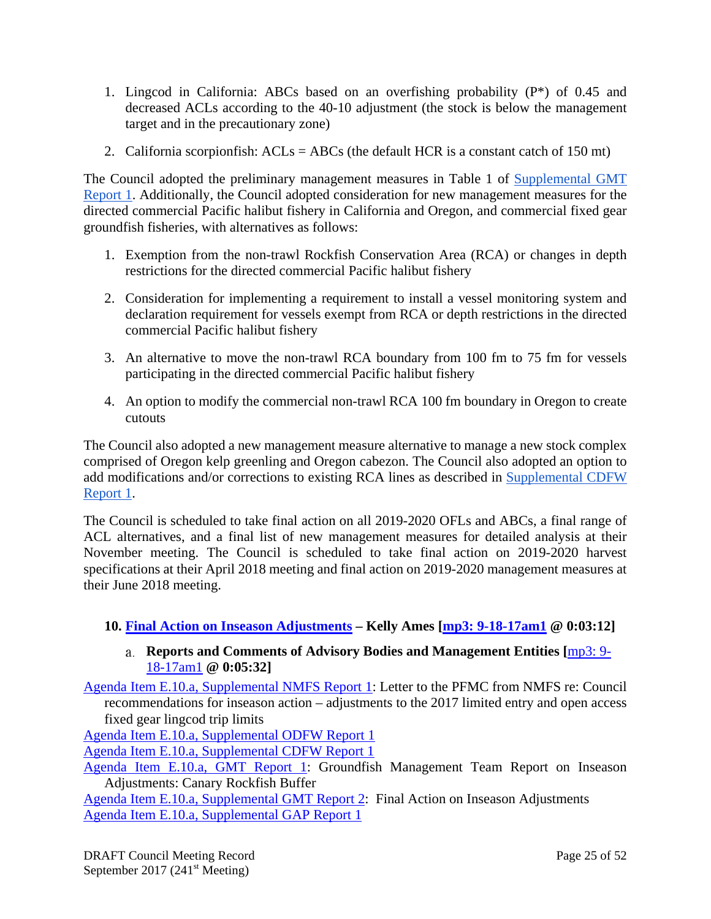- 1. Lingcod in California: ABCs based on an overfishing probability (P\*) of 0.45 and decreased ACLs according to the 40-10 adjustment (the stock is below the management target and in the precautionary zone)
- 2. California scorpionfish:  $ACLs = ABCs$  (the default HCR is a constant catch of 150 mt)

The Council adopted the preliminary management measures in Table 1 of [Supplemental GMT](http://www.pcouncil.org/wp-content/uploads/2017/09/E9a_Sup_GMT_Rpt1_SEPT2017BB.pdf)  [Report 1.](http://www.pcouncil.org/wp-content/uploads/2017/09/E9a_Sup_GMT_Rpt1_SEPT2017BB.pdf) Additionally, the Council adopted consideration for new management measures for the directed commercial Pacific halibut fishery in California and Oregon, and commercial fixed gear groundfish fisheries, with alternatives as follows:

- 1. Exemption from the non-trawl Rockfish Conservation Area (RCA) or changes in depth restrictions for the directed commercial Pacific halibut fishery
- 2. Consideration for implementing a requirement to install a vessel monitoring system and declaration requirement for vessels exempt from RCA or depth restrictions in the directed commercial Pacific halibut fishery
- 3. An alternative to move the non-trawl RCA boundary from 100 fm to 75 fm for vessels participating in the directed commercial Pacific halibut fishery
- 4. An option to modify the commercial non-trawl RCA 100 fm boundary in Oregon to create cutouts

The Council also adopted a new management measure alternative to manage a new stock complex comprised of Oregon kelp greenling and Oregon cabezon. The Council also adopted an option to add modifications and/or corrections to existing RCA lines as described in [Supplemental CDFW](http://www.pcouncil.org/wp-content/uploads/2017/09/E9a_Sup_CDFW_Rpt1_Spex_SEPT2017BB.pdf)  [Report 1.](http://www.pcouncil.org/wp-content/uploads/2017/09/E9a_Sup_CDFW_Rpt1_Spex_SEPT2017BB.pdf)

The Council is scheduled to take final action on all 2019-2020 OFLs and ABCs, a final range of ACL alternatives, and a final list of new management measures for detailed analysis at their November meeting. The Council is scheduled to take final action on 2019-2020 harvest specifications at their April 2018 meeting and final action on 2019-2020 management measures at their June 2018 meeting.

## <span id="page-24-1"></span><span id="page-24-0"></span>**10. [Final Action on Inseason Adjustments](http://www.pcouncil.org/wp-content/uploads/2017/08/E10__SitSum_Inseason_SEPT2017BB.pdf) – Kelly Ames [\[mp3: 9-18-17am1](ftp://ftp.pcouncil.org/pub/R1709_September_2017_Recordings/9-18-17am1Copy.mp3) @ 0:03:12]**

**Reports and Comments of Advisory Bodies and Management Entities [**[mp3: 9-](ftp://ftp.pcouncil.org/pub/R1709_September_2017_Recordings/9-18-17am1Copy.mp3) [18-17am1](ftp://ftp.pcouncil.org/pub/R1709_September_2017_Recordings/9-18-17am1Copy.mp3) **@ 0:05:32]**

[Agenda Item E.10.a, Supplemental NMFS Report 1:](http://www.pcouncil.org/wp-content/uploads/2017/09/E10a_Sup_NMFS_Rpt1_SEPT2017BB.pdf) Letter to the PFMC from NMFS re: Council recommendations for inseason action – adjustments to the 2017 limited entry and open access fixed gear lingcod trip limits

[Agenda Item E.10.a, Supplemental ODFW Report 1](http://www.pcouncil.org/wp-content/uploads/2017/09/E10a_Sup_ODFW_Rpt1_SEPT2017BB.pdf)

[Agenda Item E.10.a, Supplemental CDFW Report 1](http://www.pcouncil.org/wp-content/uploads/2017/09/E10a_Sup_CDFW_Rpt1_Inseason_SEPT2017BB.pdf)

[Agenda Item E.10.a, GMT Report 1:](http://www.pcouncil.org/wp-content/uploads/2017/08/E10a_GMT_Rpt1_SEPT2017BB.pdf) Groundfish Management Team Report on Inseason Adjustments: Canary Rockfish Buffer

[Agenda Item E.10.a, Supplemental GMT Report 2:](http://www.pcouncil.org/wp-content/uploads/2017/09/E10a_Sup_GMT_Rpt2_SEPT2017BB.pdf) Final Action on Inseason Adjustments [Agenda Item E.10.a, Supplemental GAP Report 1](http://www.pcouncil.org/wp-content/uploads/2017/09/E10a_Sup_GAP_Rpt1_SEPT2017BB.pdf)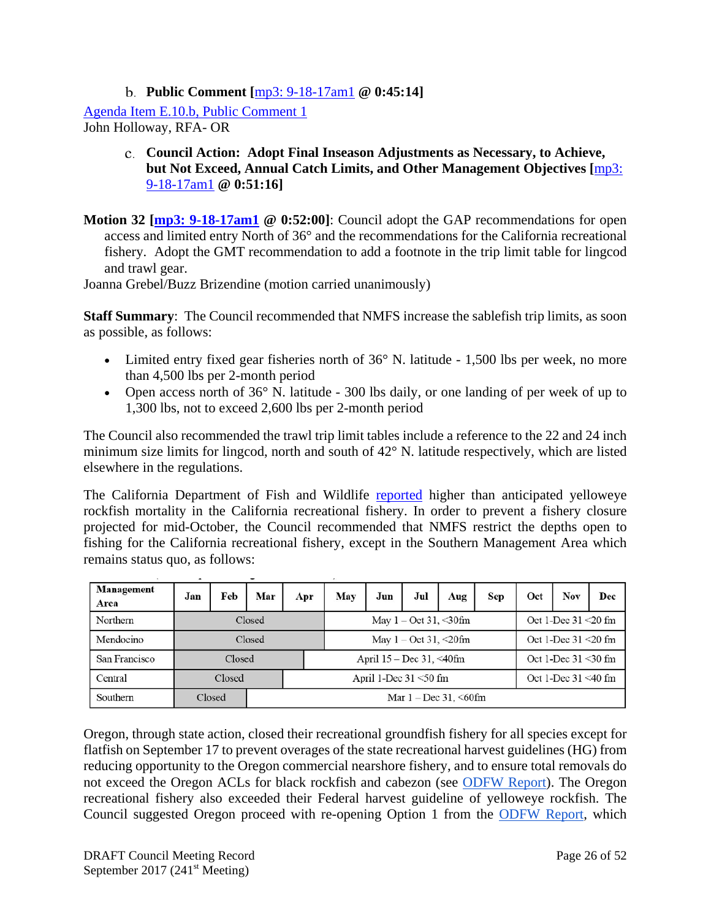**Public Comment [**[mp3: 9-18-17am1](ftp://ftp.pcouncil.org/pub/R1709_September_2017_Recordings/9-18-17am1Copy.mp3) **@ 0:45:14]**

<span id="page-25-0"></span>[Agenda Item E.10.b, Public Comment 1](http://www.pcouncil.org/wp-content/uploads/2017/08/E10b_PubCom_SEPT2017BB.pdf)

<span id="page-25-1"></span>John Holloway, RFA- OR

**Council Action: Adopt Final Inseason Adjustments as Necessary, to Achieve, but Not Exceed, Annual Catch Limits, and Other Management Objectives [**[mp3:](ftp://ftp.pcouncil.org/pub/R1709_September_2017_Recordings/9-18-17am1Copy.mp3)  [9-18-17am1](ftp://ftp.pcouncil.org/pub/R1709_September_2017_Recordings/9-18-17am1Copy.mp3) **@ 0:51:16]**

**Motion 32 [\[mp3: 9-18-17am1](ftp://ftp.pcouncil.org/pub/R1709_September_2017_Recordings/9-18-17am1Copy.mp3) @ 0:52:00]**: Council adopt the GAP recommendations for open access and limited entry North of 36° and the recommendations for the California recreational fishery. Adopt the GMT recommendation to add a footnote in the trip limit table for lingcod and trawl gear.

Joanna Grebel/Buzz Brizendine (motion carried unanimously)

**Staff Summary**: The Council recommended that NMFS increase the sablefish trip limits, as soon as possible, as follows:

- Limited entry fixed gear fisheries north of  $36^{\circ}$  N. latitude 1,500 lbs per week, no more than 4,500 lbs per 2-month period
- Open access north of 36° N. latitude 300 lbs daily, or one landing of per week of up to 1,300 lbs, not to exceed 2,600 lbs per 2-month period

The Council also recommended the trawl trip limit tables include a reference to the 22 and 24 inch minimum size limits for lingcod, north and south of 42° N. latitude respectively, which are listed elsewhere in the regulations.

The California Department of Fish and Wildlife [reported](http://www.pcouncil.org/wp-content/uploads/2017/09/E9a_Sup_CDFW_Rpt1_Spex_SEPT2017BB.pdf) higher than anticipated yelloweye rockfish mortality in the California recreational fishery. In order to prevent a fishery closure projected for mid-October, the Council recommended that NMFS restrict the depths open to fishing for the California recreational fishery, except in the Southern Management Area which remains status quo, as follows:

| Management<br>Area | Jan | Feb    | Mar    | Apr                                  | May | Jun                              | Jul | Aug | Sep                 | Oct                    | <b>Nov</b>             | Dec |  |
|--------------------|-----|--------|--------|--------------------------------------|-----|----------------------------------|-----|-----|---------------------|------------------------|------------------------|-----|--|
| Northern           |     |        | Closed | May $1 - \text{Oct } 31, \leq 30$ fm |     |                                  |     |     |                     | Oct 1-Dec $31 < 20$ fm |                        |     |  |
| Mendocino          |     | Closed |        |                                      |     | May $1 - \text{Oct } 31$ , <20fm |     |     |                     |                        | Oct 1-Dec $31 < 20$ fm |     |  |
| San Francisco      |     | Closed |        |                                      |     | April $15 - Dec 31, \leq 40$ fm  |     |     |                     |                        | Oct 1-Dec $31 < 30$ fm |     |  |
| Central            |     | Closed |        | April 1-Dec $31 < 50$ fm             |     |                                  |     |     | Oct 1-Dec 31 <40 fm |                        |                        |     |  |
| Southern           |     | Closed |        | Mar $1 - Dec$ 31, <60fm              |     |                                  |     |     |                     |                        |                        |     |  |

Oregon, through state action, closed their recreational groundfish fishery for all species except for flatfish on September 17 to prevent overages of the state recreational harvest guidelines (HG) from reducing opportunity to the Oregon commercial nearshore fishery, and to ensure total removals do not exceed the Oregon ACLs for black rockfish and cabezon (see [ODFW Report\)](http://www.pcouncil.org/wp-content/uploads/2017/09/E10a_Sup_REVISED_ODFW_Rpt1_SEPT2017BB.pdf). The Oregon recreational fishery also exceeded their Federal harvest guideline of yelloweye rockfish. The Council suggested Oregon proceed with re-opening Option 1 from the [ODFW Report,](http://www.pcouncil.org/wp-content/uploads/2017/09/E10a_Sup_REVISED_ODFW_Rpt1_SEPT2017BB.pdf) which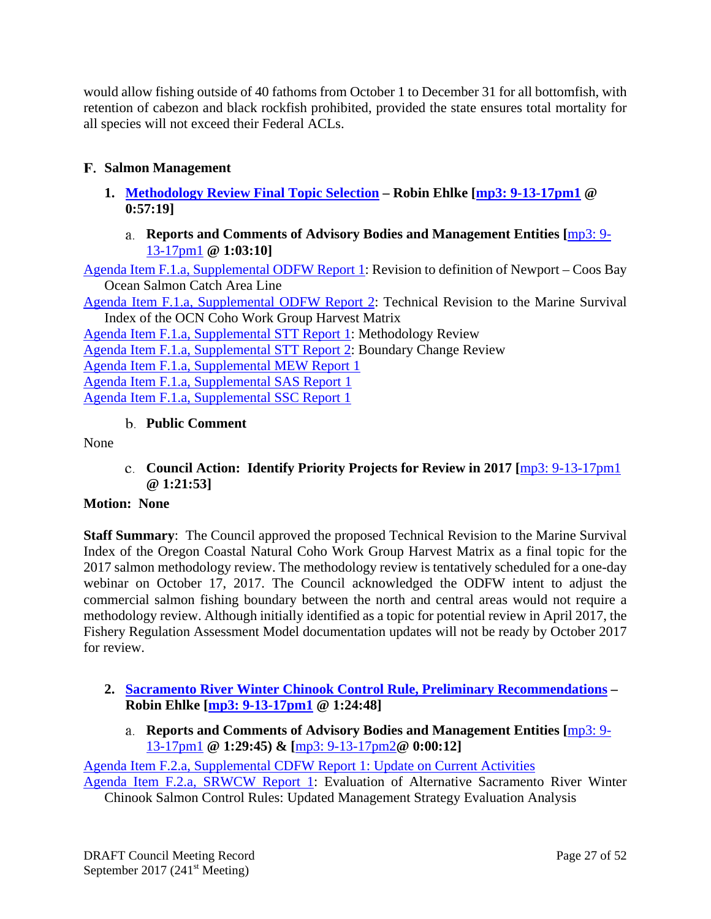would allow fishing outside of 40 fathoms from October 1 to December 31 for all bottomfish, with retention of cabezon and black rockfish prohibited, provided the state ensures total mortality for all species will not exceed their Federal ACLs.

## <span id="page-26-0"></span>**Salmon Management**

- <span id="page-26-1"></span>**1. [Methodology Review Final Topic Selection](http://www.pcouncil.org/wp-content/uploads/2017/08/F1__SitSum_MEW_SEPT2017BB.pdf) – Robin Ehlke [\[mp3: 9-13-17pm1](ftp://ftp.pcouncil.org/pub/R1709_September_2017_Recordings/9-13-17pm1Copy.mp3) @ 0:57:19]**
	- **Reports and Comments of Advisory Bodies and Management Entities [**[mp3: 9-](ftp://ftp.pcouncil.org/pub/R1709_September_2017_Recordings/9-13-17pm1Copy.mp3) [13-17pm1](ftp://ftp.pcouncil.org/pub/R1709_September_2017_Recordings/9-13-17pm1Copy.mp3) **@ 1:03:10]**

<span id="page-26-2"></span>[Agenda Item F.1.a, Supplemental ODFW Report 1:](http://www.pcouncil.org/wp-content/uploads/2017/09/F1a_Sup_ODFW_Rpt1_Boundary_SEPT2017BB.pdf) Revision to definition of Newport – Coos Bay Ocean Salmon Catch Area Line

[Agenda Item F.1.a, Supplemental ODFW Report 2:](http://www.pcouncil.org/wp-content/uploads/2017/09/F1a_Sup_ODFW_Rpt2_OCN_SEPT2017BB.pdf) Technical Revision to the Marine Survival Index of the OCN Coho Work Group Harvest Matrix

[Agenda Item F.1.a, Supplemental STT Report 1:](http://www.pcouncil.org/wp-content/uploads/2017/09/F1a_Sup_STT_Rpt1_SalmonMethodolgy_SEPT17BB.pdf) Methodology Review

[Agenda Item F.1.a, Supplemental STT Report 2:](http://www.pcouncil.org/wp-content/uploads/2017/09/F1a_Sup_STT_Rpt2_Boundary_SEPT17BB.pdf) Boundary Change Review

[Agenda Item F.1.a, Supplemental MEW Report 1](http://www.pcouncil.org/wp-content/uploads/2017/09/F1a_Sup_MEW_Rpt_1_SEPT2017BB.pdf)

[Agenda Item F.1.a, Supplemental SAS Report 1](http://www.pcouncil.org/wp-content/uploads/2017/09/F1a_Sup_SAS_Rpt1_Boundary_SEPT17BB.pdf)

<span id="page-26-3"></span>[Agenda Item F.1.a, Supplemental SSC Report 1](http://www.pcouncil.org/wp-content/uploads/2017/09/F1a_Sup_SSC_Rpt1_SEPT2017BB.pdf)

## **Public Comment**

<span id="page-26-4"></span>None

**Council Action: Identify Priority Projects for Review in 2017 [**[mp3: 9-13-17pm1](ftp://ftp.pcouncil.org/pub/R1709_September_2017_Recordings/9-13-17pm1Copy.mp3) **@ 1:21:53]**

## **Motion: None**

**Staff Summary**: The Council approved the proposed Technical Revision to the Marine Survival Index of the Oregon Coastal Natural Coho Work Group Harvest Matrix as a final topic for the 2017 salmon methodology review. The methodology review is tentatively scheduled for a one-day webinar on October 17, 2017. The Council acknowledged the ODFW intent to adjust the commercial salmon fishing boundary between the north and central areas would not require a methodology review. Although initially identified as a topic for potential review in April 2017, the Fishery Regulation Assessment Model documentation updates will not be ready by October 2017 for review.

- <span id="page-26-6"></span><span id="page-26-5"></span>**2. [Sacramento River Winter Chinook Control Rule, Preliminary Recommendations](http://www.pcouncil.org/wp-content/uploads/2017/08/F2__SitSum_SRWCW_SEPT2017BB.pdf) – Robin Ehlke [\[mp3: 9-13-17pm1](ftp://ftp.pcouncil.org/pub/R1709_September_2017_Recordings/9-13-17pm1Copy.mp3) @ 1:24:48]**
	- **Reports and Comments of Advisory Bodies and Management Entities [**[mp3: 9-](ftp://ftp.pcouncil.org/pub/R1709_September_2017_Recordings/9-13-17pm1Copy.mp3) [13-17pm1](ftp://ftp.pcouncil.org/pub/R1709_September_2017_Recordings/9-13-17pm1Copy.mp3) **@ 1:29:45) & [**[mp3: 9-13-17pm2](ftp://ftp.pcouncil.org/pub/R1709_September_2017_Recordings/9-13-17pm2Copy.mp3)**@ 0:00:12]**

[Agenda Item F.2.a, Supplemental CDFW Report 1:](http://www.pcouncil.org/wp-content/uploads/2017/09/F2a_Sup_CDFW_Rpt1_Update_SEPT2017BB.pdf) Update on Current Activities

[Agenda Item F.2.a, SRWCW Report 1:](http://www.pcouncil.org/wp-content/uploads/2017/08/F2a_SRWCW_Rpt1_SEPT2017BB.pdf) Evaluation of Alternative Sacramento River Winter Chinook Salmon Control Rules: Updated Management Strategy Evaluation Analysis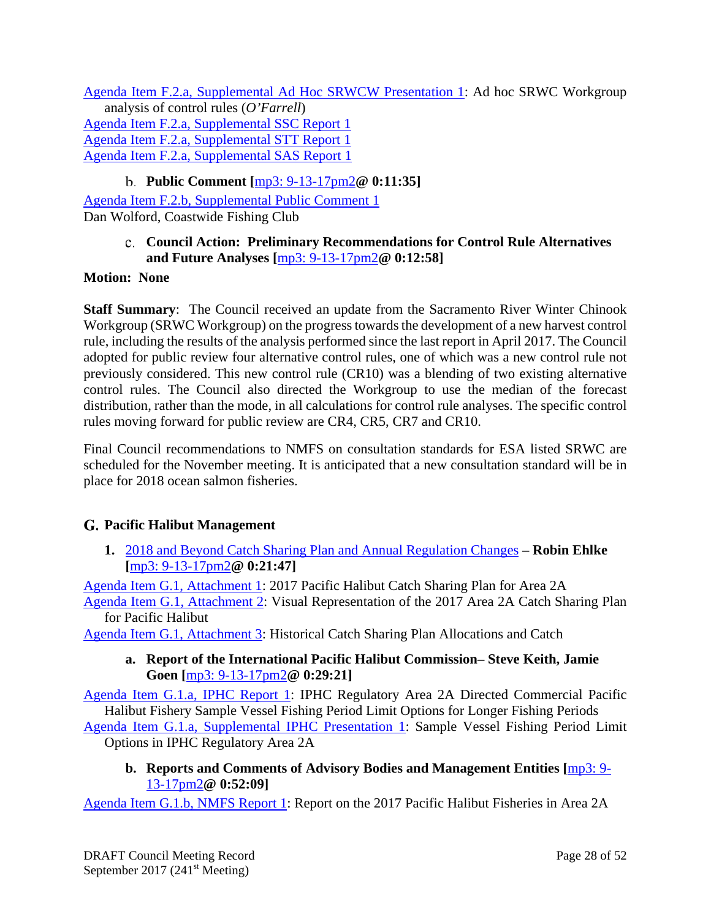[Agenda Item F.2.a, Supplemental Ad Hoc SRWCW Presentation 1:](http://www.pcouncil.org/wp-content/uploads/2017/09/F2a_Sup_SRWCW_Prestn1_Ofarrell_SEPT2017BB.pdf) Ad hoc SRWC Workgroup analysis of control rules (*O'Farrell*) [Agenda Item F.2.a, Supplemental SSC Report 1](http://www.pcouncil.org/wp-content/uploads/2017/09/F2a_Sup_SSC_Rpt1_SRWC.pdf) [Agenda Item F.2.a, Supplemental STT Report 1](http://www.pcouncil.org/wp-content/uploads/2017/09/F2a_Sup_STT_Rpt1_SRWC_SEPT2017BB.pdf) [Agenda Item F.2.a, Supplemental SAS Report 1](http://www.pcouncil.org/wp-content/uploads/2017/09/F2a_Sup_SAS_Rpt1_SRWC_SEPT2017BB.pdf)

## **Public Comment [**[mp3: 9-13-17pm2](ftp://ftp.pcouncil.org/pub/R1709_September_2017_Recordings/9-13-17pm2Copy.mp3)**@ 0:11:35]**

<span id="page-27-1"></span><span id="page-27-0"></span>[Agenda Item F.2.b, Supplemental Public Comment 1](http://www.pcouncil.org/wp-content/uploads/2017/09/F2b_Sup_PubCom_1_SEPT2017BB.pdf) Dan Wolford, Coastwide Fishing Club

## **Council Action: Preliminary Recommendations for Control Rule Alternatives and Future Analyses [**[mp3: 9-13-17pm2](ftp://ftp.pcouncil.org/pub/R1709_September_2017_Recordings/9-13-17pm2Copy.mp3)**@ 0:12:58]**

## **Motion: None**

**Staff Summary**: The Council received an update from the Sacramento River Winter Chinook Workgroup (SRWC Workgroup) on the progress towards the development of a new harvest control rule, including the results of the analysis performed since the last report in April 2017. The Council adopted for public review four alternative control rules, one of which was a new control rule not previously considered. This new control rule (CR10) was a blending of two existing alternative control rules. The Council also directed the Workgroup to use the median of the forecast distribution, rather than the mode, in all calculations for control rule analyses. The specific control rules moving forward for public review are CR4, CR5, CR7 and CR10.

Final Council recommendations to NMFS on consultation standards for ESA listed SRWC are scheduled for the November meeting. It is anticipated that a new consultation standard will be in place for 2018 ocean salmon fisheries.

## <span id="page-27-2"></span>**Pacific Halibut Management**

<span id="page-27-3"></span>**1.** [2018 and Beyond Catch Sharing Plan and Annual Regulation Changes](http://www.pcouncil.org/wp-content/uploads/2017/08/G1__CSP_SitSum_SEPT2017BB.pdf) **– Robin Ehlke [**[mp3: 9-13-17pm2](ftp://ftp.pcouncil.org/pub/R1709_September_2017_Recordings/9-13-17pm2Copy.mp3)**@ 0:21:47]**

[Agenda Item G.1, Attachment 1:](http://www.pcouncil.org/wp-content/uploads/2017/08/G1_Att1_2017CSP_SEPT2017BB.pdf) 2017 Pacific Halibut Catch Sharing Plan for Area 2A

[Agenda Item G.1, Attachment 2:](http://www.pcouncil.org/wp-content/uploads/2017/08/G1_Att2_CSP_Visual_SEPT2017BB.pdf) Visual Representation of the 2017 Area 2A Catch Sharing Plan for Pacific Halibut

<span id="page-27-4"></span>[Agenda Item G.1, Attachment 3:](http://www.pcouncil.org/wp-content/uploads/2017/08/G1_Att3_Historical_Catch_Alloc_SEPT2017BB.pdf) Historical Catch Sharing Plan Allocations and Catch

**a. Report of the International Pacific Halibut Commission– Steve Keith, Jamie Goen [**[mp3: 9-13-17pm2](ftp://ftp.pcouncil.org/pub/R1709_September_2017_Recordings/9-13-17pm2Copy.mp3)**@ 0:29:21]**

[Agenda Item G.1.a, IPHC Report 1:](http://www.pcouncil.org/wp-content/uploads/2017/08/G1a_IPHC_Rpt1_SEPT2017BB.pdf) IPHC Regulatory Area 2A Directed Commercial Pacific Halibut Fishery Sample Vessel Fishing Period Limit Options for Longer Fishing Periods [Agenda Item G.1.a, Supplemental IPHC Presentation 1:](http://www.pcouncil.org/wp-content/uploads/2017/09/G1a_Sup_IPHC_Prestn1_Keith_SEPT2017BB.pdf) Sample Vessel Fishing Period Limit

<span id="page-27-5"></span>Options in IPHC Regulatory Area 2A

**b. Reports and Comments of Advisory Bodies and Management Entities [**[mp3: 9-](ftp://ftp.pcouncil.org/pub/R1709_September_2017_Recordings/9-13-17pm2Copy.mp3) [13-17pm2](ftp://ftp.pcouncil.org/pub/R1709_September_2017_Recordings/9-13-17pm2Copy.mp3)**@ 0:52:09]**

[Agenda Item G.1.b, NMFS Report 1:](http://www.pcouncil.org/wp-content/uploads/2017/08/G1b_NMFS_Rpt1_SEPT2017BB.pdf) Report on the 2017 Pacific Halibut Fisheries in Area 2A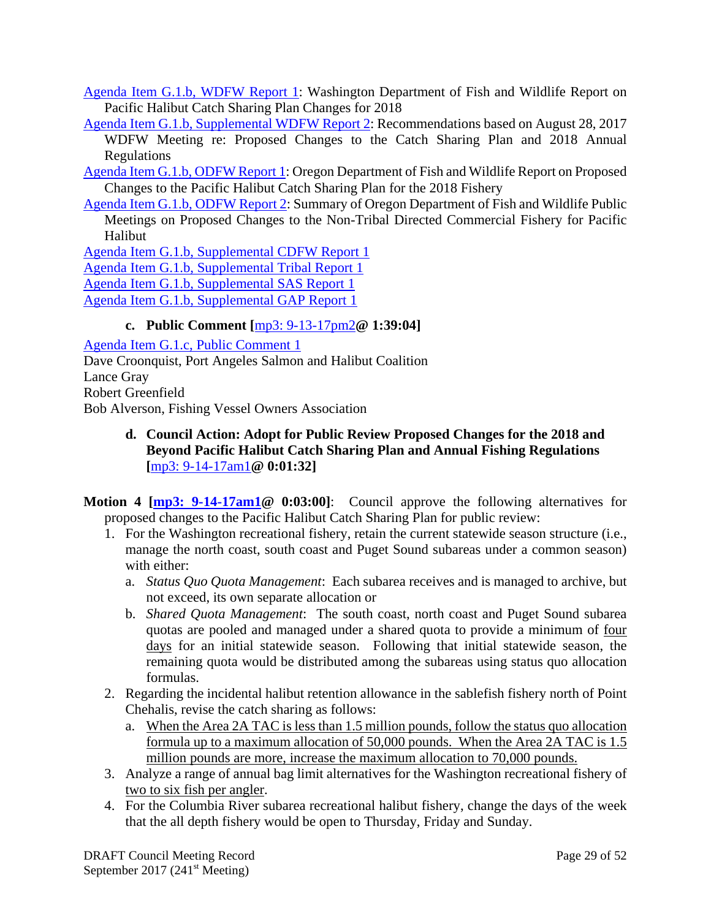[Agenda Item G.1.b, WDFW Report 1:](http://www.pcouncil.org/wp-content/uploads/2017/08/G1b_WDFW_Rpt1_SEPT2017BB.pdf) Washington Department of Fish and Wildlife Report on Pacific Halibut Catch Sharing Plan Changes for 2018

- [Agenda Item G.1.b, Supplemental WDFW Report 2:](http://www.pcouncil.org/wp-content/uploads/2017/09/G1b_Sup_WDFW_Rpt2_SEPT2017BB.pdf) Recommendations based on August 28, 2017 WDFW Meeting re: Proposed Changes to the Catch Sharing Plan and 2018 Annual Regulations
- [Agenda Item G.1.b, ODFW Report 1:](http://www.pcouncil.org/wp-content/uploads/2017/08/G1b_ODFW_Rpt1_SEPT2017BB.pdf) Oregon Department of Fish and Wildlife Report on Proposed Changes to the Pacific Halibut Catch Sharing Plan for the 2018 Fishery
- [Agenda Item G.1.b, ODFW Report 2:](http://www.pcouncil.org/wp-content/uploads/2017/08/G1b_ODFW_Rpt2_SEPT2017BB.pdf) Summary of Oregon Department of Fish and Wildlife Public Meetings on Proposed Changes to the Non-Tribal Directed Commercial Fishery for Pacific Halibut

[Agenda Item G.1.b, Supplemental CDFW Report 1](http://www.pcouncil.org/wp-content/uploads/2017/09/G1b_Sup_CDFW_Rpt1_SEPT2017BB.pdf)

[Agenda Item G.1.b, Supplemental Tribal Report 1](http://www.pcouncil.org/wp-content/uploads/2017/09/G1b_Sup_Tribal_Rpt1_SEPT2017BB.pdf)

[Agenda Item G.1.b, Supplemental SAS Report 1](http://www.pcouncil.org/wp-content/uploads/2017/09/G1b_Sup_SAS_Rpt1_Halibut_SEPT2017BB.pdf)

<span id="page-28-0"></span>[Agenda Item G.1.b, Supplemental GAP Report 1](http://www.pcouncil.org/wp-content/uploads/2017/09/G1b_Sup_GAP_Rpt1_withMinority_Halibut_SEPT2017BB.pdf)

**c. Public Comment [**[mp3: 9-13-17pm2](ftp://ftp.pcouncil.org/pub/R1709_September_2017_Recordings/9-13-17pm2Copy.mp3)**@ 1:39:04]**

[Agenda Item G.1.c, Public Comment 1](http://www.pcouncil.org/wp-content/uploads/2017/08/G1c_PubCom1_SEPT2017BB.pdf)

Dave Croonquist, Port Angeles Salmon and Halibut Coalition Lance Gray Robert Greenfield Bob Alverson, Fishing Vessel Owners Association

> <span id="page-28-1"></span>**d. Council Action: Adopt for Public Review Proposed Changes for the 2018 and Beyond Pacific Halibut Catch Sharing Plan and Annual Fishing Regulations [**[mp3: 9-14-17am1](ftp://ftp.pcouncil.org/pub/R1709_September_2017_Recordings/9-14-17am1Copy.mp3)**@ 0:01:32]**

**Motion 4 [\[mp3: 9-14-17am1@](ftp://ftp.pcouncil.org/pub/R1709_September_2017_Recordings/9-14-17am1Copy.mp3) 0:03:00]**: Council approve the following alternatives for proposed changes to the Pacific Halibut Catch Sharing Plan for public review:

- 1. For the Washington recreational fishery, retain the current statewide season structure (i.e., manage the north coast, south coast and Puget Sound subareas under a common season) with either:
	- a. *Status Quo Quota Management*: Each subarea receives and is managed to archive, but not exceed, its own separate allocation or
	- b. *Shared Quota Management*: The south coast, north coast and Puget Sound subarea quotas are pooled and managed under a shared quota to provide a minimum of four days for an initial statewide season. Following that initial statewide season, the remaining quota would be distributed among the subareas using status quo allocation formulas.
- 2. Regarding the incidental halibut retention allowance in the sablefish fishery north of Point Chehalis, revise the catch sharing as follows:
	- a. When the Area 2A TAC is less than 1.5 million pounds, follow the status quo allocation formula up to a maximum allocation of 50,000 pounds. When the Area 2A TAC is 1.5 million pounds are more, increase the maximum allocation to 70,000 pounds.
- 3. Analyze a range of annual bag limit alternatives for the Washington recreational fishery of two to six fish per angler.
- 4. For the Columbia River subarea recreational halibut fishery, change the days of the week that the all depth fishery would be open to Thursday, Friday and Sunday.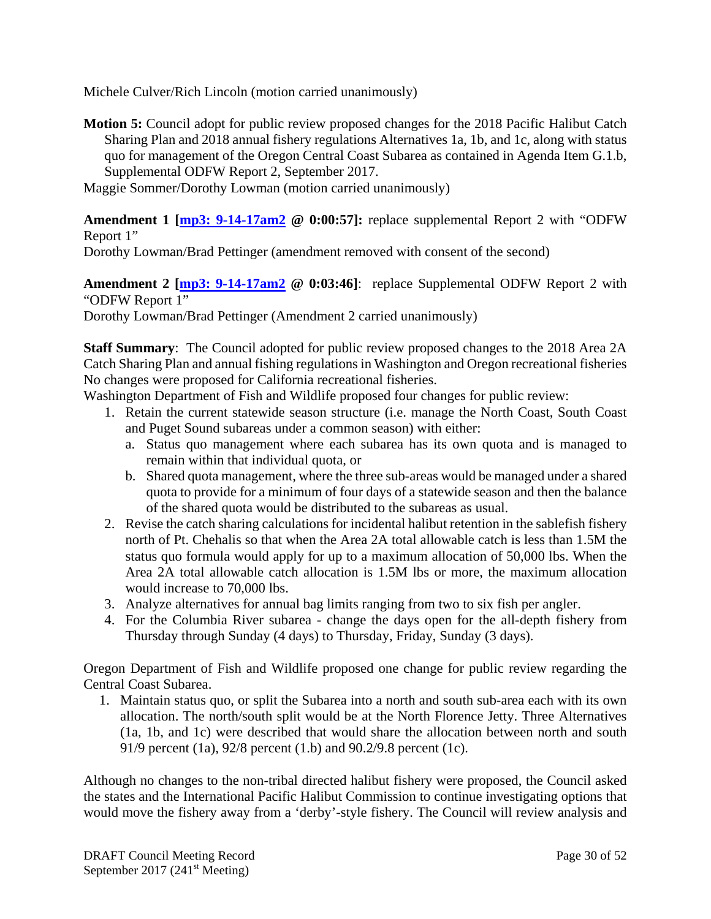Michele Culver/Rich Lincoln (motion carried unanimously)

**Motion 5:** Council adopt for public review proposed changes for the 2018 Pacific Halibut Catch Sharing Plan and 2018 annual fishery regulations Alternatives 1a, 1b, and 1c, along with status quo for management of the Oregon Central Coast Subarea as contained in Agenda Item G.1.b, Supplemental ODFW Report 2, September 2017.

Maggie Sommer/Dorothy Lowman (motion carried unanimously)

**Amendment 1 [\[mp3: 9-14-17am2](ftp://ftp.pcouncil.org/pub/R1709_September_2017_Recordings/9-14-17am2Copy.mp3) @ 0:00:57]:** replace supplemental Report 2 with "ODFW Report 1"

Dorothy Lowman/Brad Pettinger (amendment removed with consent of the second)

**Amendment 2 [\[mp3: 9-14-17am2](ftp://ftp.pcouncil.org/pub/R1709_September_2017_Recordings/9-14-17am2Copy.mp3) @ 0:03:46]**: replace Supplemental ODFW Report 2 with "ODFW Report 1"

Dorothy Lowman/Brad Pettinger (Amendment 2 carried unanimously)

**Staff Summary**: The Council adopted for public review proposed changes to the 2018 Area 2A Catch Sharing Plan and annual fishing regulations in Washington and Oregon recreational fisheries No changes were proposed for California recreational fisheries.

Washington Department of Fish and Wildlife proposed four changes for public review:

- 1. Retain the current statewide season structure (i.e. manage the North Coast, South Coast and Puget Sound subareas under a common season) with either:
	- a. Status quo management where each subarea has its own quota and is managed to remain within that individual quota, or
	- b. Shared quota management, where the three sub-areas would be managed under a shared quota to provide for a minimum of four days of a statewide season and then the balance of the shared quota would be distributed to the subareas as usual.
- 2. Revise the catch sharing calculations for incidental halibut retention in the sablefish fishery north of Pt. Chehalis so that when the Area 2A total allowable catch is less than 1.5M the status quo formula would apply for up to a maximum allocation of 50,000 lbs. When the Area 2A total allowable catch allocation is 1.5M lbs or more, the maximum allocation would increase to 70,000 lbs.
- 3. Analyze alternatives for annual bag limits ranging from two to six fish per angler.
- 4. For the Columbia River subarea change the days open for the all-depth fishery from Thursday through Sunday (4 days) to Thursday, Friday, Sunday (3 days).

Oregon Department of Fish and Wildlife proposed one change for public review regarding the Central Coast Subarea.

1. Maintain status quo, or split the Subarea into a north and south sub-area each with its own allocation. The north/south split would be at the North Florence Jetty. Three Alternatives (1a, 1b, and 1c) were described that would share the allocation between north and south 91/9 percent (1a), 92/8 percent (1.b) and 90.2/9.8 percent (1c).

Although no changes to the non-tribal directed halibut fishery were proposed, the Council asked the states and the International Pacific Halibut Commission to continue investigating options that would move the fishery away from a 'derby'-style fishery. The Council will review analysis and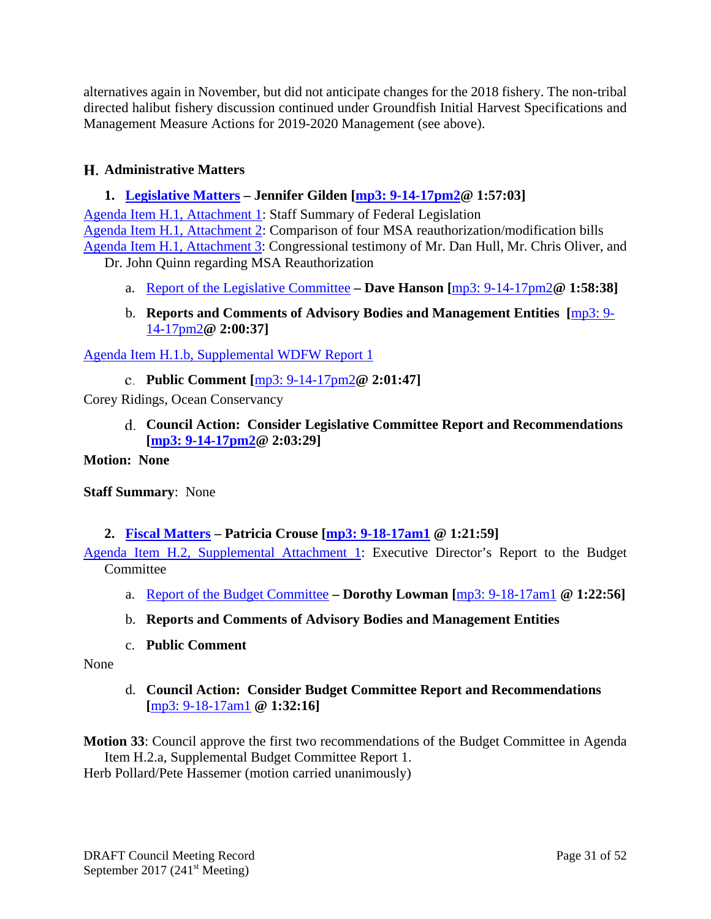alternatives again in November, but did not anticipate changes for the 2018 fishery. The non-tribal directed halibut fishery discussion continued under Groundfish Initial Harvest Specifications and Management Measure Actions for 2019-2020 Management (see above).

## <span id="page-30-0"></span>**Administrative Matters**

## <span id="page-30-1"></span>**1. [Legislative Matters](http://www.pcouncil.org/wp-content/uploads/2017/08/H1__SitSum_Legislative_Matters_SEPT2017BB.pdf) – Jennifer Gilden [\[mp3: 9-14-17pm2@](ftp://ftp.pcouncil.org/pub/R1709_September_2017_Recordings/9-14-17pm2Copy.mp3) 1:57:03]**

[Agenda Item H.1, Attachment 1:](http://www.pcouncil.org/wp-content/uploads/2017/08/H1_Att1_Staff_Summary_Fed_Legislation_SEPT2017BB.pdf) Staff Summary of Federal Legislation [Agenda Item H.1, Attachment 2:](http://www.pcouncil.org/wp-content/uploads/2017/08/H1_Att2_Summary_MSA_Bills_v2_SEPT2017BB.pdf) Comparison of four MSA reauthorization/modification bills

[Agenda Item H.1, Attachment 3:](http://www.pcouncil.org/wp-content/uploads/2017/08/H1_Att3_MSA_Testimony_Hull_Oliver_Quinn_SEPT2017BB.pdf) Congressional testimony of Mr. Dan Hull, Mr. Chris Oliver, and Dr. John Quinn regarding MSA Reauthorization

- <span id="page-30-2"></span>a. [Report of the Legislative Committee](http://www.pcouncil.org/wp-content/uploads/2017/09/H1a_Sup_LC_Rpt1_SEPT2017BB.pdf) **– Dave Hanson [**[mp3: 9-14-17pm2](ftp://ftp.pcouncil.org/pub/R1709_September_2017_Recordings/9-14-17pm2Copy.mp3)**@ 1:58:38]**
- <span id="page-30-3"></span>b. **Reports and Comments of Advisory Bodies and Management Entities [**[mp3: 9-](ftp://ftp.pcouncil.org/pub/R1709_September_2017_Recordings/9-14-17pm2Copy.mp3) [14-17pm2](ftp://ftp.pcouncil.org/pub/R1709_September_2017_Recordings/9-14-17pm2Copy.mp3)**@ 2:00:37]**

<span id="page-30-5"></span><span id="page-30-4"></span>[Agenda Item H.1.b, Supplemental WDFW Report 1](http://www.pcouncil.org/wp-content/uploads/2017/09/H1b_Sup_WDFW_Rpt1_SEPT2017BB.pdf)

**Public Comment [**[mp3: 9-14-17pm2](ftp://ftp.pcouncil.org/pub/R1709_September_2017_Recordings/9-14-17pm2Copy.mp3)**@ 2:01:47]**

<span id="page-30-6"></span>Corey Ridings, Ocean Conservancy

**Council Action: Consider Legislative Committee Report and Recommendations [\[mp3: 9-14-17pm2@](ftp://ftp.pcouncil.org/pub/R1709_September_2017_Recordings/9-14-17pm2Copy.mp3) 2:03:29]**

## **Motion: None**

**Staff Summary**: None

<span id="page-30-7"></span>**2. [Fiscal Matters](http://www.pcouncil.org/wp-content/uploads/2017/08/H2__SitSum_Fiscal_SEPT2017BB.pdf) – Patricia Crouse [\[mp3: 9-18-17am1](ftp://ftp.pcouncil.org/pub/R1709_September_2017_Recordings/9-18-17am1Copy.mp3) @ 1:21:59]**

[Agenda Item H.2, Supplemental Attachment 1:](http://www.pcouncil.org/wp-content/uploads/2017/09/H2_Sup_Att1_ED_BC_Pres_SEPT2017BB.pdf) Executive Director's Report to the Budget Committee

- <span id="page-30-8"></span>a. [Report of the Budget Committee](http://www.pcouncil.org/wp-content/uploads/2017/09/H2a_Sup_BudCom_Rpt_SEPT2017BB.pdf) **– Dorothy Lowman [**[mp3: 9-18-17am1](ftp://ftp.pcouncil.org/pub/R1709_September_2017_Recordings/9-18-17am1Copy.mp3) **@ 1:22:56]**
- <span id="page-30-9"></span>b. **Reports and Comments of Advisory Bodies and Management Entities**
- c. **Public Comment**

<span id="page-30-11"></span><span id="page-30-10"></span>None

d. **Council Action: Consider Budget Committee Report and Recommendations [**[mp3: 9-18-17am1](ftp://ftp.pcouncil.org/pub/R1709_September_2017_Recordings/9-18-17am1Copy.mp3) **@ 1:32:16]**

**Motion 33**: Council approve the first two recommendations of the Budget Committee in Agenda Item H.2.a, Supplemental Budget Committee Report 1.

Herb Pollard/Pete Hassemer (motion carried unanimously)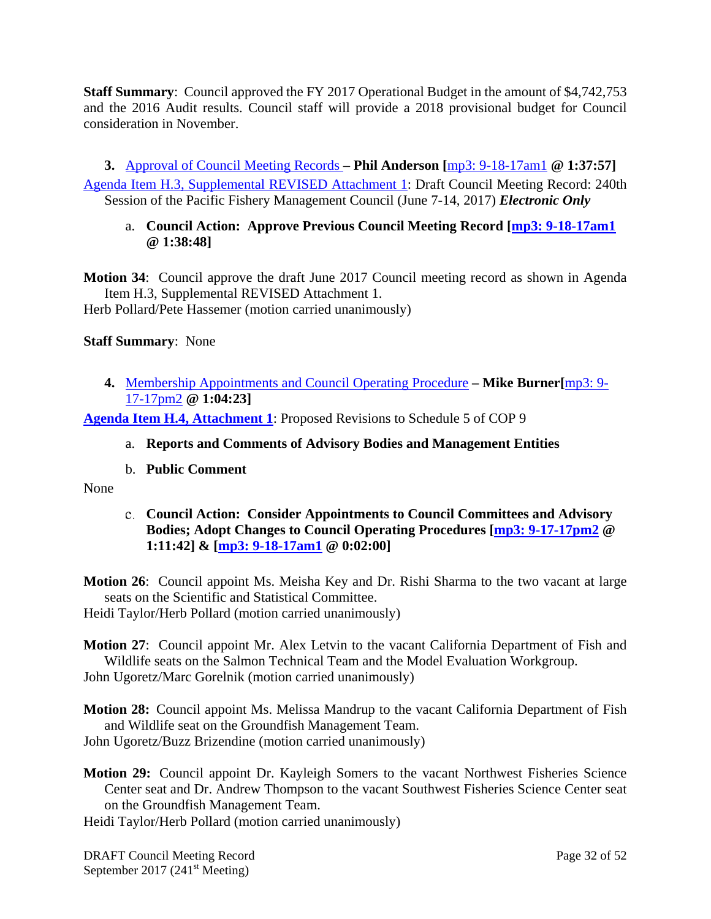**Staff Summary**: Council approved the FY 2017 Operational Budget in the amount of \$4,742,753 and the 2016 Audit results. Council staff will provide a 2018 provisional budget for Council consideration in November.

<span id="page-31-0"></span>**3.** [Approval of Council Meeting Records](http://www.pcouncil.org/wp-content/uploads/2017/08/H3__SitSum_MtgRec_June17_SEPT2017BB.pdf) **– Phil Anderson [**[mp3: 9-18-17am1](ftp://ftp.pcouncil.org/pub/R1709_September_2017_Recordings/9-18-17am1Copy.mp3) **@ 1:37:57]** [Agenda Item H.3, Supplemental REVISED Attachment 1:](http://www.pcouncil.org/wp-content/uploads/2017/09/H3_Supplemental_REVISED-Att1_Draft_June2017_CouncilMtgRecord_SEPT2017BB.pdf) Draft Council Meeting Record: 240th Session of the Pacific Fishery Management Council (June 7-14, 2017) *Electronic Only*

<span id="page-31-1"></span>a. **Council Action: Approve Previous Council Meeting Record [\[mp3: 9-18-17am1](ftp://ftp.pcouncil.org/pub/R1709_September_2017_Recordings/9-18-17am1Copy.mp3) @ 1:38:48]**

**Motion 34**: Council approve the draft June 2017 Council meeting record as shown in Agenda Item H.3, Supplemental REVISED Attachment 1. Herb Pollard/Pete Hassemer (motion carried unanimously)

**Staff Summary**: None

<span id="page-31-2"></span>**4.** [Membership Appointments and Council Operating Procedure](http://www.pcouncil.org/wp-content/uploads/2017/08/H4__SitSum_ApptsCOPs_SEPT2017BB.pdf) **– Mike Burner[**[mp3: 9-](ftp://ftp.pcouncil.org/pub/R1709_September_2017_Recordings/9-17-17pm2Copy.mp3) [17-17pm2](ftp://ftp.pcouncil.org/pub/R1709_September_2017_Recordings/9-17-17pm2Copy.mp3) **@ 1:04:23]**

<span id="page-31-3"></span>**[Agenda Item H.4, Attachment 1](http://www.pcouncil.org/wp-content/uploads/2017/08/H4_Att1_COP9_SCHEDULE_5_HMS_revisions_SEPT2017BB.pdf)**: Proposed Revisions to Schedule 5 of COP 9

- a. **Reports and Comments of Advisory Bodies and Management Entities**
- b. **Public Comment**

<span id="page-31-5"></span><span id="page-31-4"></span>None

**Council Action: Consider Appointments to Council Committees and Advisory Bodies; Adopt Changes to Council Operating Procedures [\[mp3: 9-17-17pm2](ftp://ftp.pcouncil.org/pub/R1709_September_2017_Recordings/9-17-17pm2Copy.mp3) @ 1:11:42] & [\[mp3: 9-18-17am1](ftp://ftp.pcouncil.org/pub/R1709_September_2017_Recordings/9-18-17am1Copy.mp3) @ 0:02:00]**

**Motion 26**: Council appoint Ms. Meisha Key and Dr. Rishi Sharma to the two vacant at large seats on the Scientific and Statistical Committee.

Heidi Taylor/Herb Pollard (motion carried unanimously)

**Motion 27**: Council appoint Mr. Alex Letvin to the vacant California Department of Fish and Wildlife seats on the Salmon Technical Team and the Model Evaluation Workgroup. John Ugoretz/Marc Gorelnik (motion carried unanimously)

**Motion 28:** Council appoint Ms. Melissa Mandrup to the vacant California Department of Fish and Wildlife seat on the Groundfish Management Team. John Ugoretz/Buzz Brizendine (motion carried unanimously)

**Motion 29:** Council appoint Dr. Kayleigh Somers to the vacant Northwest Fisheries Science Center seat and Dr. Andrew Thompson to the vacant Southwest Fisheries Science Center seat on the Groundfish Management Team.

Heidi Taylor/Herb Pollard (motion carried unanimously)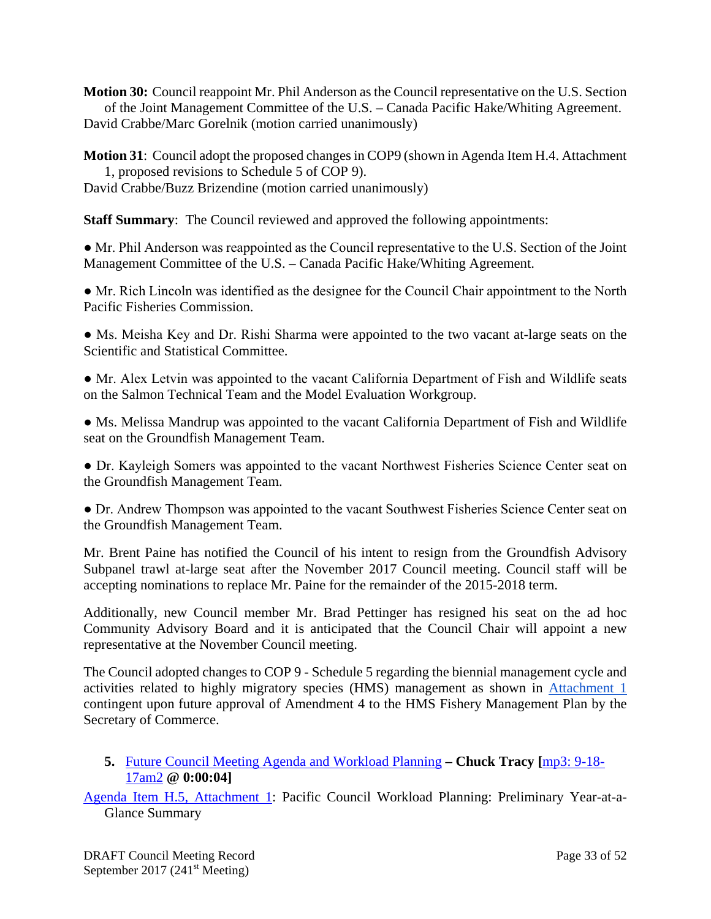**Motion 30:** Council reappoint Mr. Phil Anderson as the Council representative on the U.S. Section of the Joint Management Committee of the U.S. – Canada Pacific Hake/Whiting Agreement. David Crabbe/Marc Gorelnik (motion carried unanimously)

**Motion 31**: Council adopt the proposed changes in COP9 (shown in Agenda Item H.4. Attachment 1, proposed revisions to Schedule 5 of COP 9).

David Crabbe/Buzz Brizendine (motion carried unanimously)

**Staff Summary**: The Council reviewed and approved the following appointments:

● Mr. Phil Anderson was reappointed as the Council representative to the U.S. Section of the Joint Management Committee of the U.S. – Canada Pacific Hake/Whiting Agreement.

● Mr. Rich Lincoln was identified as the designee for the Council Chair appointment to the North Pacific Fisheries Commission.

• Ms. Meisha Key and Dr. Rishi Sharma were appointed to the two vacant at-large seats on the Scientific and Statistical Committee.

• Mr. Alex Letvin was appointed to the vacant California Department of Fish and Wildlife seats on the Salmon Technical Team and the Model Evaluation Workgroup.

● Ms. Melissa Mandrup was appointed to the vacant California Department of Fish and Wildlife seat on the Groundfish Management Team.

● Dr. Kayleigh Somers was appointed to the vacant Northwest Fisheries Science Center seat on the Groundfish Management Team.

● Dr. Andrew Thompson was appointed to the vacant Southwest Fisheries Science Center seat on the Groundfish Management Team.

Mr. Brent Paine has notified the Council of his intent to resign from the Groundfish Advisory Subpanel trawl at-large seat after the November 2017 Council meeting. Council staff will be accepting nominations to replace Mr. Paine for the remainder of the 2015-2018 term.

Additionally, new Council member Mr. Brad Pettinger has resigned his seat on the ad hoc Community Advisory Board and it is anticipated that the Council Chair will appoint a new representative at the November Council meeting.

The Council adopted changes to COP 9 - Schedule 5 regarding the biennial management cycle and activities related to highly migratory species (HMS) management as shown in [Attachment 1](http://www.pcouncil.org/wp-content/uploads/2017/08/H4_Att1_COP9_SCHEDULE_5_HMS_revisions_SEPT2017BB.pdf) contingent upon future approval of Amendment 4 to the HMS Fishery Management Plan by the Secretary of Commerce.

## <span id="page-32-0"></span>**5.** [Future Council Meeting Agenda and Workload Planning](http://www.pcouncil.org/wp-content/uploads/2017/08/H5__SitSum_CMAgendaPlanning_SEPT2017BB.pdf) **– Chuck Tracy [**[mp3: 9-18-](ftp://ftp.pcouncil.org/pub/R1709_September_2017_Recordings/9-18-17am2Copy.mp3) [17am2](ftp://ftp.pcouncil.org/pub/R1709_September_2017_Recordings/9-18-17am2Copy.mp3) **@ 0:00:04]**

[Agenda Item H.5, Attachment 1:](http://www.pcouncil.org/wp-content/uploads/2017/08/H5_Att1_YAG__SEPT2017BB.pdf) Pacific Council Workload Planning: Preliminary Year-at-a-Glance Summary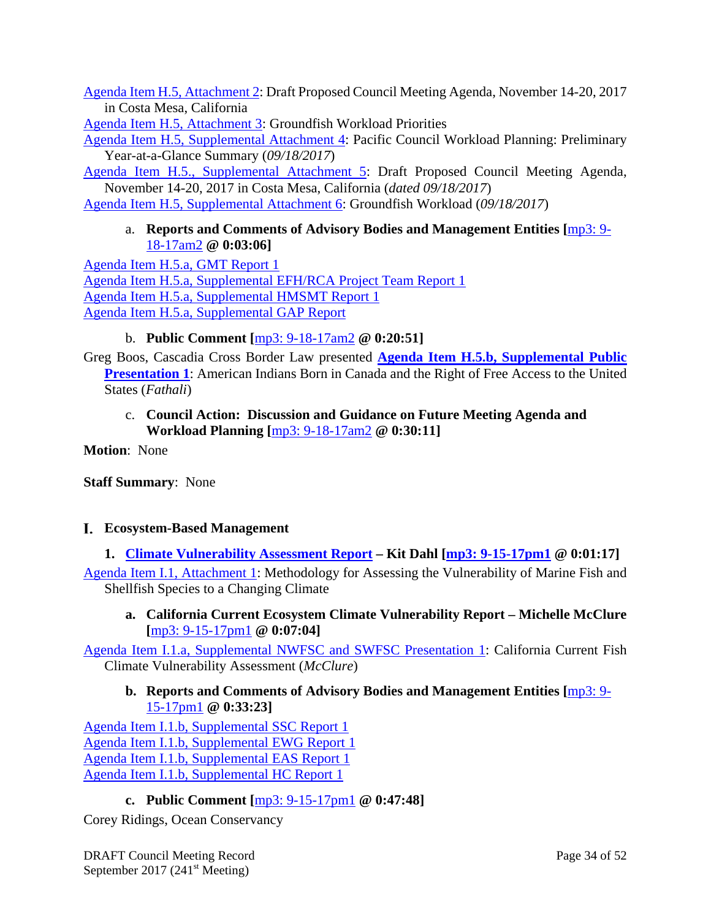[Agenda Item H.5, Attachment 2:](http://www.pcouncil.org/wp-content/uploads/2017/08/H5_Att2_Nov17QR_SEPT2017BB_v1.pdf) Draft Proposed Council Meeting Agenda, November 14-20, 2017 in Costa Mesa, California

[Agenda Item H.5, Attachment 3:](http://www.pcouncil.org/wp-content/uploads/2017/08/H5_Att3_GFworkload_SEPT2017BB.pdf) Groundfish Workload Priorities

[Agenda Item H.5, Supplemental Attachment 4:](http://www.pcouncil.org/wp-content/uploads/2017/09/H5_Sup_Att4_YAG_SEPT2017BB.pdf) Pacific Council Workload Planning: Preliminary Year-at-a-Glance Summary (*09/18/2017*)

[Agenda Item H.5., Supplemental Attachment 5:](http://www.pcouncil.org/wp-content/uploads/2017/09/H5_Sup_Att5_Nov17QR_SEPT2017BB.pdf) Draft Proposed Council Meeting Agenda, November 14-20, 2017 in Costa Mesa, California (*dated 09/18/2017*)

<span id="page-33-0"></span>[Agenda Item H.5, Supplemental Attachment 6:](http://www.pcouncil.org/wp-content/uploads/2017/09/H5_Sup_Att6_GFworkload_SEPT2017BB.pdf) Groundfish Workload (*09/18/2017*)

#### a. **Reports and Comments of Advisory Bodies and Management Entities [**[mp3: 9-](ftp://ftp.pcouncil.org/pub/R1709_September_2017_Recordings/9-18-17am2Copy.mp3) [18-17am2](ftp://ftp.pcouncil.org/pub/R1709_September_2017_Recordings/9-18-17am2Copy.mp3) **@ 0:03:06]**

[Agenda Item H.5.a, GMT Report 1](http://www.pcouncil.org/wp-content/uploads/2017/08/H5a_GMT_Rpt1_SEPT2017BB.pdf) [Agenda Item H.5.a, Supplemental EFH/RCA Project Team Report 1](http://www.pcouncil.org/wp-content/uploads/2017/09/H5a_Sup_EFH-RCA_ProjectTeam_Rpt1_SEPT2017BB.pdf) [Agenda Item H.5.a, Supplemental HMSMT Report 1](http://www.pcouncil.org/wp-content/uploads/2017/09/H5a_Sup_HMSMT_Rpt1_SEPT2017BB.pdf) [Agenda Item H.5.a, Supplemental GAP Report](http://www.pcouncil.org/wp-content/uploads/2017/09/H5a_Sup_GAP_Rpt1_SEPT2017BB.pdf)

## b. **Public Comment [**[mp3: 9-18-17am2](ftp://ftp.pcouncil.org/pub/R1709_September_2017_Recordings/9-18-17am2Copy.mp3) **@ 0:20:51]**

<span id="page-33-1"></span>Greg Boos, Cascadia Cross Border Law presented **[Agenda Item H.5.b, Supplemental Public](http://www.pcouncil.org/wp-content/uploads/2017/09/H5b_Sup_Pub_Prestn1_Fathali_SEPT2017BB.pdf)  [Presentation 1](http://www.pcouncil.org/wp-content/uploads/2017/09/H5b_Sup_Pub_Prestn1_Fathali_SEPT2017BB.pdf):** American Indians Born in Canada and the Right of Free Access to the United States (*Fathali*)

<span id="page-33-2"></span>c. **Council Action: Discussion and Guidance on Future Meeting Agenda and Workload Planning [**[mp3: 9-18-17am2](ftp://ftp.pcouncil.org/pub/R1709_September_2017_Recordings/9-18-17am2Copy.mp3) **@ 0:30:11]**

**Motion**: None

**Staff Summary**: None

#### <span id="page-33-3"></span>**Ecosystem-Based Management**

<span id="page-33-4"></span>**1. [Climate Vulnerability Assessment Report](http://www.pcouncil.org/wp-content/uploads/2017/08/I1__SitSum_Climate_Vulnerability_Assessment_SEPT2017BB.pdf) – Kit Dahl [\[mp3: 9-15-17pm1](ftp://ftp.pcouncil.org/pub/R1709_September_2017_Recordings/9-15-17pm1Copy.mp3) @ 0:01:17]**

<span id="page-33-5"></span>[Agenda Item I.1, Attachment 1:](http://www.pcouncil.org/wp-content/uploads/2017/08/I1_Att1_CVA_Methods_TechMemo_SEPT2017BB.pdf) Methodology for Assessing the Vulnerability of Marine Fish and Shellfish Species to a Changing Climate

**a. California Current Ecosystem Climate Vulnerability Report – Michelle McClure [**[mp3: 9-15-17pm1](ftp://ftp.pcouncil.org/pub/R1709_September_2017_Recordings/9-15-17pm1Copy.mp3) **@ 0:07:04]**

<span id="page-33-6"></span>[Agenda Item I.1.a, Supplemental NWFSC and SWFSC Presentation 1:](http://www.pcouncil.org/wp-content/uploads/2017/09/I1a_Sup_NWFSC_SWFSC_Prestn1_McClure_SEPT2017BB.pdf) California Current Fish Climate Vulnerability Assessment (*McClure*)

**b. Reports and Comments of Advisory Bodies and Management Entities [**[mp3: 9-](ftp://ftp.pcouncil.org/pub/R1709_September_2017_Recordings/9-15-17pm1Copy.mp3) [15-17pm1](ftp://ftp.pcouncil.org/pub/R1709_September_2017_Recordings/9-15-17pm1Copy.mp3) **@ 0:33:23]**

[Agenda Item I.1.b, Supplemental SSC Report 1](http://www.pcouncil.org/wp-content/uploads/2017/09/I1b_Sup_SSC_Rpt1_Climate_Vulnerability_Assessment_Final_SEPT2017BB.pdf) [Agenda Item I.1.b, Supplemental EWG Report 1](http://www.pcouncil.org/wp-content/uploads/2017/09/I1b_Sup_EWG_Rpt1_SEPT2017BB.pdf) [Agenda Item I.1.b, Supplemental EAS Report 1](http://www.pcouncil.org/wp-content/uploads/2017/09/I1b_Sup_EAS_Rpt1_SEPT2017BB.pdf) [Agenda Item I.1.b, Supplemental HC Report 1](http://www.pcouncil.org/wp-content/uploads/2017/09/I1b_Sup_HC_Rpt1_SEPT2017BB.pdf)

## **c. Public Comment [**[mp3: 9-15-17pm1](ftp://ftp.pcouncil.org/pub/R1709_September_2017_Recordings/9-15-17pm1Copy.mp3) **@ 0:47:48]**

<span id="page-33-7"></span>Corey Ridings, Ocean Conservancy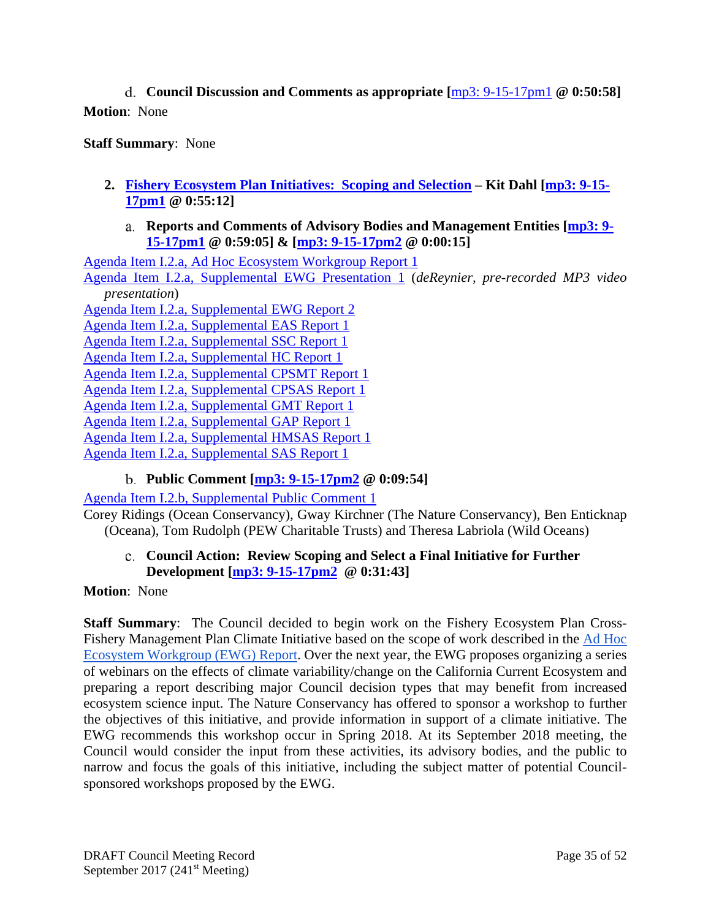## <span id="page-34-0"></span>**Council Discussion and Comments as appropriate [**[mp3: 9-15-17pm1](ftp://ftp.pcouncil.org/pub/R1709_September_2017_Recordings/9-15-17pm1Copy.mp3) **@ 0:50:58] Motion**: None

## **Staff Summary**: None

- <span id="page-34-2"></span><span id="page-34-1"></span>**2. [Fishery Ecosystem Plan Initiatives: Scoping and Selection](http://www.pcouncil.org/wp-content/uploads/2017/08/I2__SitSum_Ecosystem_Initiative_Scoping_SEPT2017BB.pdf) – Kit Dahl [\[mp3: 9-15-](ftp://ftp.pcouncil.org/pub/R1709_September_2017_Recordings/9-15-17pm1Copy.mp3) [17pm1](ftp://ftp.pcouncil.org/pub/R1709_September_2017_Recordings/9-15-17pm1Copy.mp3) @ 0:55:12]**
	- **Reports and Comments of Advisory Bodies and Management Entities [\[mp3: 9-](ftp://ftp.pcouncil.org/pub/R1709_September_2017_Recordings/9-15-17pm1Copy.mp3) [15-17pm1](ftp://ftp.pcouncil.org/pub/R1709_September_2017_Recordings/9-15-17pm1Copy.mp3) @ 0:59:05] & [\[mp3: 9-15-17pm2](ftp://ftp.pcouncil.org/pub/R1709_September_2017_Recordings/9-15-17pm2Copy.mp3) @ 0:00:15]**

Agenda Item [I.2.a, Ad Hoc Ecosystem Workgroup Report 1](http://www.pcouncil.org/wp-content/uploads/2017/08/I2a_EWG_Rpt1_Initiatives_081517_SEPT2017BB.pdf) [Agenda Item I.2.a, Supplemental EWG Presentation 1](ftp://ftp.pcouncil.org/pub/Briefing%20Books/Briefing_Books/BB_0917/I_Ecosystem_Sept2017/I2a_Sup_EWG_Prestn1_preBrief_deReynier_SEPT2017BB.mp4) (*deReynier, pre-recorded MP3 video presentation*) [Agenda Item I.2.a, Supplemental EWG Report 2](http://www.pcouncil.org/wp-content/uploads/2017/09/I2a_Sup_EWG_Rpt2_SEPT2017BB.pdf) [Agenda Item I.2.a, Supplemental EAS Report 1](http://www.pcouncil.org/wp-content/uploads/2017/09/I2a_Sup_EAS_Rpt1_SEPT2017BB.pdf) [Agenda Item I.2.a, Supplemental SSC Report 1](http://www.pcouncil.org/wp-content/uploads/2017/09/I2a_Sup_SSC_Rpt1_SEPT2017BB.pdf) [Agenda Item I.2.a, Supplemental HC Report 1](http://www.pcouncil.org/wp-content/uploads/2017/09/I2a_Sup_HC_Rpt1_SEPT2017BB.pdf) [Agenda Item I.2.a, Supplemental CPSMT Report 1](http://www.pcouncil.org/wp-content/uploads/2017/09/I2a_Sup_CPSMT_Rpt1_SEPT2017BB.pdf) [Agenda Item I.2.a, Supplemental CPSAS Report 1](http://www.pcouncil.org/wp-content/uploads/2017/09/I2a_Sup_CPSAS_Rpt1_SEPT2017BB.pdf) [Agenda Item I.2.a, Supplemental GMT Report 1](http://www.pcouncil.org/wp-content/uploads/2017/09/I2a_Sup_GMT_Rpt1_SEPT2017BB.pdf) [Agenda Item I.2.a, Supplemental GAP Report 1](http://www.pcouncil.org/wp-content/uploads/2017/09/I2a_Sup_GAP_Rpt1_SEPT2017BB.pdf) [Agenda Item I.2.a, Supplemental HMSAS Report 1](http://www.pcouncil.org/wp-content/uploads/2017/09/I2a_Sup_HMSAS_Rpt1_FEP_initiatives_SEPT2017BB.pdf) [Agenda Item I.2.a, Supplemental SAS Report 1](http://www.pcouncil.org/wp-content/uploads/2017/09/I2a_Sup_SAS_Rpt1_scoping_EcoInitiatives_SEPT2017BB.pdf)

## **Public Comment [\[mp3: 9-15-17pm2](ftp://ftp.pcouncil.org/pub/R1709_September_2017_Recordings/9-15-17pm2Copy.mp3) @ 0:09:54]**

<span id="page-34-3"></span>[Agenda Item I.2.b, Supplemental Public Comment 1](http://www.pcouncil.org/wp-content/uploads/2017/09/I2b_Sup_PubCom1_SEPT2017BB.pdf)

<span id="page-34-4"></span>Corey Ridings (Ocean Conservancy), Gway Kirchner (The Nature Conservancy), Ben Enticknap (Oceana), Tom Rudolph (PEW Charitable Trusts) and Theresa Labriola (Wild Oceans)

## **Council Action: Review Scoping and Select a Final Initiative for Further Development [\[mp3: 9-15-17pm2](ftp://ftp.pcouncil.org/pub/R1709_September_2017_Recordings/9-15-17pm2Copy.mp3) @ 0:31:43]**

**Motion**: None

**Staff Summary**: The Council decided to begin work on the Fishery Ecosystem Plan Cross-Fishery Management Plan Climate Initiative based on the scope of work described in the [Ad Hoc](http://www.pcouncil.org/wp-content/uploads/2017/09/I2a_Sup_EWG_Rpt2_SEPT2017BB.pdf)  [Ecosystem Workgroup \(EWG\) Report.](http://www.pcouncil.org/wp-content/uploads/2017/09/I2a_Sup_EWG_Rpt2_SEPT2017BB.pdf) Over the next year, the EWG proposes organizing a series of webinars on the effects of climate variability/change on the California Current Ecosystem and preparing a report describing major Council decision types that may benefit from increased ecosystem science input. The Nature Conservancy has offered to sponsor a workshop to further the objectives of this initiative, and provide information in support of a climate initiative. The EWG recommends this workshop occur in Spring 2018. At its September 2018 meeting, the Council would consider the input from these activities, its advisory bodies, and the public to narrow and focus the goals of this initiative, including the subject matter of potential Councilsponsored workshops proposed by the EWG.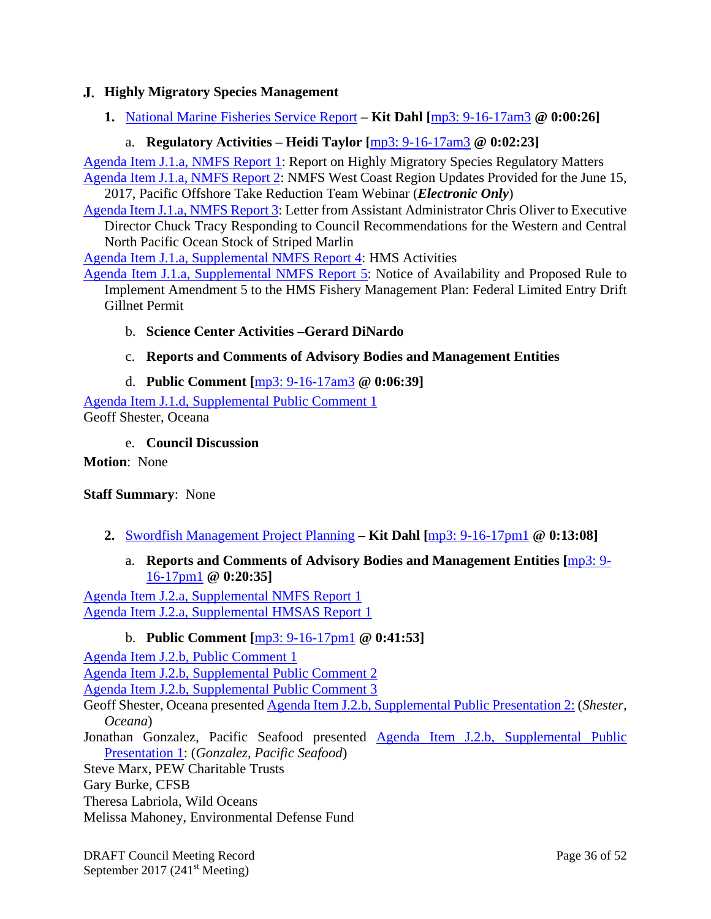## <span id="page-35-0"></span>**Highly Migratory Species Management**

<span id="page-35-1"></span>**1.** [National Marine Fisheries Service Report](http://www.pcouncil.org/wp-content/uploads/2017/08/J1__SitSum_NMFS_Report_HMS_SEPT2017BB.pdf) **– Kit Dahl [**[mp3: 9-16-17am3](ftp://ftp.pcouncil.org/pub/R1709_September_2017_Recordings/9-16-17am3Copy.mp3) **@ 0:00:26]**

## a. **Regulatory Activities – Heidi Taylor [**[mp3: 9-16-17am3](ftp://ftp.pcouncil.org/pub/R1709_September_2017_Recordings/9-16-17am3Copy.mp3) **@ 0:02:23]**

<span id="page-35-2"></span>[Agenda Item J.1.a, NMFS Report 1:](http://www.pcouncil.org/wp-content/uploads/2017/08/J1a_NMFS_Rpt1_SEPT2017BB.pdf) Report on Highly Migratory Species Regulatory Matters [Agenda Item J.1.a, NMFS Report 2:](http://www.pcouncil.org/wp-content/uploads/2017/08/J1a_NMFS_Rpt2_E-Only_SEPT2017BB.pdf) NMFS West Coast Region Updates Provided for the June 15, 2017, Pacific Offshore Take Reduction Team Webinar (*Electronic Only*)

[Agenda Item J.1.a, NMFS Report 3:](http://www.pcouncil.org/wp-content/uploads/2017/08/J1a_NMFS_Rpt3_SEPT2017BB.pdf) Letter from Assistant Administrator Chris Oliver to Executive Director Chuck Tracy Responding to Council Recommendations for the Western and Central North Pacific Ocean Stock of Striped Marlin

[Agenda Item J.1.a, Supplemental NMFS Report 4:](http://www.pcouncil.org/wp-content/uploads/2017/09/J1a_Sup_NMFS_Rpt4_SEPT2017BB.pdf) HMS Activities

[Agenda Item J.1.a, Supplemental NMFS Report 5:](http://www.pcouncil.org/wp-content/uploads/2017/09/J1a_Sup_NMFS_Rpt5_NOA_A5_SEPT2017BB.pdf) Notice of Availability and Proposed Rule to Implement Amendment 5 to the HMS Fishery Management Plan: Federal Limited Entry Drift Gillnet Permit

## <span id="page-35-3"></span>b. **Science Center Activities –Gerard DiNardo**

## <span id="page-35-4"></span>c. **Reports and Comments of Advisory Bodies and Management Entities**

d. **Public Comment [**[mp3: 9-16-17am3](ftp://ftp.pcouncil.org/pub/R1709_September_2017_Recordings/9-16-17am3Copy.mp3) **@ 0:06:39]**

<span id="page-35-6"></span><span id="page-35-5"></span>[Agenda Item J.1.d, Supplemental Public Comment 1](http://www.pcouncil.org/wp-content/uploads/2017/09/J1d_Sup_PubCom1_SEPT2017BB.pdf) Geoff Shester, Oceana

e. **Council Discussion**

**Motion**: None

#### **Staff Summary**: None

- <span id="page-35-8"></span><span id="page-35-7"></span>**2.** [Swordfish Management Project Planning](http://www.pcouncil.org/wp-content/uploads/2017/08/J2__SitSum_Swordfish_Project_Planning_SEPT2017BB.pdf) **– Kit Dahl [**[mp3: 9-16-17pm1](ftp://ftp.pcouncil.org/pub/R1709_September_2017_Recordings/9-16-17pm1Copy.mp3) **@ 0:13:08]**
	- a. **Reports and Comments of Advisory Bodies and Management Entities [**[mp3: 9-](ftp://ftp.pcouncil.org/pub/R1709_September_2017_Recordings/9-16-17pm1Copy.mp3) [16-17pm1](ftp://ftp.pcouncil.org/pub/R1709_September_2017_Recordings/9-16-17pm1Copy.mp3) **@ 0:20:35]**

[Agenda Item J.2.a, Supplemental NMFS Report 1](http://www.pcouncil.org/wp-content/uploads/2017/09/J2a_Sup_NMFS_Rpt1_With2Attachments_SEPT2017BB.pdf) [Agenda Item J.2.a, Supplemental HMSAS Report 1](http://www.pcouncil.org/wp-content/uploads/2017/09/J2a_Sup_HMSAS_Rpt1_SEPT2017BB.pdf)

## b. **Public Comment [**[mp3: 9-16-17pm1](ftp://ftp.pcouncil.org/pub/R1709_September_2017_Recordings/9-16-17pm1Copy.mp3) **@ 0:41:53]**

<span id="page-35-9"></span>[Agenda Item J.2.b, Public Comment 1](http://www.pcouncil.org/wp-content/uploads/2017/08/J2b_PubCom1_SEPT2017BB.pdf) [Agenda Item J.2.b, Supplemental Public Comment 2](http://www.pcouncil.org/wp-content/uploads/2017/09/J2b_Sup_PubCom2_SEPT2017BB.pdf) [Agenda Item J.2.b, Supplemental Public Comment 3](http://www.pcouncil.org/wp-content/uploads/2017/09/J2b_Sup_PubCom3_SEPT2017BB.pdf) Geoff Shester, Oceana presented [Agenda Item J.2.b, Supplemental Public Presentation 2:](http://www.pcouncil.org/wp-content/uploads/2017/09/J2b_Sup_Pub_Prestn2_Shester_Oceana_SEPT2017BB.pdf) (*Shester, Oceana*) Jonathan Gonzalez, Pacific Seafood presented [Agenda Item J.2.b, Supplemental Public](http://www.pcouncil.org/wp-content/uploads/2017/09/J2b_Sup_Pub_Prestn1_Gonzalez_PacificSeafood_SEPT2017BB.pdf)  [Presentation 1:](http://www.pcouncil.org/wp-content/uploads/2017/09/J2b_Sup_Pub_Prestn1_Gonzalez_PacificSeafood_SEPT2017BB.pdf) (*Gonzalez, Pacific Seafood*) Steve Marx, PEW Charitable Trusts Gary Burke, CFSB Theresa Labriola, Wild Oceans

Melissa Mahoney, Environmental Defense Fund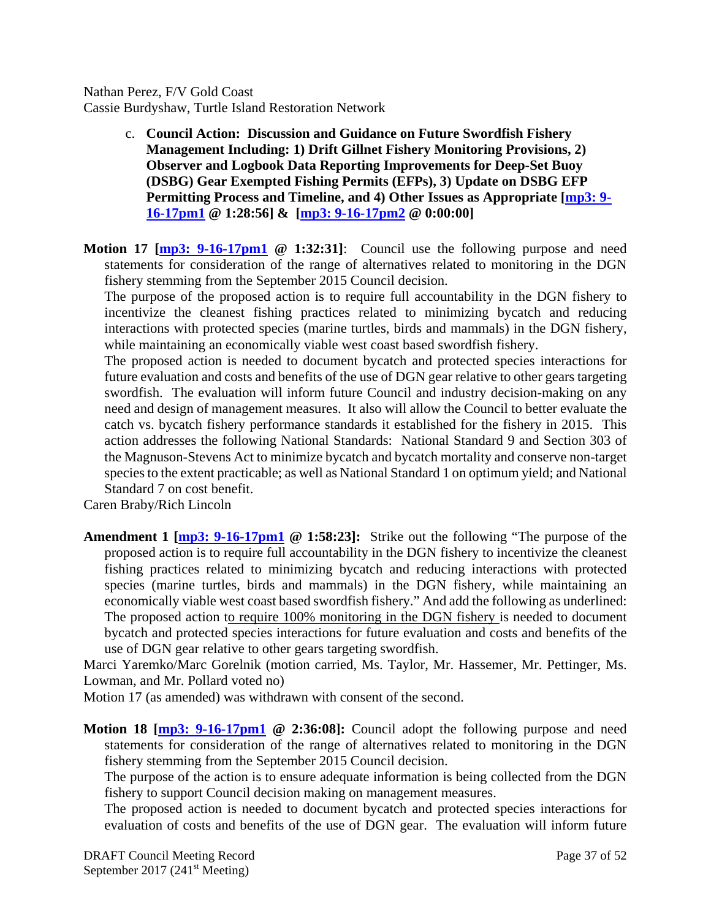<span id="page-36-0"></span>Nathan Perez, F/V Gold Coast Cassie Burdyshaw, Turtle Island Restoration Network

- c. **Council Action: Discussion and Guidance on Future Swordfish Fishery Management Including: 1) Drift Gillnet Fishery Monitoring Provisions, 2) Observer and Logbook Data Reporting Improvements for Deep-Set Buoy (DSBG) Gear Exempted Fishing Permits (EFPs), 3) Update on DSBG EFP Permitting Process and Timeline, and 4) Other Issues as Appropriate [\[mp3: 9-](ftp://ftp.pcouncil.org/pub/R1709_September_2017_Recordings/9-16-17pm1Copy.mp3) [16-17pm1](ftp://ftp.pcouncil.org/pub/R1709_September_2017_Recordings/9-16-17pm1Copy.mp3) @ 1:28:56] & [\[mp3: 9-16-17pm2](ftp://ftp.pcouncil.org/pub/R1709_September_2017_Recordings/9-16-17pm2Copy.mp3) @ 0:00:00]**
- **Motion 17 [\[mp3: 9-16-17pm1](ftp://ftp.pcouncil.org/pub/R1709_September_2017_Recordings/9-16-17pm1Copy.mp3) @ 1:32:31]**: Council use the following purpose and need statements for consideration of the range of alternatives related to monitoring in the DGN fishery stemming from the September 2015 Council decision.

The purpose of the proposed action is to require full accountability in the DGN fishery to incentivize the cleanest fishing practices related to minimizing bycatch and reducing interactions with protected species (marine turtles, birds and mammals) in the DGN fishery, while maintaining an economically viable west coast based swordfish fishery.

The proposed action is needed to document bycatch and protected species interactions for future evaluation and costs and benefits of the use of DGN gear relative to other gears targeting swordfish. The evaluation will inform future Council and industry decision-making on any need and design of management measures. It also will allow the Council to better evaluate the catch vs. bycatch fishery performance standards it established for the fishery in 2015. This action addresses the following National Standards: National Standard 9 and Section 303 of the Magnuson-Stevens Act to minimize bycatch and bycatch mortality and conserve non-target species to the extent practicable; as well as National Standard 1 on optimum yield; and National Standard 7 on cost benefit.

Caren Braby/Rich Lincoln

**Amendment 1 [\[mp3: 9-16-17pm1](ftp://ftp.pcouncil.org/pub/R1709_September_2017_Recordings/9-16-17pm1Copy.mp3) @ 1:58:23]:** Strike out the following "The purpose of the proposed action is to require full accountability in the DGN fishery to incentivize the cleanest fishing practices related to minimizing bycatch and reducing interactions with protected species (marine turtles, birds and mammals) in the DGN fishery, while maintaining an economically viable west coast based swordfish fishery." And add the following as underlined: The proposed action to require 100% monitoring in the DGN fishery is needed to document bycatch and protected species interactions for future evaluation and costs and benefits of the use of DGN gear relative to other gears targeting swordfish.

Marci Yaremko/Marc Gorelnik (motion carried, Ms. Taylor, Mr. Hassemer, Mr. Pettinger, Ms. Lowman, and Mr. Pollard voted no)

Motion 17 (as amended) was withdrawn with consent of the second.

**Motion 18 [\[mp3: 9-16-17pm1](ftp://ftp.pcouncil.org/pub/R1709_September_2017_Recordings/9-16-17pm1Copy.mp3) @ 2:36:08]:** Council adopt the following purpose and need statements for consideration of the range of alternatives related to monitoring in the DGN fishery stemming from the September 2015 Council decision.

The purpose of the action is to ensure adequate information is being collected from the DGN fishery to support Council decision making on management measures.

The proposed action is needed to document bycatch and protected species interactions for evaluation of costs and benefits of the use of DGN gear. The evaluation will inform future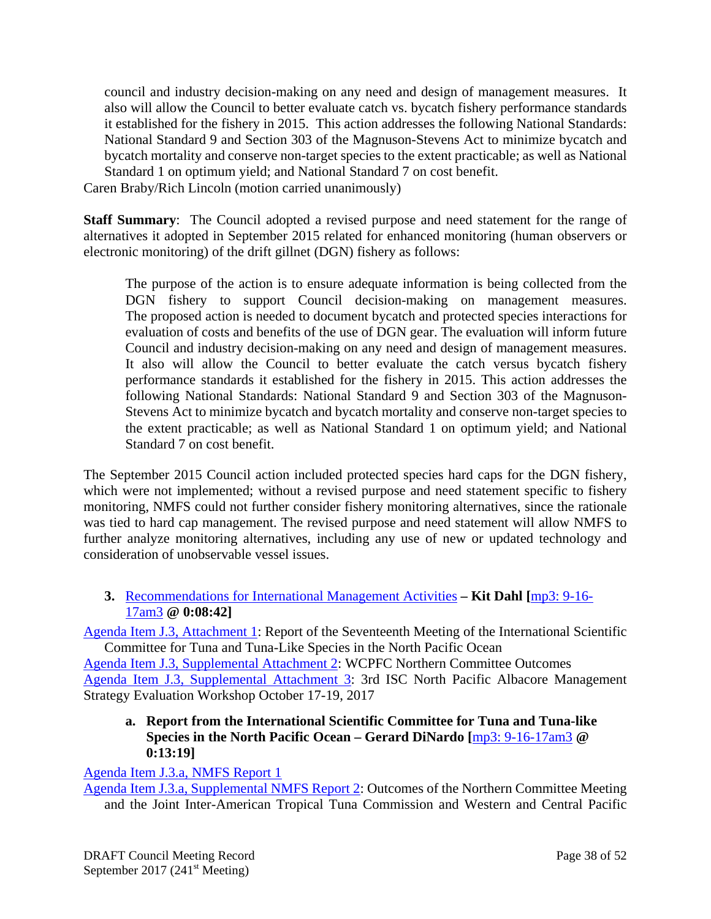council and industry decision-making on any need and design of management measures. It also will allow the Council to better evaluate catch vs. bycatch fishery performance standards it established for the fishery in 2015. This action addresses the following National Standards: National Standard 9 and Section 303 of the Magnuson-Stevens Act to minimize bycatch and bycatch mortality and conserve non-target species to the extent practicable; as well as National Standard 1 on optimum yield; and National Standard 7 on cost benefit.

Caren Braby/Rich Lincoln (motion carried unanimously)

**Staff Summary**: The Council adopted a revised purpose and need statement for the range of alternatives it adopted in September 2015 related for enhanced monitoring (human observers or electronic monitoring) of the drift gillnet (DGN) fishery as follows:

The purpose of the action is to ensure adequate information is being collected from the DGN fishery to support Council decision-making on management measures. The proposed action is needed to document bycatch and protected species interactions for evaluation of costs and benefits of the use of DGN gear. The evaluation will inform future Council and industry decision-making on any need and design of management measures. It also will allow the Council to better evaluate the catch versus bycatch fishery performance standards it established for the fishery in 2015. This action addresses the following National Standards: National Standard 9 and Section 303 of the Magnuson-Stevens Act to minimize bycatch and bycatch mortality and conserve non-target species to the extent practicable; as well as National Standard 1 on optimum yield; and National Standard 7 on cost benefit.

The September 2015 Council action included protected species hard caps for the DGN fishery, which were not implemented; without a revised purpose and need statement specific to fishery monitoring, NMFS could not further consider fishery monitoring alternatives, since the rationale was tied to hard cap management. The revised purpose and need statement will allow NMFS to further analyze monitoring alternatives, including any use of new or updated technology and consideration of unobservable vessel issues.

<span id="page-37-0"></span>**3.** [Recommendations for International Management Activities](http://www.pcouncil.org/wp-content/uploads/2017/08/J3__SitSum_Intl_Mgmt_SEPT2017BB.pdf) **– Kit Dahl [**[mp3: 9-16-](ftp://ftp.pcouncil.org/pub/R1709_September_2017_Recordings/9-16-17am3Copy.mp3) [17am3](ftp://ftp.pcouncil.org/pub/R1709_September_2017_Recordings/9-16-17am3Copy.mp3) **@ 0:08:42]**

[Agenda Item J.3, Attachment 1:](http://www.pcouncil.org/wp-content/uploads/2017/08/J3_Att1_Draft_Plenary_Rpt_ISC17_SEPT2017BB.pdf) Report of the Seventeenth Meeting of the International Scientific Committee for Tuna and Tuna-Like Species in the North Pacific Ocean

[Agenda Item J.3, Supplemental Attachment 2:](http://www.pcouncil.org/wp-content/uploads/2017/09/J3_Sup_Att2_WCPFC_outcomes_SEPT2017BB.pdf) WCPFC Northern Committee Outcomes [Agenda Item J.3, Supplemental Attachment 3:](http://www.pcouncil.org/wp-content/uploads/2017/09/J3_Sup_Att3_AlbacoreMSE_Announcement_SEPT2017BB.pdf) 3rd ISC North Pacific Albacore Management Strategy Evaluation Workshop October 17-19, 2017

<span id="page-37-1"></span>**a. Report from the International Scientific Committee for Tuna and Tuna-like Species in the North Pacific Ocean – Gerard DiNardo [**[mp3: 9-16-17am3](ftp://ftp.pcouncil.org/pub/R1709_September_2017_Recordings/9-16-17am3Copy.mp3) **@ 0:13:19]**

[Agenda Item J.3.a, NMFS Report 1](http://www.pcouncil.org/wp-content/uploads/2017/08/J3a_NMFS_Rpt1_Intl_Activities_SEPT2017BB.pdf)

[Agenda Item J.3.a, Supplemental NMFS Report 2:](http://www.pcouncil.org/wp-content/uploads/2017/09/J3a_Sup_NMFS_Rpt2_Outcomes_SEPT2017BB.pdf) Outcomes of the Northern Committee Meeting and the Joint Inter-American Tropical Tuna Commission and Western and Central Pacific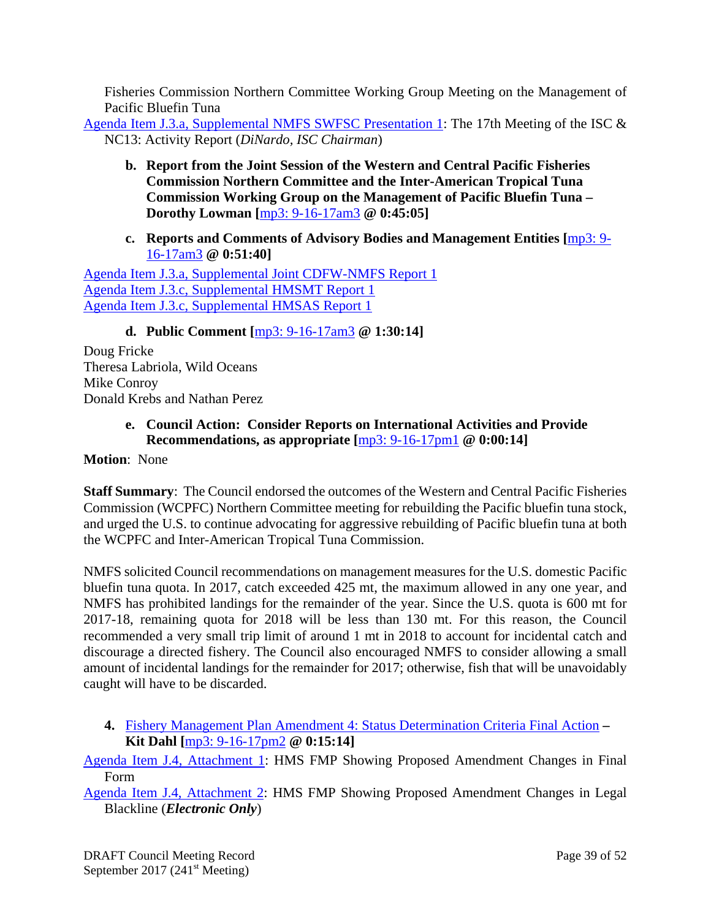Fisheries Commission Northern Committee Working Group Meeting on the Management of Pacific Bluefin Tuna

<span id="page-38-0"></span>[Agenda Item J.3.a, Supplemental NMFS SWFSC Presentation 1:](http://www.pcouncil.org/wp-content/uploads/2017/09/J3a_Sup_NMFS_SWFSC_Prestn1_DiNardo_SEPT2017BB.pdf) The 17th Meeting of the ISC & NC13: Activity Report (*DiNardo, ISC Chairman*)

- **b. Report from the Joint Session of the Western and Central Pacific Fisheries Commission Northern Committee and the Inter-American Tropical Tuna Commission Working Group on the Management of Pacific Bluefin Tuna – Dorothy Lowman [**[mp3: 9-16-17am3](ftp://ftp.pcouncil.org/pub/R1709_September_2017_Recordings/9-16-17am3Copy.mp3) **@ 0:45:05]**
- **c. Reports and Comments of Advisory Bodies and Management Entities [**[mp3: 9-](ftp://ftp.pcouncil.org/pub/R1709_September_2017_Recordings/9-16-17am3Copy.mp3) [16-17am3](ftp://ftp.pcouncil.org/pub/R1709_September_2017_Recordings/9-16-17am3Copy.mp3) **@ 0:51:40]**

<span id="page-38-1"></span>[Agenda Item J.3.a, Supplemental Joint CDFW-NMFS Report 1](http://www.pcouncil.org/wp-content/uploads/2017/09/J3a_Sup_Joint_CDFW_NMFS_Rpt1_Intl_SEPT2017BB.pdf) [Agenda Item J.3.c, Supplemental HMSMT Report 1](http://www.pcouncil.org/wp-content/uploads/2017/09/J3c_Sup_HMSMT_Rpt1_International_SEPT2017BB.pdf) [Agenda Item J.3.c, Supplemental HMSAS Report 1](http://www.pcouncil.org/wp-content/uploads/2017/09/J3c_Sup_HMSAS_Rpt1_International_SEPT2017BB.pdf)

**d. Public Comment [**[mp3: 9-16-17am3](ftp://ftp.pcouncil.org/pub/R1709_September_2017_Recordings/9-16-17am3Copy.mp3) **@ 1:30:14]**

<span id="page-38-2"></span>Doug Fricke Theresa Labriola, Wild Oceans Mike Conroy Donald Krebs and Nathan Perez

## <span id="page-38-3"></span>**e. Council Action: Consider Reports on International Activities and Provide Recommendations, as appropriate [**[mp3: 9-16-17pm1](ftp://ftp.pcouncil.org/pub/R1709_September_2017_Recordings/9-16-17pm1Copy.mp3) **@ 0:00:14]**

**Motion**: None

**Staff Summary**: The Council endorsed the outcomes of the Western and Central Pacific Fisheries Commission (WCPFC) Northern Committee meeting for rebuilding the Pacific bluefin tuna stock, and urged the U.S. to continue advocating for aggressive rebuilding of Pacific bluefin tuna at both the WCPFC and Inter-American Tropical Tuna Commission.

NMFS solicited Council recommendations on management measures for the U.S. domestic Pacific bluefin tuna quota. In 2017, catch exceeded 425 mt, the maximum allowed in any one year, and NMFS has prohibited landings for the remainder of the year. Since the U.S. quota is 600 mt for 2017-18, remaining quota for 2018 will be less than 130 mt. For this reason, the Council recommended a very small trip limit of around 1 mt in 2018 to account for incidental catch and discourage a directed fishery. The Council also encouraged NMFS to consider allowing a small amount of incidental landings for the remainder for 2017; otherwise, fish that will be unavoidably caught will have to be discarded.

<span id="page-38-4"></span>**4.** [Fishery Management Plan Amendment 4: Status Determination Criteria Final Action](http://www.pcouncil.org/wp-content/uploads/2017/08/J4__SitSum_HMS_FMP_Amdmt4_SEPT2017BB.pdf) **– Kit Dahl [**[mp3: 9-16-17pm2](ftp://ftp.pcouncil.org/pub/R1709_September_2017_Recordings/9-16-17pm2Copy.mp3) **@ 0:15:14]**

[Agenda Item J.4, Attachment 1:](http://www.pcouncil.org/wp-content/uploads/2017/08/J4_Att1_HMS_FMP_ProposedinFinalForm_SEPT2017BB.pdf) HMS FMP Showing Proposed Amendment Changes in Final Form

[Agenda Item J.4, Attachment 2:](http://www.pcouncil.org/wp-content/uploads/2017/08/J4_Att2_E-Only_HMS_FMP_ProposedinLEGALBLACKLINE_SEPT2017BB.pdf) HMS FMP Showing Proposed Amendment Changes in Legal Blackline (*Electronic Only*)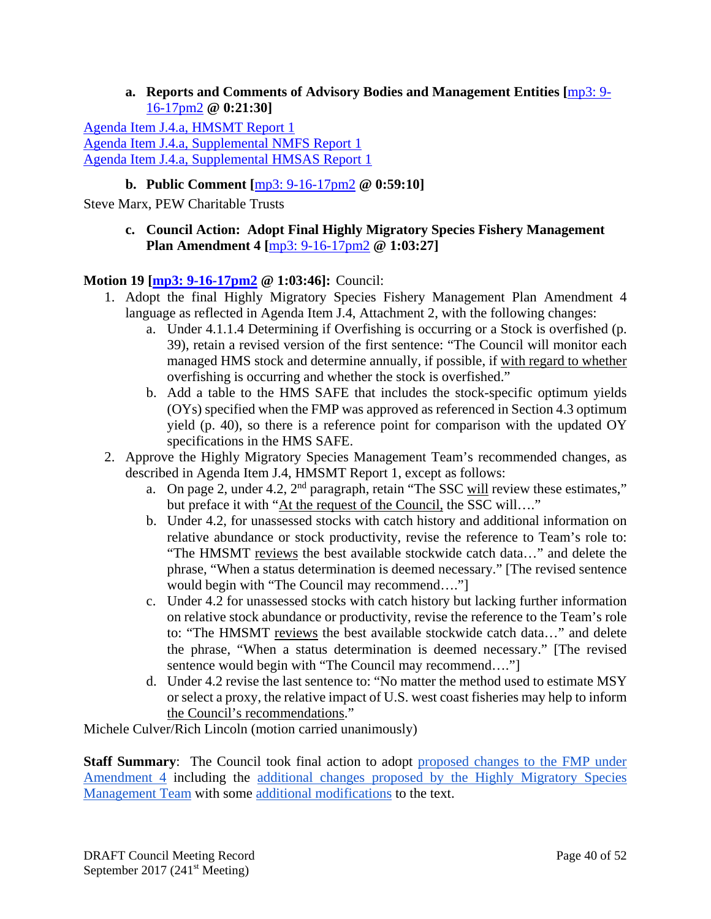**a. Reports and Comments of Advisory Bodies and Management Entities [**[mp3: 9-](ftp://ftp.pcouncil.org/pub/R1709_September_2017_Recordings/9-16-17pm2Copy.mp3) [16-17pm2](ftp://ftp.pcouncil.org/pub/R1709_September_2017_Recordings/9-16-17pm2Copy.mp3) **@ 0:21:30]**

<span id="page-39-0"></span>[Agenda Item J.4.a, HMSMT Report 1](http://www.pcouncil.org/wp-content/uploads/2017/08/J4a_HMSMT_Rpt1_Amdmt4_SEPT2017BB.pdf) [Agenda Item J.4.a, Supplemental NMFS Report 1](http://www.pcouncil.org/wp-content/uploads/2017/09/J4a_Sup_NMFS_Rpt1_Amdt4_SEPT2017BB.pdf) [Agenda Item J.4.a, Supplemental HMSAS Report 1](http://www.pcouncil.org/wp-content/uploads/2017/09/J4a_Sup_HMSAS_Rpt1_SEPT2017BB.pdf)

## **b. Public Comment [**[mp3: 9-16-17pm2](ftp://ftp.pcouncil.org/pub/R1709_September_2017_Recordings/9-16-17pm2Copy.mp3) **@ 0:59:10]**

<span id="page-39-2"></span><span id="page-39-1"></span>Steve Marx, PEW Charitable Trusts

## **c. Council Action: Adopt Final Highly Migratory Species Fishery Management Plan Amendment 4 [**[mp3: 9-16-17pm2](ftp://ftp.pcouncil.org/pub/R1709_September_2017_Recordings/9-16-17pm2Copy.mp3) **@ 1:03:27]**

## **Motion 19 [\[mp3: 9-16-17pm2](ftp://ftp.pcouncil.org/pub/R1709_September_2017_Recordings/9-16-17pm2Copy.mp3) @ 1:03:46]:** Council:

- 1. Adopt the final Highly Migratory Species Fishery Management Plan Amendment 4 language as reflected in Agenda Item J.4, Attachment 2, with the following changes:
	- a. Under 4.1.1.4 Determining if Overfishing is occurring or a Stock is overfished (p. 39), retain a revised version of the first sentence: "The Council will monitor each managed HMS stock and determine annually, if possible, if with regard to whether overfishing is occurring and whether the stock is overfished."
	- b. Add a table to the HMS SAFE that includes the stock-specific optimum yields (OYs) specified when the FMP was approved as referenced in Section 4.3 optimum yield (p. 40), so there is a reference point for comparison with the updated OY specifications in the HMS SAFE.
- 2. Approve the Highly Migratory Species Management Team's recommended changes, as described in Agenda Item J.4, HMSMT Report 1, except as follows:
	- a. On page 2, under 4.2,  $2^{nd}$  paragraph, retain "The SSC will review these estimates," but preface it with "At the request of the Council, the SSC will…."
	- b. Under 4.2, for unassessed stocks with catch history and additional information on relative abundance or stock productivity, revise the reference to Team's role to: "The HMSMT reviews the best available stockwide catch data…" and delete the phrase, "When a status determination is deemed necessary." [The revised sentence would begin with "The Council may recommend…."]
	- c. Under 4.2 for unassessed stocks with catch history but lacking further information on relative stock abundance or productivity, revise the reference to the Team's role to: "The HMSMT reviews the best available stockwide catch data…" and delete the phrase, "When a status determination is deemed necessary." [The revised sentence would begin with "The Council may recommend...."
	- d. Under 4.2 revise the last sentence to: "No matter the method used to estimate MSY or select a proxy, the relative impact of U.S. west coast fisheries may help to inform the Council's recommendations."

Michele Culver/Rich Lincoln (motion carried unanimously)

**Staff Summary**: The Council took final action to adopt [proposed changes to the FMP under](http://www.pcouncil.org/wp-content/uploads/2017/08/J4_Att2_E-Only_HMS_FMP_ProposedinLEGALBLACKLINE_SEPT2017BB.pdf)  [Amendment 4](http://www.pcouncil.org/wp-content/uploads/2017/08/J4_Att2_E-Only_HMS_FMP_ProposedinLEGALBLACKLINE_SEPT2017BB.pdf) including the [additional changes proposed by the Highly Migratory Species](http://www.pcouncil.org/wp-content/uploads/2017/08/J4a_HMSMT_Rpt1_Amdmt4_SEPT2017BB.pdf)  [Management Team](http://www.pcouncil.org/wp-content/uploads/2017/08/J4a_HMSMT_Rpt1_Amdmt4_SEPT2017BB.pdf) with some [additional modifications](http://www.pcouncil.org/wp-content/uploads/2017/09/J4_CouncilAction_September2017.pdf) to the text.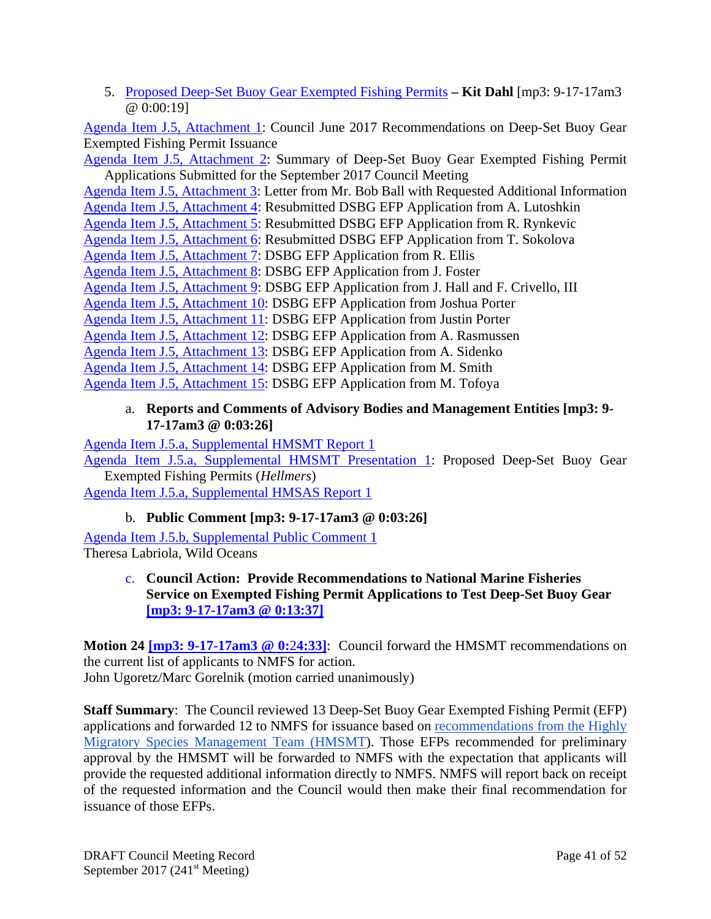<span id="page-40-0"></span>5. [Proposed Deep-Set Buoy Gear Exempted Fishing Permits](http://www.pcouncil.org/wp-content/uploads/2017/08/J5__SitSum_DSBG_EFPs_SEPT2017BB.pdf) **– Kit Dahl** [mp3: 9-17-17am3 @ 0:00:19]

[Agenda Item J.5, Attachment 1:](http://www.pcouncil.org/wp-content/uploads/2017/08/J5_Att_01_June2017_DSBG_EFP_recommendations1706_SEPT2017BB.pdf) Council June 2017 Recommendations on Deep-Set Buoy Gear Exempted Fishing Permit Issuance

[Agenda Item J.5, Attachment 2:](http://www.pcouncil.org/wp-content/uploads/2017/08/J5_Att_02_Sept2017_EFP_applications_summary_SEPT2017BB.pdf) Summary of Deep-Set Buoy Gear Exempted Fishing Permit Applications Submitted for the September 2017 Council Meeting

[Agenda Item J.5, Attachment 3:](http://www.pcouncil.org/wp-content/uploads/2017/08/J5_Att03_DSBG_EFP_application_Ball_update_1708_SEPT2017BB.pdf) Letter from Mr. Bob Ball with Requested Additional Information [Agenda Item J.5, Attachment 4:](http://www.pcouncil.org/wp-content/uploads/2017/08/J5_Att04_DSBG_EFP_application_Lutoshkin_resubmit_1708_SEPT2017BB.pdf) Resubmitted DSBG EFP Application from A. Lutoshkin [Agenda Item J.5, Attachment 5:](http://www.pcouncil.org/wp-content/uploads/2017/08/J5_Att05_DSBG_EFP_application_Rynkevic_resubmit_1708_SEPT2017BB.pdf) Resubmitted DSBG EFP Application from R. Rynkevic [Agenda Item J.5, Attachment 6:](http://www.pcouncil.org/wp-content/uploads/2017/08/J5_Att06_DSBG_EFP_application_Sokolova_resbumit_1708_SEPT2017BB.pdf) Resubmitted DSBG EFP Application from T. Sokolova [Agenda Item J.5, Attachment 7:](http://www.pcouncil.org/wp-content/uploads/2017/08/J5_Att07_DSBG_EFP_application_Ellis_1708_SEPT2017BB.pdf) DSBG EFP Application from R. Ellis [Agenda Item J.5, Attachment 8:](http://www.pcouncil.org/wp-content/uploads/2017/08/J5_Att08_DSBG_EFP_application_Foster_1708_SEPT2017BB.pdf) DSBG EFP Application from J. Foster [Agenda Item J.5, Attachment 9:](http://www.pcouncil.org/wp-content/uploads/2017/08/J5_Att09_DSBG_EFP_application_Hall_Crivello_1708_SEPT2017BB.pdf) DSBG EFP Application from J. Hall and F. Crivello, III [Agenda Item J.5, Attachment 10:](http://www.pcouncil.org/wp-content/uploads/2017/08/J5_Att10_DSBG_EFP_application_Porter_Joshua_1708_SEPT2017BB.pdf) DSBG EFP Application from Joshua Porter [Agenda Item J.5, Attachment 11:](http://www.pcouncil.org/wp-content/uploads/2017/08/J5_Att11_DSBG_EFP_application_Porter_Justin_1708_SEPT2017BB.pdf) DSBG EFP Application from Justin Porter [Agenda Item J.5, Attachment 12:](http://www.pcouncil.org/wp-content/uploads/2017/08/J5_Att12_DSBG_EFP_application_Rasmussen_1708_SEPT2017BB.pdf) DSBG EFP Application from A. Rasmussen [Agenda Item J.5,](http://www.pcouncil.org/wp-content/uploads/2017/08/J5_Att13_DSBG_EFP_application_Sidenko_1708_SEPT2017BB.pdf) Attachment 13: DSBG EFP Application from A. Sidenko [Agenda Item J.5, Attachment 14:](http://www.pcouncil.org/wp-content/uploads/2017/08/J5_Att14_DSBG_EFP_application_Smith_1708_SEPT2017BB.pdf) DSBG EFP Application from M. Smith [Agenda Item J.5, Attachment 15:](http://www.pcouncil.org/wp-content/uploads/2017/08/J5_Att15_DSBG_EFP_application_Tafoya_1708_SEPT2017BB.pdf) DSBG EFP Application from M. Tofoya

## <span id="page-40-1"></span>a. **Reports and Comments of Advisory Bodies and Management Entities [mp3: 9- 17-17am3 @ 0:03:26]**

[Agenda Item J.5.a, Supplemental HMSMT Report 1](http://www.pcouncil.org/wp-content/uploads/2017/09/J5a_Sup_HMSMT_Rpt1_EFPs_SEPT2017BB.pdf) [Agenda Item J.5.a, Supplemental HMSMT Presentation 1:](http://www.pcouncil.org/wp-content/uploads/2017/09/J5a_Sup_HMSMT_Prestn1_Hellmers_SEPT2017BB.pdf) Proposed Deep-Set Buoy Gear Exempted Fishing Permits (*Hellmers*)

<span id="page-40-2"></span>[Agenda Item J.5.a, Supplemental HMSAS Report 1](http://www.pcouncil.org/wp-content/uploads/2017/09/J5a_Sup_HMSAS_Rpt1_EFPs_SEPT2017BB.pdf)

## b. **Public Comment [mp3: 9-17-17am3 @ 0:03:26]**

<span id="page-40-3"></span>[Agenda Item J.5.b, Supplemental Public Comment 1](http://www.pcouncil.org/wp-content/uploads/2017/09/J5b_Sup_PubCom1_SEPT2017BB.pdf) Theresa Labriola, Wild Oceans

## c. **Council Action: Provide Recommendations to National Marine Fisheries Service on Exempted Fishing Permit Applications to Test Deep-Set Buoy Gear [\[mp3: 9-17-17am3 @ 0:13:37\]](ftp://ftp.pcouncil.org/pub/R1709_September_2017_Recordings/9-17-17am3Copy.mp3)**

**Motion 24 [\[mp3: 9-17-17am3 @ 0:](ftp://ftp.pcouncil.org/pub/R1709_September_2017_Recordings/9-17-17am3Copy.mp3)**2**4:33]**: Council forward the HMSMT recommendations on the current list of applicants to NMFS for action. John Ugoretz/Marc Gorelnik (motion carried unanimously)

**Staff Summary**: The Council reviewed 13 Deep-Set Buoy Gear Exempted Fishing Permit (EFP) applications and forwarded 12 to NMFS for issuance based on [recommendations from the Highly](http://www.pcouncil.org/wp-content/uploads/2017/09/J5a_Sup_HMSMT_Rpt1_EFPs_SEPT2017BB.pdf)  [Migratory Species Management Team \(HMSMT\)](http://www.pcouncil.org/wp-content/uploads/2017/09/J5a_Sup_HMSMT_Rpt1_EFPs_SEPT2017BB.pdf). Those EFPs recommended for preliminary approval by the HMSMT will be forwarded to NMFS with the expectation that applicants will provide the requested additional information directly to NMFS. NMFS will report back on receipt of the requested information and the Council would then make their final recommendation for issuance of those EFPs.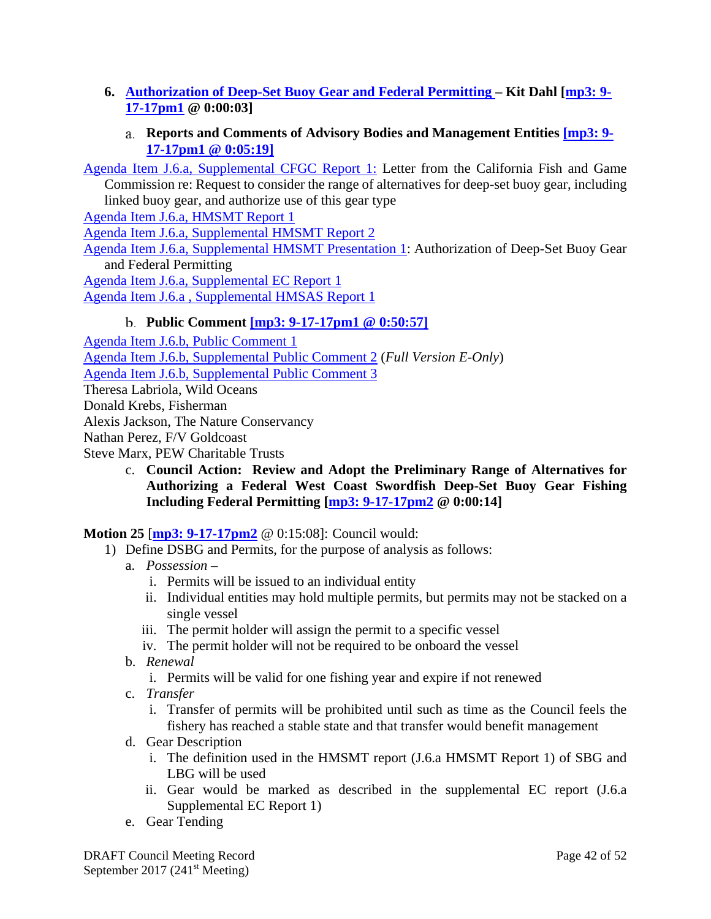- <span id="page-41-0"></span>**6. [Authorization of Deep-Set Buoy Gear and Federal Permitting –](http://www.pcouncil.org/wp-content/uploads/2017/08/J6__SitSum_DSBG_ROA_adopt_SEPT2017BB.pdf) Kit Dahl [\[mp3: 9-](ftp://ftp.pcouncil.org/pub/R1709_September_2017_Recordings/9-17-17pm1Copy.mp3) [17-17pm1](ftp://ftp.pcouncil.org/pub/R1709_September_2017_Recordings/9-17-17pm1Copy.mp3) @ 0:00:03]**
	- **Reports and Comments of Advisory Bodies and Management Entities [\[mp3: 9-](ftp://ftp.pcouncil.org/pub/R1709_September_2017_Recordings/9-17-17pm1Copy.mp3) [17-17pm1 @ 0:05:19\]](ftp://ftp.pcouncil.org/pub/R1709_September_2017_Recordings/9-17-17pm1Copy.mp3)**

<span id="page-41-1"></span>[Agenda Item J.6.a, Supplemental CFGC Report 1:](http://www.pcouncil.org/wp-content/uploads/2017/09/J6a_Sup_CFGC_Rpt1_SEPT2017BB.pdf) Letter from the California Fish and Game Commission re: Request to consider the range of alternatives for deep-set buoy gear, including linked buoy gear, and authorize use of this gear type

[Agenda Item J.6.a, HMSMT Report 1](http://www.pcouncil.org/wp-content/uploads/2017/08/J6a_HMSMT_Rpt1_Revised_DSBG_ROA_SEPT2017BB.pdf)

[Agenda Item J.6.a, Supplemental HMSMT Report 2](http://www.pcouncil.org/wp-content/uploads/2017/09/J6a_Sup_HMSMT_Rpt2_DSBG_ROAsup.201709_SEPT2017BB.pdf)

[Agenda Item J.6.a, Supplemental HMSMT Presentation 1:](http://www.pcouncil.org/wp-content/uploads/2017/09/J6a_Sup_HMSMT_Prestn1_Hellmers_SEPT2017BB.pdf) Authorization of Deep-Set Buoy Gear and Federal Permitting

[Agenda Item J.6.a, Supplemental EC Report 1](http://www.pcouncil.org/wp-content/uploads/2017/09/J6a_Sup_EC_Rpt1_SEPT2017BB.pdf)

<span id="page-41-2"></span>[Agenda Item J.6.a , Supplemental HMSAS Report 1](http://www.pcouncil.org/wp-content/uploads/2017/09/J6a_Sup_HMSAS_Rpt1_DSBG_ROA_SEPT2016BB.pdf)

## **Public Comment [\[mp3: 9-17-17pm1 @ 0:50:57\]](ftp://ftp.pcouncil.org/pub/R1709_September_2017_Recordings/9-17-17pm1Copy.mp3)**

[Agenda Item J.6.b, Public Comment 1](http://www.pcouncil.org/wp-content/uploads/2017/08/J6b_PubCom1_SEPT2017BB.pdf)

[Agenda Item J.6.b, Supplemental Public Comment 2](http://www.pcouncil.org/wp-content/uploads/2017/09/J6b_Sup_PubCom2_Full_E-Only_SEPT2017BB.pdf) (*Full Version E-Only*)

[Agenda Item J.6.b, Supplemental Public Comment 3](http://www.pcouncil.org/wp-content/uploads/2017/09/J6b_Sup_PubCom3_SEPT2017BB.pdf)

Theresa Labriola, Wild Oceans

Donald Krebs, Fisherman

Alexis Jackson, The Nature Conservancy

Nathan Perez, F/V Goldcoast

Steve Marx, PEW Charitable Trusts

c. **Council Action: Review and Adopt the Preliminary Range of Alternatives for Authorizing a Federal West Coast Swordfish Deep-Set Buoy Gear Fishing Including Federal Permitting [\[mp3: 9-17-17pm2](ftp://ftp.pcouncil.org/pub/R1709_September_2017_Recordings/9-17-17pm2Copy.mp3) @ 0:00:14]**

## **Motion 25** [**[mp3: 9-17-17pm2](ftp://ftp.pcouncil.org/pub/R1709_September_2017_Recordings/9-17-17pm2Copy.mp3)** @ 0:15:08]: Council would:

- 1) Define DSBG and Permits, for the purpose of analysis as follows:
	- a. *Possession*
		- i. Permits will be issued to an individual entity
		- ii. Individual entities may hold multiple permits, but permits may not be stacked on a single vessel
		- iii. The permit holder will assign the permit to a specific vessel
		- iv. The permit holder will not be required to be onboard the vessel
	- b. *Renewal*
		- i. Permits will be valid for one fishing year and expire if not renewed
	- c. *Transfer*
		- i. Transfer of permits will be prohibited until such as time as the Council feels the fishery has reached a stable state and that transfer would benefit management
	- d. Gear Description
		- i. The definition used in the HMSMT report (J.6.a HMSMT Report 1) of SBG and LBG will be used
		- ii. Gear would be marked as described in the supplemental EC report (J.6.a Supplemental EC Report 1)
	- e. Gear Tending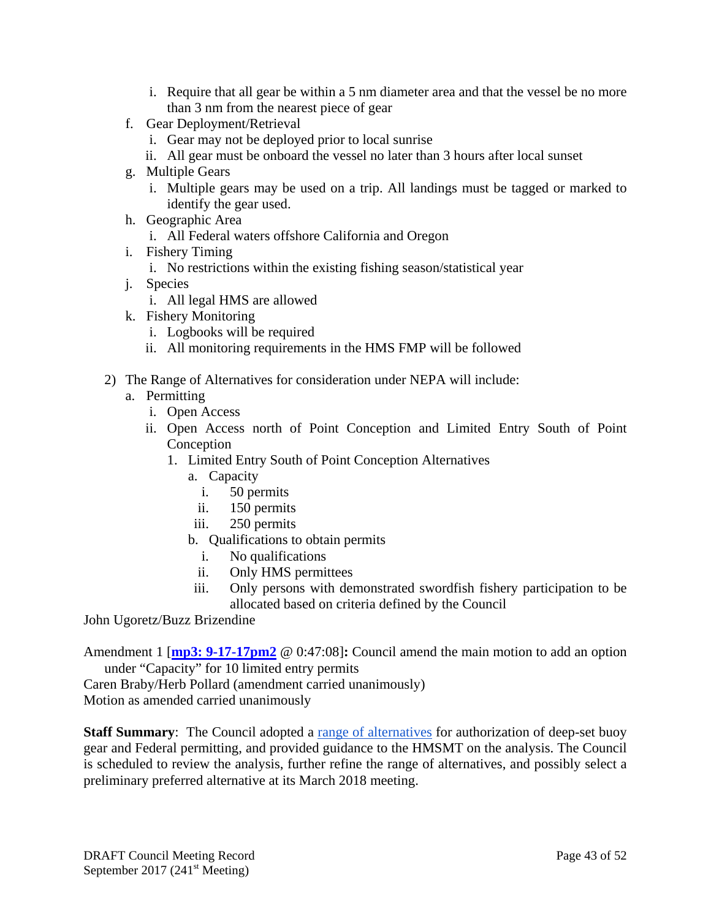- i. Require that all gear be within a 5 nm diameter area and that the vessel be no more than 3 nm from the nearest piece of gear
- f. Gear Deployment/Retrieval
	- i. Gear may not be deployed prior to local sunrise
	- ii. All gear must be onboard the vessel no later than 3 hours after local sunset
- g. Multiple Gears
	- i. Multiple gears may be used on a trip. All landings must be tagged or marked to identify the gear used.
- h. Geographic Area
	- i. All Federal waters offshore California and Oregon
- i. Fishery Timing
	- i. No restrictions within the existing fishing season/statistical year
- j. Species
	- i. All legal HMS are allowed
- k. Fishery Monitoring
	- i. Logbooks will be required
	- ii. All monitoring requirements in the HMS FMP will be followed
- 2) The Range of Alternatives for consideration under NEPA will include:
	- a. Permitting
		- i. Open Access
		- ii. Open Access north of Point Conception and Limited Entry South of Point Conception
			- 1. Limited Entry South of Point Conception Alternatives
				- a. Capacity
					- i. 50 permits
					- ii. 150 permits
				- iii. 250 permits
				- b. Qualifications to obtain permits
					- i. No qualifications
					- ii. Only HMS permittees
				- iii. Only persons with demonstrated swordfish fishery participation to be allocated based on criteria defined by the Council

John Ugoretz/Buzz Brizendine

Amendment 1 [**[mp3: 9-17-17pm2](ftp://ftp.pcouncil.org/pub/R1709_September_2017_Recordings/9-17-17pm2Copy.mp3)** @ 0:47:08]**:** Council amend the main motion to add an option under "Capacity" for 10 limited entry permits

Caren Braby/Herb Pollard (amendment carried unanimously) Motion as amended carried unanimously

**Staff Summary:** The Council adopted a [range of alternatives](http://www.pcouncil.org/wp-content/uploads/2017/09/J6_CouncilAction_September2017.pdf) for authorization of deep-set buoy gear and Federal permitting, and provided guidance to the HMSMT on the analysis. The Council is scheduled to review the analysis, further refine the range of alternatives, and possibly select a preliminary preferred alternative at its March 2018 meeting.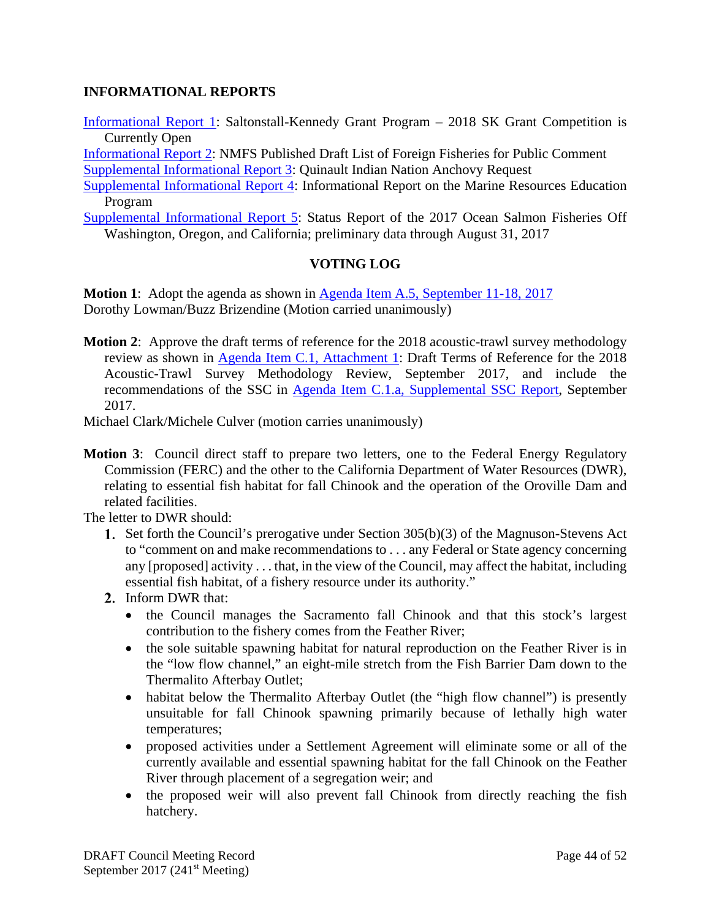## <span id="page-43-0"></span>**INFORMATIONAL REPORTS**

[Informational Report 1:](http://www.pcouncil.org/wp-content/uploads/2017/08/IR_1_SK_Grant_Announcement_SEPT2017BB.pdf) Saltonstall-Kennedy Grant Program – 2018 SK Grant Competition is Currently Open

[Informational Report 2:](http://www.pcouncil.org/wp-content/uploads/2017/08/IR_2_NMFS-List_of_Foreign_Fisheries_for_Public_Comment_SEPT2017BB.pdf) NMFS Published Draft List of Foreign Fisheries for Public Comment [Supplemental Informational Report 3:](http://www.pcouncil.org/wp-content/uploads/2017/09/Sup_IR_3_Quinault_Anchovy_Request_SEPT2017BB.pdf) Quinault Indian Nation Anchovy Request

[Supplemental Informational Report 4:](http://www.pcouncil.org/wp-content/uploads/2017/09/Sup_IR_4_MREP_info_report_SEPT2017BB.pdf) Informational Report on the Marine Resources Education Program

<span id="page-43-1"></span>[Supplemental Informational Report 5:](http://www.pcouncil.org/wp-content/uploads/2017/09/Sup_IR_5_In-Season_Salmon_Harvest_Rpt_SEPT2017BB.pdf) Status Report of the 2017 Ocean Salmon Fisheries Off Washington, Oregon, and California; preliminary data through August 31, 2017

#### **VOTING LOG**

**Motion 1**: Adopt the agenda as shown in [Agenda Item A.5, September](http://www.pcouncil.org/wp-content/uploads/2017/08/A5__Agenda_SEPT2017BB.pdf) 11-18, 2017 Dorothy Lowman/Buzz Brizendine (Motion carried unanimously)

**Motion 2**: Approve the draft terms of reference for the 2018 acoustic-trawl survey methodology review as shown in [Agenda Item C.1, Attachment 1:](http://www.pcouncil.org/wp-content/uploads/2017/08/C1_Att1_Methodology_ToR_SEPT2017BB.pdf) Draft Terms of Reference for the 2018 Acoustic-Trawl Survey Methodology Review, September 2017, and include the recommendations of the SSC in [Agenda Item C.1.a, Supplemental SSC Report,](http://www.pcouncil.org/wp-content/uploads/2017/09/C1a_Sup_SSC_Rpt1_ToR_SEPT2017BB.pdf) September 2017.

Michael Clark/Michele Culver (motion carries unanimously)

**Motion 3**: Council direct staff to prepare two letters, one to the Federal Energy Regulatory Commission (FERC) and the other to the California Department of Water Resources (DWR), relating to essential fish habitat for fall Chinook and the operation of the Oroville Dam and related facilities.

The letter to DWR should:

- **1.** Set forth the Council's prerogative under Section  $305(b)(3)$  of the Magnuson-Stevens Act to "comment on and make recommendations to . . . any Federal or State agency concerning any [proposed] activity . . . that, in the view of the Council, may affect the habitat, including essential fish habitat, of a fishery resource under its authority."
- 2. Inform DWR that:
	- the Council manages the Sacramento fall Chinook and that this stock's largest contribution to the fishery comes from the Feather River;
	- the sole suitable spawning habitat for natural reproduction on the Feather River is in the "low flow channel," an eight-mile stretch from the Fish Barrier Dam down to the Thermalito Afterbay Outlet;
	- habitat below the Thermalito Afterbay Outlet (the "high flow channel") is presently unsuitable for fall Chinook spawning primarily because of lethally high water temperatures;
	- proposed activities under a Settlement Agreement will eliminate some or all of the currently available and essential spawning habitat for the fall Chinook on the Feather River through placement of a segregation weir; and
	- the proposed weir will also prevent fall Chinook from directly reaching the fish hatchery.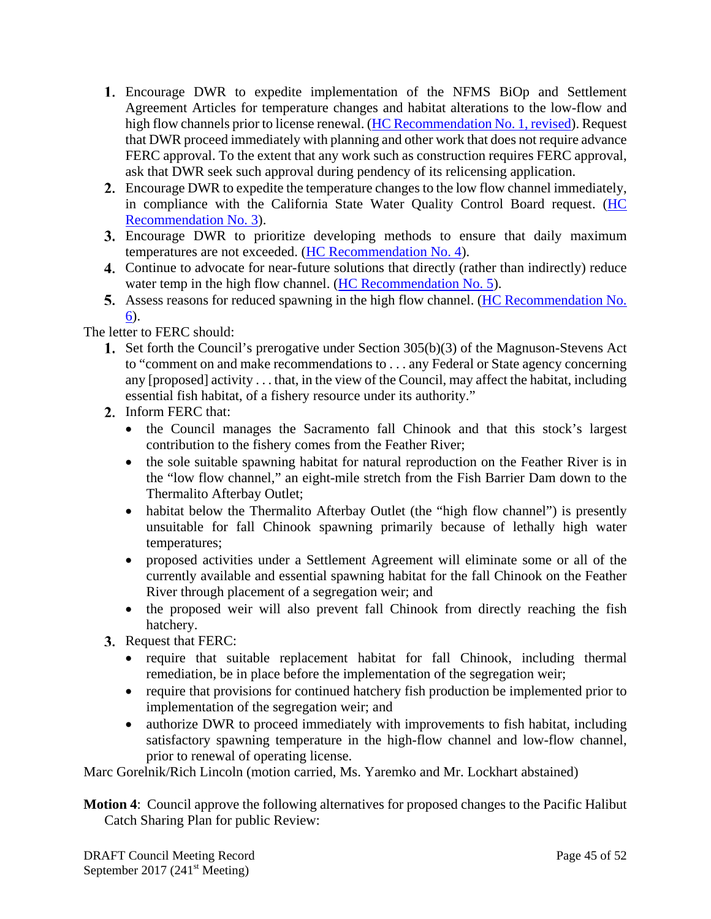- Encourage DWR to expedite implementation of the NFMS BiOp and Settlement Agreement Articles for temperature changes and habitat alterations to the low-flow and high flow channels prior to license renewal. [\(HC Recommendation No. 1, revised\)](http://www.pcouncil.org/wp-content/uploads/2017/09/D1a_Sup_HC_Rpt1_SEPT2017BB.pdf). Request that DWR proceed immediately with planning and other work that does not require advance FERC approval. To the extent that any work such as construction requires FERC approval, ask that DWR seek such approval during pendency of its relicensing application.
- 2. Encourage DWR to expedite the temperature changes to the low flow channel immediately, in compliance with the California State Water Quality Control Board request. [\(HC](http://www.pcouncil.org/wp-content/uploads/2017/09/D1a_Sup_HC_Rpt1_SEPT2017BB.pdf)  [Recommendation No. 3\)](http://www.pcouncil.org/wp-content/uploads/2017/09/D1a_Sup_HC_Rpt1_SEPT2017BB.pdf).
- 3. Encourage DWR to prioritize developing methods to ensure that daily maximum temperatures are not exceeded. [\(HC Recommendation No. 4\)](http://www.pcouncil.org/wp-content/uploads/2017/09/D1a_Sup_HC_Rpt1_SEPT2017BB.pdf).
- 4. Continue to advocate for near-future solutions that directly (rather than indirectly) reduce water temp in the high flow channel. [\(HC Recommendation No. 5\)](http://www.pcouncil.org/wp-content/uploads/2017/09/D1a_Sup_HC_Rpt1_SEPT2017BB.pdf).
- 5. Assess reasons for reduced spawning in the high flow channel. (HC Recommendation No. [6\)](http://www.pcouncil.org/wp-content/uploads/2017/09/D1a_Sup_HC_Rpt1_SEPT2017BB.pdf).

The letter to FERC should:

- 1. Set forth the Council's prerogative under Section 305(b)(3) of the Magnuson-Stevens Act to "comment on and make recommendations to . . . any Federal or State agency concerning any [proposed] activity . . . that, in the view of the Council, may affect the habitat, including essential fish habitat, of a fishery resource under its authority."
- 2. Inform FERC that:
	- the Council manages the Sacramento fall Chinook and that this stock's largest contribution to the fishery comes from the Feather River;
	- the sole suitable spawning habitat for natural reproduction on the Feather River is in the "low flow channel," an eight-mile stretch from the Fish Barrier Dam down to the Thermalito Afterbay Outlet;
	- habitat below the Thermalito Afterbay Outlet (the "high flow channel") is presently unsuitable for fall Chinook spawning primarily because of lethally high water temperatures;
	- proposed activities under a Settlement Agreement will eliminate some or all of the currently available and essential spawning habitat for the fall Chinook on the Feather River through placement of a segregation weir; and
	- the proposed weir will also prevent fall Chinook from directly reaching the fish hatchery.
- **3.** Request that FERC:
	- require that suitable replacement habitat for fall Chinook, including thermal remediation, be in place before the implementation of the segregation weir;
	- require that provisions for continued hatchery fish production be implemented prior to implementation of the segregation weir; and
	- authorize DWR to proceed immediately with improvements to fish habitat, including satisfactory spawning temperature in the high-flow channel and low-flow channel, prior to renewal of operating license.

Marc Gorelnik/Rich Lincoln (motion carried, Ms. Yaremko and Mr. Lockhart abstained)

**Motion 4**: Council approve the following alternatives for proposed changes to the Pacific Halibut Catch Sharing Plan for public Review: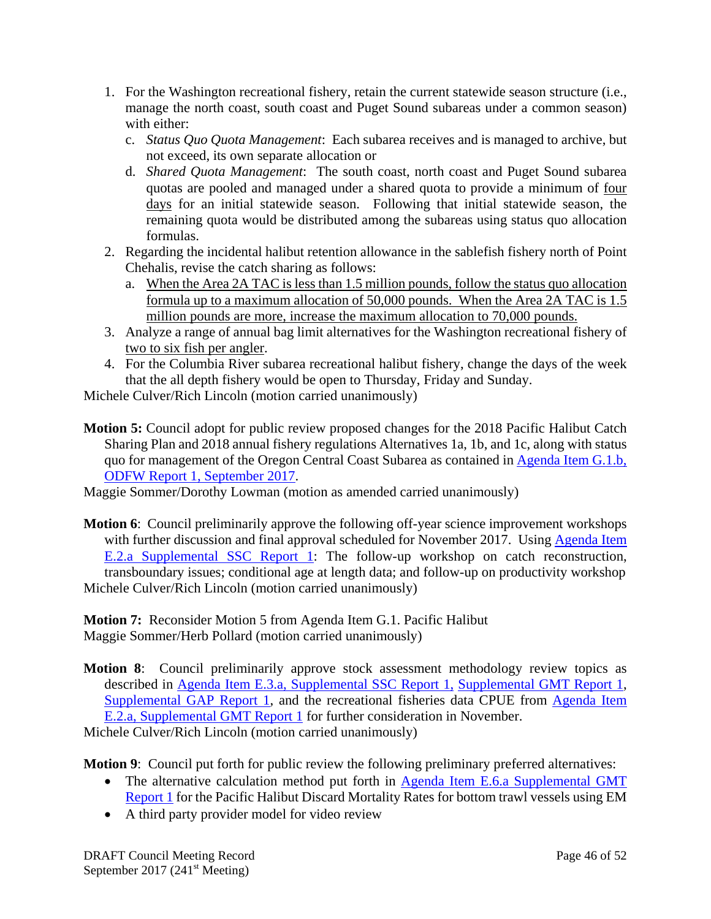- 1. For the Washington recreational fishery, retain the current statewide season structure (i.e., manage the north coast, south coast and Puget Sound subareas under a common season) with either:
	- c. *Status Quo Quota Management*: Each subarea receives and is managed to archive, but not exceed, its own separate allocation or
	- d. *Shared Quota Management*: The south coast, north coast and Puget Sound subarea quotas are pooled and managed under a shared quota to provide a minimum of four days for an initial statewide season. Following that initial statewide season, the remaining quota would be distributed among the subareas using status quo allocation formulas.
- 2. Regarding the incidental halibut retention allowance in the sablefish fishery north of Point Chehalis, revise the catch sharing as follows:
	- a. When the Area 2A TAC is less than 1.5 million pounds, follow the status quo allocation formula up to a maximum allocation of 50,000 pounds. When the Area 2A TAC is 1.5 million pounds are more, increase the maximum allocation to 70,000 pounds.
- 3. Analyze a range of annual bag limit alternatives for the Washington recreational fishery of two to six fish per angler.
- 4. For the Columbia River subarea recreational halibut fishery, change the days of the week that the all depth fishery would be open to Thursday, Friday and Sunday.

Michele Culver/Rich Lincoln (motion carried unanimously)

- **Motion 5:** Council adopt for public review proposed changes for the 2018 Pacific Halibut Catch Sharing Plan and 2018 annual fishery regulations Alternatives 1a, 1b, and 1c, along with status quo for management of the Oregon Central Coast Subarea as contained in [Agenda Item G.1.b,](http://www.pcouncil.org/wp-content/uploads/2017/08/G1b_ODFW_Rpt1_SEPT2017BB.pdf)  [ODFW Report 1, September 2017.](http://www.pcouncil.org/wp-content/uploads/2017/08/G1b_ODFW_Rpt1_SEPT2017BB.pdf)
- Maggie Sommer/Dorothy Lowman (motion as amended carried unanimously)
- **Motion 6**: Council preliminarily approve the following off-year science improvement workshops with further discussion and final approval scheduled for November 2017. Using Agenda Item [E.2.a Supplemental SSC Report 1:](http://www.pcouncil.org/wp-content/uploads/2017/09/E2a_Sup_SSC_Rpt1_SEPT2017BB.pdf) The follow-up workshop on catch reconstruction, transboundary issues; conditional age at length data; and follow-up on productivity workshop Michele Culver/Rich Lincoln (motion carried unanimously)

**Motion 7:** Reconsider Motion 5 from Agenda Item G.1. Pacific Halibut Maggie Sommer/Herb Pollard (motion carried unanimously)

**Motion 8**: Council preliminarily approve stock assessment methodology review topics as described in [Agenda Item E.3.a, Supplemental SSC Report 1,](http://www.pcouncil.org/wp-content/uploads/2017/09/E3a_Sup_SSC_Rpt1_SEPT2017BB.pdf) [Supplemental GMT Report 1,](http://www.pcouncil.org/wp-content/uploads/2017/09/E3a_Sup_GMT_Rpt1_SEPT2017BB.pdf) [Supplemental GAP Report 1,](http://www.pcouncil.org/wp-content/uploads/2017/09/E3a_Sup_GAP_Rpt1_SEPT2017BB.pdf) and the recreational fisheries data CPUE from [Agenda Item](http://www.pcouncil.org/wp-content/uploads/2017/09/E2a_Sup_GMT_Rpt1_OffYearScience_SEPT2017BB.pdf)  [E.2.a, Supplemental GMT Report 1](http://www.pcouncil.org/wp-content/uploads/2017/09/E2a_Sup_GMT_Rpt1_OffYearScience_SEPT2017BB.pdf) for further consideration in November.

Michele Culver/Rich Lincoln (motion carried unanimously)

**Motion 9:** Council put forth for public review the following preliminary preferred alternatives:

- The alternative calculation method put forth in Agenda Item E.6.a Supplemental GMT [Report 1](http://www.pcouncil.org/wp-content/uploads/2017/09/E6a_Sup_GMT_Rpt1_SEPT2017BB.pdf) for the Pacific Halibut Discard Mortality Rates for bottom trawl vessels using EM
- A third party provider model for video review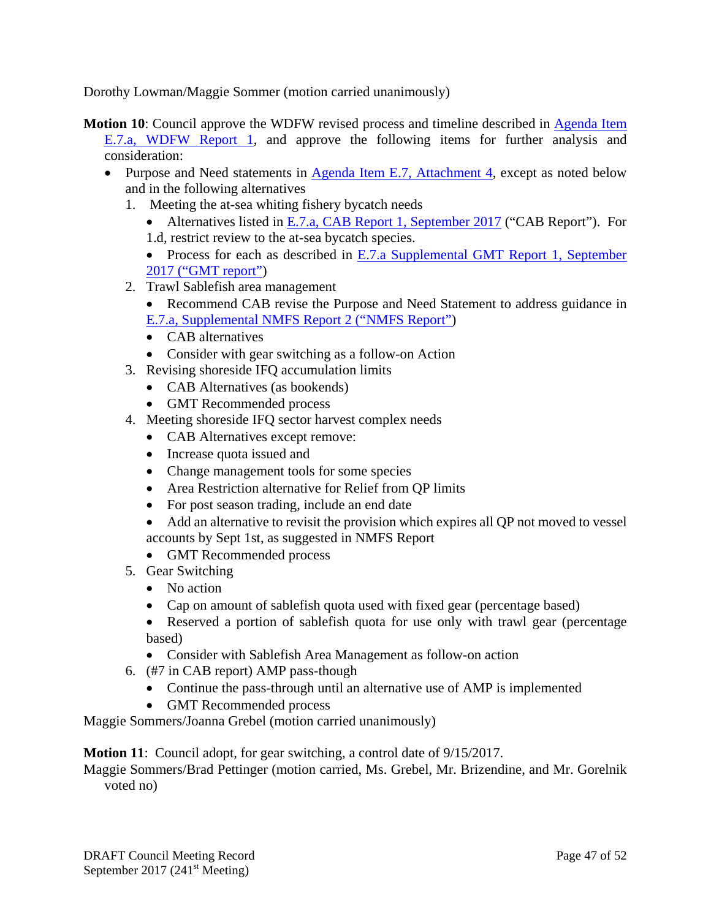Dorothy Lowman/Maggie Sommer (motion carried unanimously)

- **Motion 10**: Council approve the WDFW revised process and timeline described in [Agenda Item](http://www.pcouncil.org/wp-content/uploads/2017/08/E7a_WDFW_Rpt1_SEPT2017BB.pdf)  [E.7.a, WDFW Report 1,](http://www.pcouncil.org/wp-content/uploads/2017/08/E7a_WDFW_Rpt1_SEPT2017BB.pdf) and approve the following items for further analysis and consideration:
	- Purpose and Need statements in [Agenda Item E.7, Attachment 4,](http://www.pcouncil.org/wp-content/uploads/2017/08/E8_Att4_POP_STAR_Panel_Report-FINAL_SEPT2017BB.pdf) except as noted below and in the following alternatives
		- 1. Meeting the at-sea whiting fishery bycatch needs
			- Alternatives listed in [E.7.a, CAB Report 1, September 2017](http://www.pcouncil.org/wp-content/uploads/2017/08/E7a_CAB_Rpt1_SEPT2017BB.pdf) ("CAB Report"). For 1.d, restrict review to the at-sea bycatch species.
			- Process for each as described in E.7.a Supplemental GMT Report 1, September [2017 \("GMT report"\)](http://www.pcouncil.org/wp-content/uploads/2017/09/E7a_Sup_GMT_Rpt1_SEPT2017BB.pdf)
		- 2. Trawl Sablefish area management
			- Recommend CAB revise the Purpose and Need Statement to address guidance in
			- [E.7.a, Supplemental NMFS Report 2 \("NMFS Report"\)](http://www.pcouncil.org/wp-content/uploads/2017/09/E7a_Sup_NMFS_Rpt2_SEPT2017BB.pdf)
			- CAB alternatives
			- Consider with gear switching as a follow-on Action
		- 3. Revising shoreside IFQ accumulation limits
			- CAB Alternatives (as bookends)
			- GMT Recommended process
		- 4. Meeting shoreside IFQ sector harvest complex needs
			- CAB Alternatives except remove:
			- Increase quota issued and
			- Change management tools for some species
			- Area Restriction alternative for Relief from QP limits
			- For post season trading, include an end date
			- Add an alternative to revisit the provision which expires all QP not moved to vessel accounts by Sept 1st, as suggested in NMFS Report
			- GMT Recommended process
		- 5. Gear Switching
			- No action
			- Cap on amount of sablefish quota used with fixed gear (percentage based)
			- Reserved a portion of sablefish quota for use only with trawl gear (percentage based)
			- Consider with Sablefish Area Management as follow-on action
		- 6. (#7 in CAB report) AMP pass-though
			- Continue the pass-through until an alternative use of AMP is implemented
			- GMT Recommended process

Maggie Sommers/Joanna Grebel (motion carried unanimously)

**Motion 11**: Council adopt, for gear switching, a control date of 9/15/2017.

Maggie Sommers/Brad Pettinger (motion carried, Ms. Grebel, Mr. Brizendine, and Mr. Gorelnik voted no)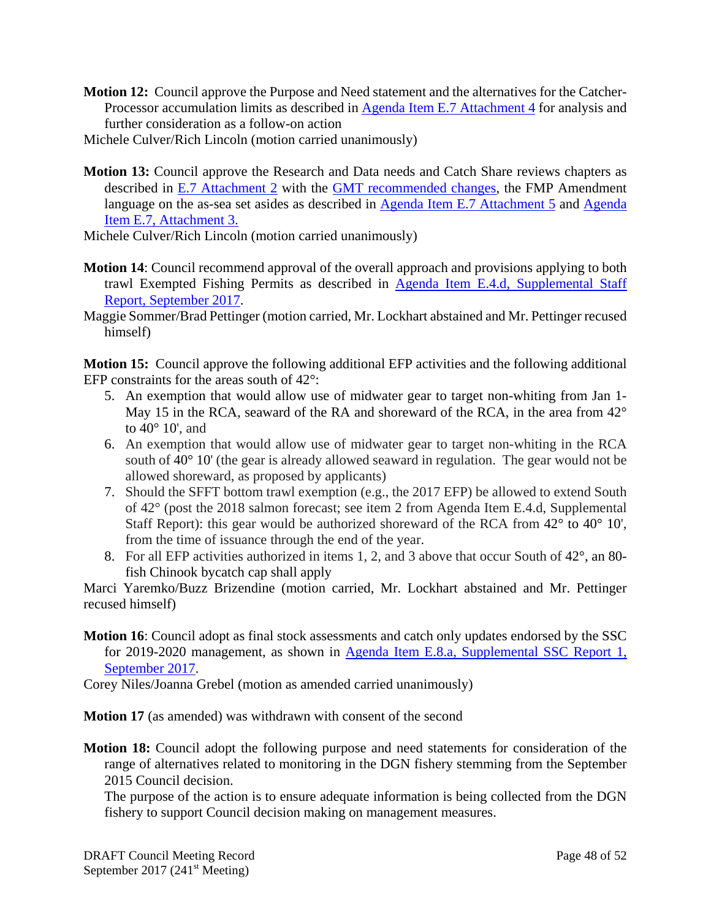- **Motion 12:** Council approve the Purpose and Need statement and the alternatives for the Catcher-Processor accumulation limits as described in [Agenda Item E.7 Attachment 4](http://www.pcouncil.org/wp-content/uploads/2017/08/E7_Att4_Follow-on_Action_DiscussionDoc_SEPT2017BB.pdf) for analysis and further consideration as a follow-on action
- Michele Culver/Rich Lincoln (motion carried unanimously)
- **Motion 13:** Council approve the Research and Data needs and Catch Share reviews chapters as described in **E.7** Attachment 2 with the **GMT** recommended changes, the FMP Amendment language on the as-sea set asides as described in [Agenda Item E.7 Attachment 5](http://www.pcouncil.org/wp-content/uploads/2017/08/E7_Att5_A21-3_SEPT2017BB.pdf) and Agenda [Item E.7, Attachment 3.](http://www.pcouncil.org/wp-content/uploads/2017/08/E7_Att3_E-Only_CommunitiesDoc_Updated_Table_8.18.2017_SEPT2017BB.pdf)

Michele Culver/Rich Lincoln (motion carried unanimously)

- **Motion 14**: Council recommend approval of the overall approach and provisions applying to both trawl Exempted Fishing Permits as described in [Agenda Item E.4.d, Supplemental Staff](http://www.pcouncil.org/wp-content/uploads/2017/09/E4d_Sup_Staff_Rpt_EFP_Summary_Final_09152017v2_SEPT2017BB.pdf)  [Report, September 2017.](http://www.pcouncil.org/wp-content/uploads/2017/09/E4d_Sup_Staff_Rpt_EFP_Summary_Final_09152017v2_SEPT2017BB.pdf)
- Maggie Sommer/Brad Pettinger (motion carried, Mr. Lockhart abstained and Mr. Pettinger recused himself)

**Motion 15:** Council approve the following additional EFP activities and the following additional EFP constraints for the areas south of 42°:

- 5. An exemption that would allow use of midwater gear to target non-whiting from Jan 1- May 15 in the RCA, seaward of the RA and shoreward of the RCA, in the area from 42<sup>°</sup> to 40° 10', and
- 6. An exemption that would allow use of midwater gear to target non-whiting in the RCA south of 40° 10' (the gear is already allowed seaward in regulation. The gear would not be allowed shoreward, as proposed by applicants)
- 7. Should the SFFT bottom trawl exemption (e.g., the 2017 EFP) be allowed to extend South of 42° (post the 2018 salmon forecast; see item 2 from Agenda Item E.4.d, Supplemental Staff Report): this gear would be authorized shoreward of the RCA from  $42^{\circ}$  to  $40^{\circ}$  10', from the time of issuance through the end of the year.
- 8. For all EFP activities authorized in items 1, 2, and 3 above that occur South of 42°, an 80 fish Chinook bycatch cap shall apply

Marci Yaremko/Buzz Brizendine (motion carried, Mr. Lockhart abstained and Mr. Pettinger recused himself)

**Motion 16**: Council adopt as final stock assessments and catch only updates endorsed by the SSC for 2019-2020 management, as shown in [Agenda Item E.8.a, Supplemental SSC Report 1,](http://www.pcouncil.org/wp-content/uploads/2017/09/E8a_Sup_SSC_Rpt1_Stock_Assessments_SEPT2017BB.pdf)  [September 2017.](http://www.pcouncil.org/wp-content/uploads/2017/09/E8a_Sup_SSC_Rpt1_Stock_Assessments_SEPT2017BB.pdf)

Corey Niles/Joanna Grebel (motion as amended carried unanimously)

**Motion 17** (as amended) was withdrawn with consent of the second

**Motion 18:** Council adopt the following purpose and need statements for consideration of the range of alternatives related to monitoring in the DGN fishery stemming from the September 2015 Council decision.

The purpose of the action is to ensure adequate information is being collected from the DGN fishery to support Council decision making on management measures.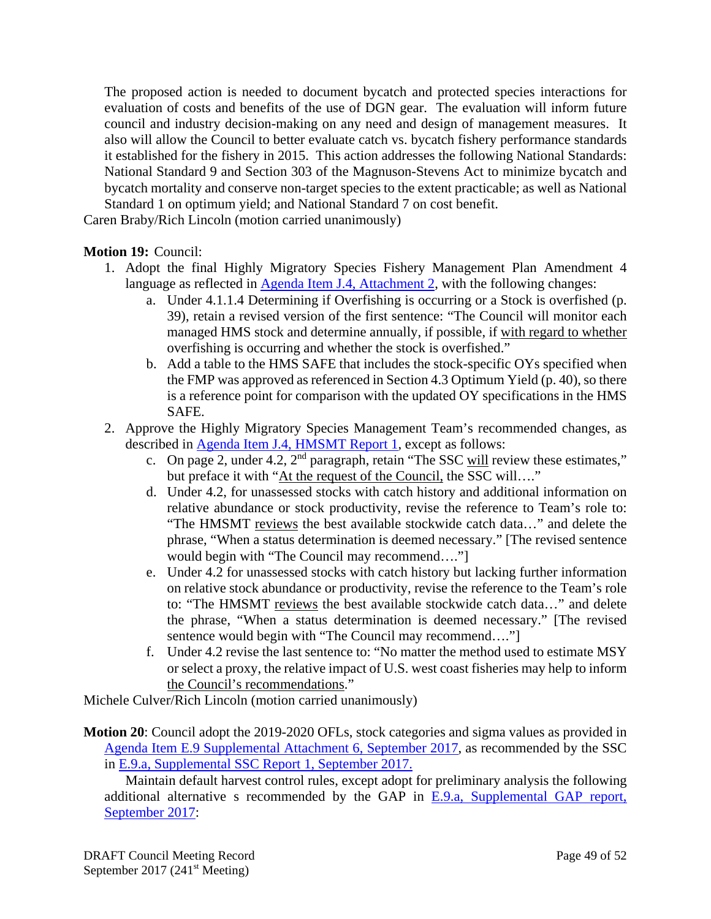The proposed action is needed to document bycatch and protected species interactions for evaluation of costs and benefits of the use of DGN gear. The evaluation will inform future council and industry decision-making on any need and design of management measures. It also will allow the Council to better evaluate catch vs. bycatch fishery performance standards it established for the fishery in 2015. This action addresses the following National Standards: National Standard 9 and Section 303 of the Magnuson-Stevens Act to minimize bycatch and bycatch mortality and conserve non-target species to the extent practicable; as well as National Standard 1 on optimum yield; and National Standard 7 on cost benefit.

Caren Braby/Rich Lincoln (motion carried unanimously)

## **Motion 19:** Council:

- 1. Adopt the final Highly Migratory Species Fishery Management Plan Amendment 4 language as reflected in [Agenda Item J.4, Attachment 2,](http://www.pcouncil.org/wp-content/uploads/2017/08/J4_Att2_E-Only_HMS_FMP_ProposedinLEGALBLACKLINE_SEPT2017BB.pdf) with the following changes:
	- a. Under 4.1.1.4 Determining if Overfishing is occurring or a Stock is overfished (p. 39), retain a revised version of the first sentence: "The Council will monitor each managed HMS stock and determine annually, if possible, if with regard to whether overfishing is occurring and whether the stock is overfished."
	- b. Add a table to the HMS SAFE that includes the stock-specific OYs specified when the FMP was approved as referenced in Section 4.3 Optimum Yield (p. 40), so there is a reference point for comparison with the updated OY specifications in the HMS SAFE.
- 2. Approve the Highly Migratory Species Management Team's recommended changes, as described in [Agenda Item J.4, HMSMT Report 1,](http://www.pcouncil.org/wp-content/uploads/2017/08/J4a_HMSMT_Rpt1_Amdmt4_SEPT2017BB.pdf) except as follows:
	- c. On page 2, under 4.2,  $2<sup>nd</sup>$  paragraph, retain "The SSC will review these estimates," but preface it with "At the request of the Council, the SSC will…."
	- d. Under 4.2, for unassessed stocks with catch history and additional information on relative abundance or stock productivity, revise the reference to Team's role to: "The HMSMT reviews the best available stockwide catch data…" and delete the phrase, "When a status determination is deemed necessary." [The revised sentence would begin with "The Council may recommend…."]
	- e. Under 4.2 for unassessed stocks with catch history but lacking further information on relative stock abundance or productivity, revise the reference to the Team's role to: "The HMSMT reviews the best available stockwide catch data…" and delete the phrase, "When a status determination is deemed necessary." [The revised sentence would begin with "The Council may recommend...."
	- f. Under 4.2 revise the last sentence to: "No matter the method used to estimate MSY or select a proxy, the relative impact of U.S. west coast fisheries may help to inform the Council's recommendations."

Michele Culver/Rich Lincoln (motion carried unanimously)

**Motion 20**: Council adopt the 2019-2020 OFLs, stock categories and sigma values as provided in [Agenda Item E.9 Supplemental Attachment 6, September 2017,](http://www.pcouncil.org/wp-content/uploads/2017/09/E9_Sup_Att6_2019-20HarvestSpex_SEPT2017BB.pdf) as recommended by the SSC in [E.9.a, Supplemental SSC Report 1, September 2017.](http://www.pcouncil.org/wp-content/uploads/2017/09/E9a_Sup_SSC_Rpt1_SEPT2017BB.pdf)

Maintain default harvest control rules, except adopt for preliminary analysis the following additional alternative s recommended by the GAP in [E.9.a, Supplemental GAP report,](http://www.pcouncil.org/wp-content/uploads/2017/09/E9a_Sup_GAP_Rpt1_SEPT2017BB.pdf)  [September 2017:](http://www.pcouncil.org/wp-content/uploads/2017/09/E9a_Sup_GAP_Rpt1_SEPT2017BB.pdf)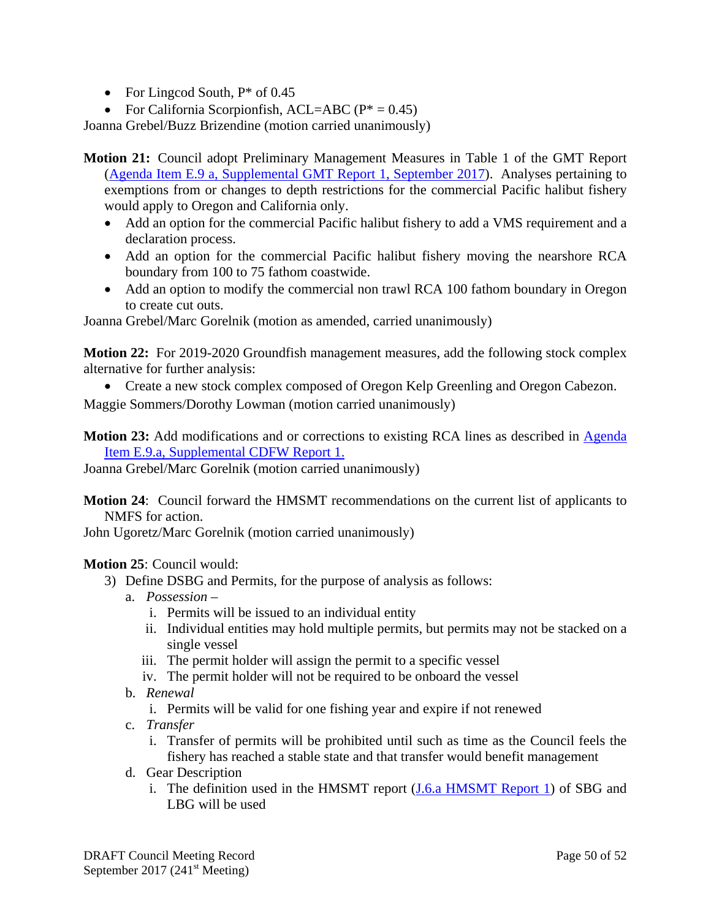- For Lingcod South,  $P^*$  of 0.45
- For California Scorpionfish, ACL=ABC  $(P^* = 0.45)$

Joanna Grebel/Buzz Brizendine (motion carried unanimously)

- **Motion 21:** Council adopt Preliminary Management Measures in Table 1 of the GMT Report [\(Agenda Item E.9 a, Supplemental GMT Report 1, September 2017\)](http://www.pcouncil.org/wp-content/uploads/2017/09/E9a_Sup_GMT_Rpt1_SEPT2017BB.pdf). Analyses pertaining to exemptions from or changes to depth restrictions for the commercial Pacific halibut fishery would apply to Oregon and California only.
	- Add an option for the commercial Pacific halibut fishery to add a VMS requirement and a declaration process.
	- Add an option for the commercial Pacific halibut fishery moving the nearshore RCA boundary from 100 to 75 fathom coastwide.
	- Add an option to modify the commercial non trawl RCA 100 fathom boundary in Oregon to create cut outs.

Joanna Grebel/Marc Gorelnik (motion as amended, carried unanimously)

**Motion 22:** For 2019-2020 Groundfish management measures, add the following stock complex alternative for further analysis:

• Create a new stock complex composed of Oregon Kelp Greenling and Oregon Cabezon.

Maggie Sommers/Dorothy Lowman (motion carried unanimously)

**Motion 23:** Add modifications and or corrections to existing RCA lines as described in **Agenda** [Item E.9.a, Supplemental CDFW Report 1.](http://www.pcouncil.org/wp-content/uploads/2017/09/E9a_Sup_CDFW_Rpt1_Spex_SEPT2017BB.pdf)

Joanna Grebel/Marc Gorelnik (motion carried unanimously)

**Motion 24**: Council forward the HMSMT recommendations on the current list of applicants to NMFS for action.

John Ugoretz/Marc Gorelnik (motion carried unanimously)

#### **Motion 25**: Council would:

- 3) Define DSBG and Permits, for the purpose of analysis as follows:
	- a. *Possession*
		- i. Permits will be issued to an individual entity
		- ii. Individual entities may hold multiple permits, but permits may not be stacked on a single vessel
		- iii. The permit holder will assign the permit to a specific vessel
		- iv. The permit holder will not be required to be onboard the vessel
	- b. *Renewal*
		- i. Permits will be valid for one fishing year and expire if not renewed
	- c. *Transfer*
		- i. Transfer of permits will be prohibited until such as time as the Council feels the fishery has reached a stable state and that transfer would benefit management
	- d. Gear Description
		- i. The definition used in the HMSMT report  $(J.6.a$  HMSMT Report 1) of SBG and LBG will be used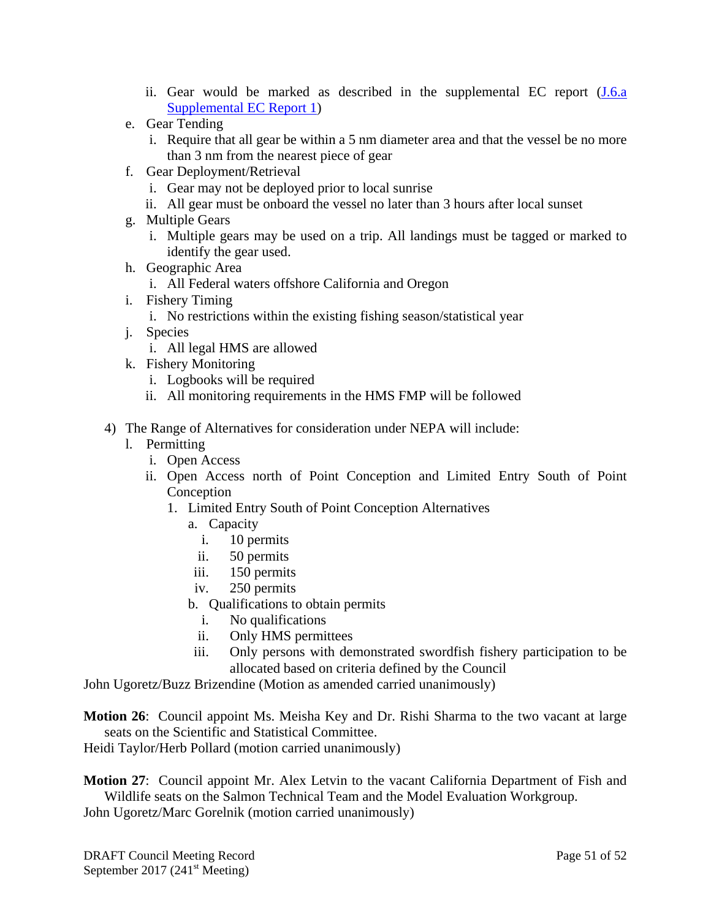- ii. Gear would be marked as described in the supplemental EC report [\(J.6.a](http://www.pcouncil.org/wp-content/uploads/2017/09/J6a_Sup_EC_Rpt1_SEPT2017BB.pdf)  [Supplemental EC Report 1\)](http://www.pcouncil.org/wp-content/uploads/2017/09/J6a_Sup_EC_Rpt1_SEPT2017BB.pdf)
- e. Gear Tending
	- i. Require that all gear be within a 5 nm diameter area and that the vessel be no more than 3 nm from the nearest piece of gear
- f. Gear Deployment/Retrieval
	- i. Gear may not be deployed prior to local sunrise
	- ii. All gear must be onboard the vessel no later than 3 hours after local sunset
- g. Multiple Gears
	- i. Multiple gears may be used on a trip. All landings must be tagged or marked to identify the gear used.
- h. Geographic Area
	- i. All Federal waters offshore California and Oregon
- i. Fishery Timing
	- i. No restrictions within the existing fishing season/statistical year
- j. Species
	- i. All legal HMS are allowed
- k. Fishery Monitoring
	- i. Logbooks will be required
	- ii. All monitoring requirements in the HMS FMP will be followed
- 4) The Range of Alternatives for consideration under NEPA will include:
	- l. Permitting
		- i. Open Access
		- ii. Open Access north of Point Conception and Limited Entry South of Point Conception
			- 1. Limited Entry South of Point Conception Alternatives
				- a. Capacity
					- i. 10 permits
					- ii. 50 permits
				- iii. 150 permits
				- iv. 250 permits
				- b. Qualifications to obtain permits
					- i. No qualifications
					- ii. Only HMS permittees
				- iii. Only persons with demonstrated swordfish fishery participation to be allocated based on criteria defined by the Council

John Ugoretz/Buzz Brizendine (Motion as amended carried unanimously)

**Motion 26**: Council appoint Ms. Meisha Key and Dr. Rishi Sharma to the two vacant at large seats on the Scientific and Statistical Committee.

Heidi Taylor/Herb Pollard (motion carried unanimously)

**Motion 27**: Council appoint Mr. Alex Letvin to the vacant California Department of Fish and Wildlife seats on the Salmon Technical Team and the Model Evaluation Workgroup.

John Ugoretz/Marc Gorelnik (motion carried unanimously)